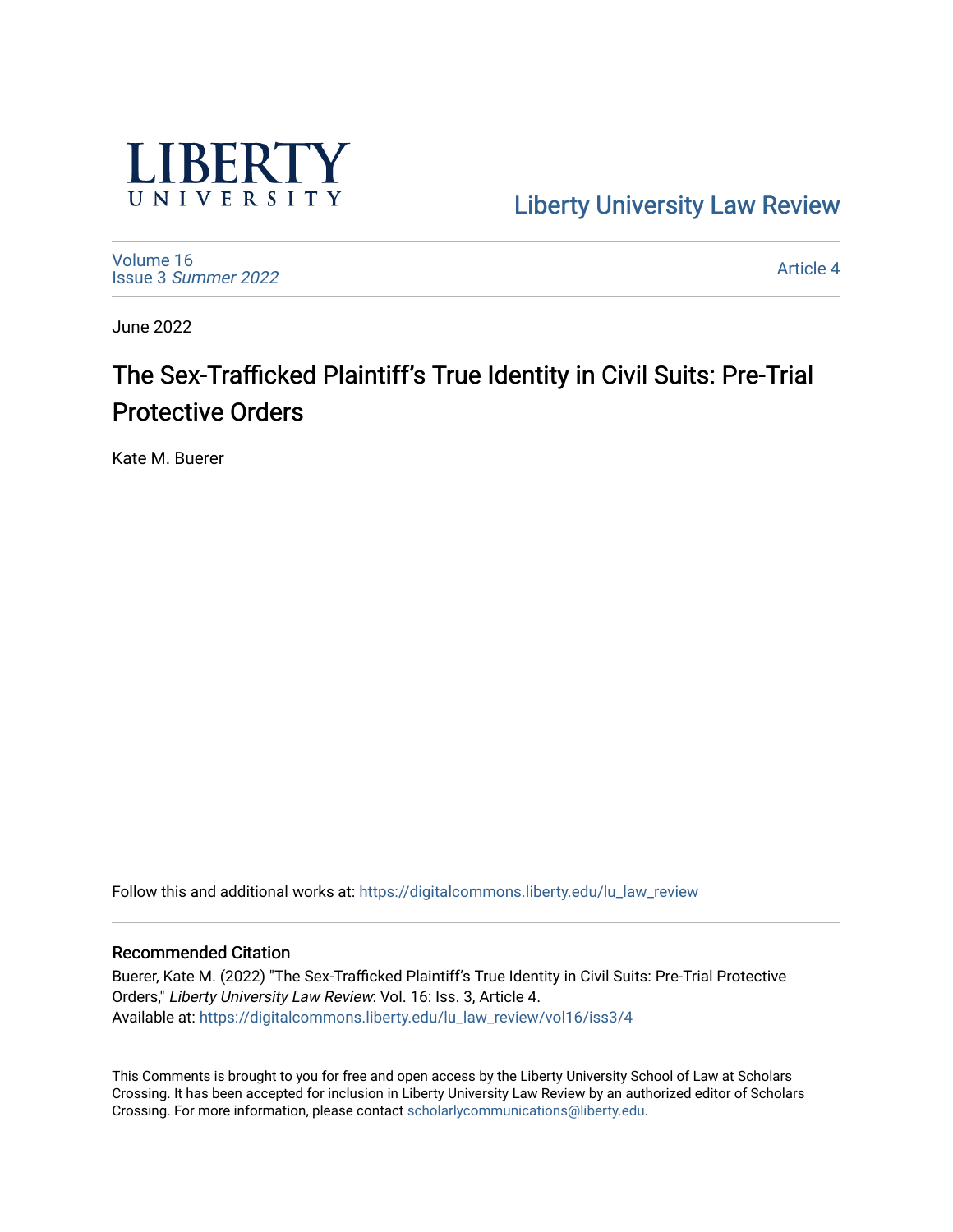

[Liberty University Law Review](https://digitalcommons.liberty.edu/lu_law_review) 

[Volume 16](https://digitalcommons.liberty.edu/lu_law_review/vol16) Issue 3 [Summer 2022](https://digitalcommons.liberty.edu/lu_law_review/vol16/iss3) 

[Article 4](https://digitalcommons.liberty.edu/lu_law_review/vol16/iss3/4) 

June 2022

# The Sex-Trafficked Plaintiff's True Identity in Civil Suits: Pre-Trial Protective Orders

Kate M. Buerer

Follow this and additional works at: [https://digitalcommons.liberty.edu/lu\\_law\\_review](https://digitalcommons.liberty.edu/lu_law_review?utm_source=digitalcommons.liberty.edu%2Flu_law_review%2Fvol16%2Fiss3%2F4&utm_medium=PDF&utm_campaign=PDFCoverPages) 

## Recommended Citation

Buerer, Kate M. (2022) "The Sex-Trafficked Plaintiff's True Identity in Civil Suits: Pre-Trial Protective Orders," Liberty University Law Review: Vol. 16: Iss. 3, Article 4. Available at: [https://digitalcommons.liberty.edu/lu\\_law\\_review/vol16/iss3/4](https://digitalcommons.liberty.edu/lu_law_review/vol16/iss3/4?utm_source=digitalcommons.liberty.edu%2Flu_law_review%2Fvol16%2Fiss3%2F4&utm_medium=PDF&utm_campaign=PDFCoverPages) 

This Comments is brought to you for free and open access by the Liberty University School of Law at Scholars Crossing. It has been accepted for inclusion in Liberty University Law Review by an authorized editor of Scholars Crossing. For more information, please contact [scholarlycommunications@liberty.edu](mailto:scholarlycommunications@liberty.edu).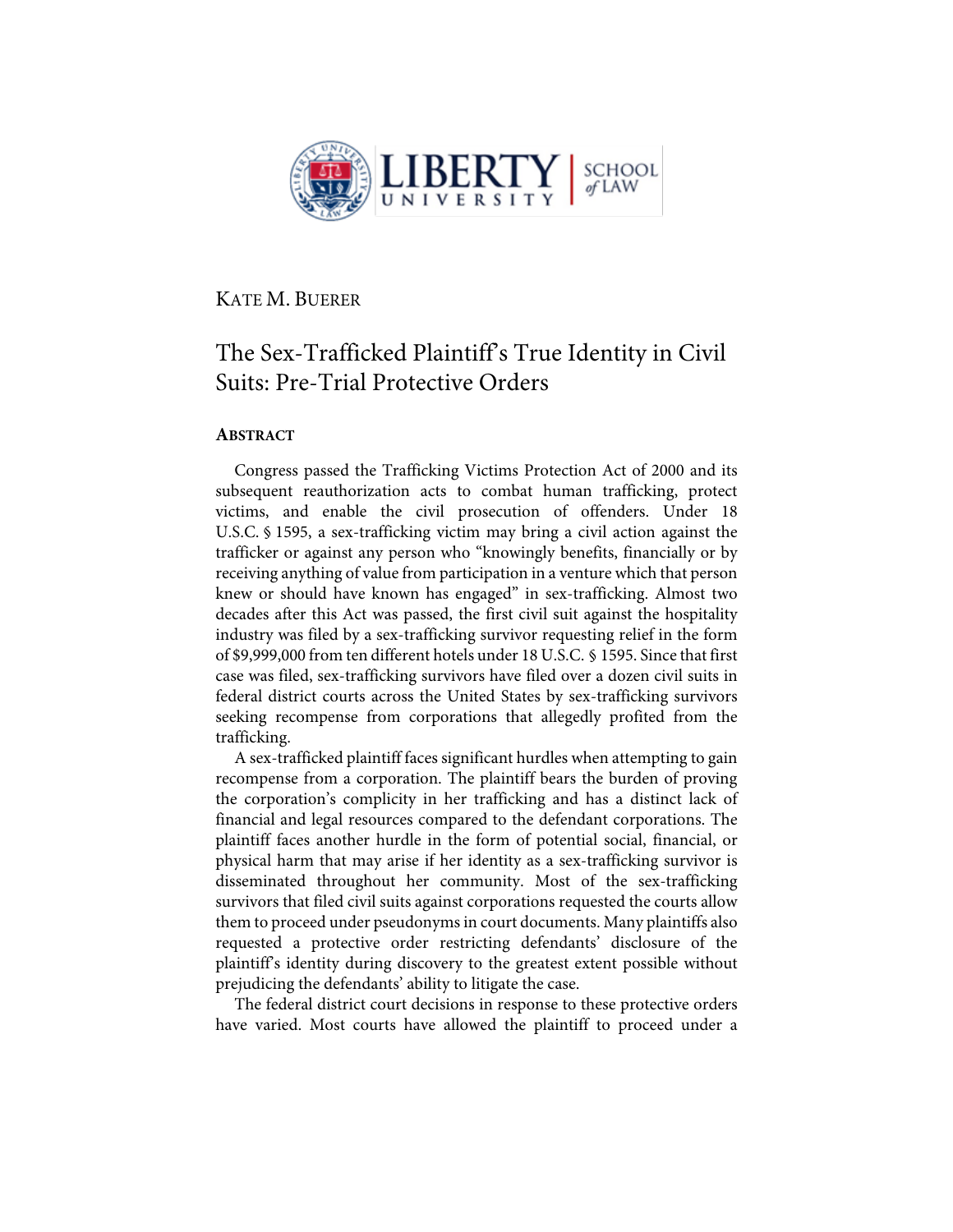

KATE M. BUERER

## The Sex-Trafficked Plaintiff's True Identity in Civil Suits: Pre-Trial Protective Orders

## **ABSTRACT**

Congress passed the Trafficking Victims Protection Act of 2000 and its subsequent reauthorization acts to combat human trafficking, protect victims, and enable the civil prosecution of offenders. Under 18 U.S.C. § 1595, a sex-trafficking victim may bring a civil action against the trafficker or against any person who "knowingly benefits, financially or by receiving anything of value from participation in a venture which that person knew or should have known has engaged" in sex-trafficking. Almost two decades after this Act was passed, the first civil suit against the hospitality industry was filed by a sex-trafficking survivor requesting relief in the form of \$9,999,000 from ten different hotels under 18 U.S.C. § 1595. Since that first case was filed, sex-trafficking survivors have filed over a dozen civil suits in federal district courts across the United States by sex-trafficking survivors seeking recompense from corporations that allegedly profited from the trafficking.

A sex-trafficked plaintiff faces significant hurdles when attempting to gain recompense from a corporation. The plaintiff bears the burden of proving the corporation's complicity in her trafficking and has a distinct lack of financial and legal resources compared to the defendant corporations. The plaintiff faces another hurdle in the form of potential social, financial, or physical harm that may arise if her identity as a sex-trafficking survivor is disseminated throughout her community. Most of the sex-trafficking survivors that filed civil suits against corporations requested the courts allow them to proceed under pseudonyms in court documents. Many plaintiffs also requested a protective order restricting defendants' disclosure of the plaintiff's identity during discovery to the greatest extent possible without prejudicing the defendants' ability to litigate the case.

The federal district court decisions in response to these protective orders have varied. Most courts have allowed the plaintiff to proceed under a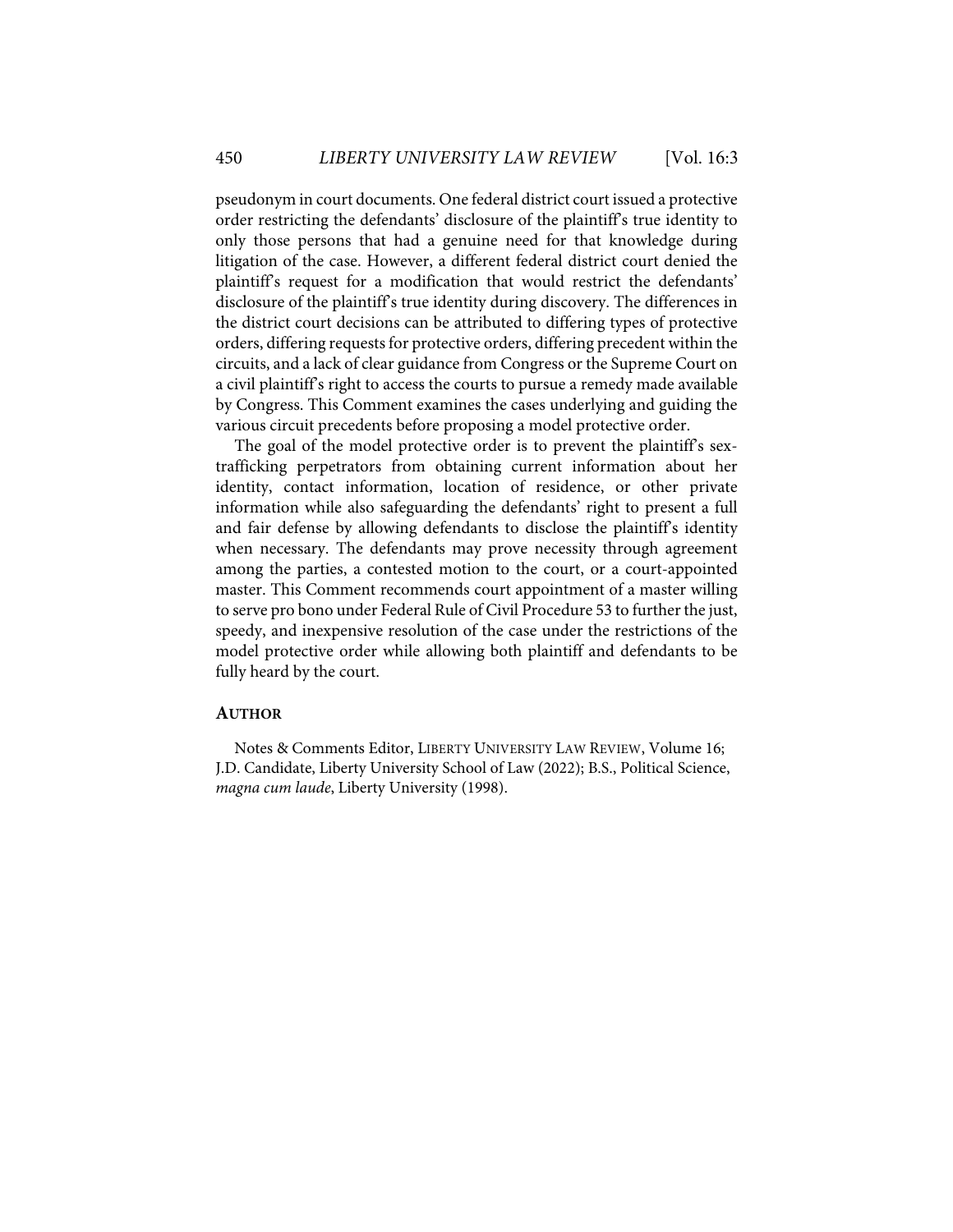pseudonym in court documents. One federal district court issued a protective order restricting the defendants' disclosure of the plaintiff's true identity to only those persons that had a genuine need for that knowledge during litigation of the case. However, a different federal district court denied the plaintiff's request for a modification that would restrict the defendants' disclosure of the plaintiff's true identity during discovery. The differences in the district court decisions can be attributed to differing types of protective orders, differing requests for protective orders, differing precedent within the circuits, and a lack of clear guidance from Congress or the Supreme Court on a civil plaintiff's right to access the courts to pursue a remedy made available by Congress. This Comment examines the cases underlying and guiding the various circuit precedents before proposing a model protective order.

The goal of the model protective order is to prevent the plaintiff's sextrafficking perpetrators from obtaining current information about her identity, contact information, location of residence, or other private information while also safeguarding the defendants' right to present a full and fair defense by allowing defendants to disclose the plaintiff's identity when necessary. The defendants may prove necessity through agreement among the parties, a contested motion to the court, or a court-appointed master. This Comment recommends court appointment of a master willing to serve pro bono under Federal Rule of Civil Procedure 53 to further the just, speedy, and inexpensive resolution of the case under the restrictions of the model protective order while allowing both plaintiff and defendants to be fully heard by the court.

#### **AUTHOR**

Notes & Comments Editor, LIBERTY UNIVERSITY LAW REVIEW, Volume 16; J.D. Candidate, Liberty University School of Law (2022); B.S., Political Science, *magna cum laude*, Liberty University (1998).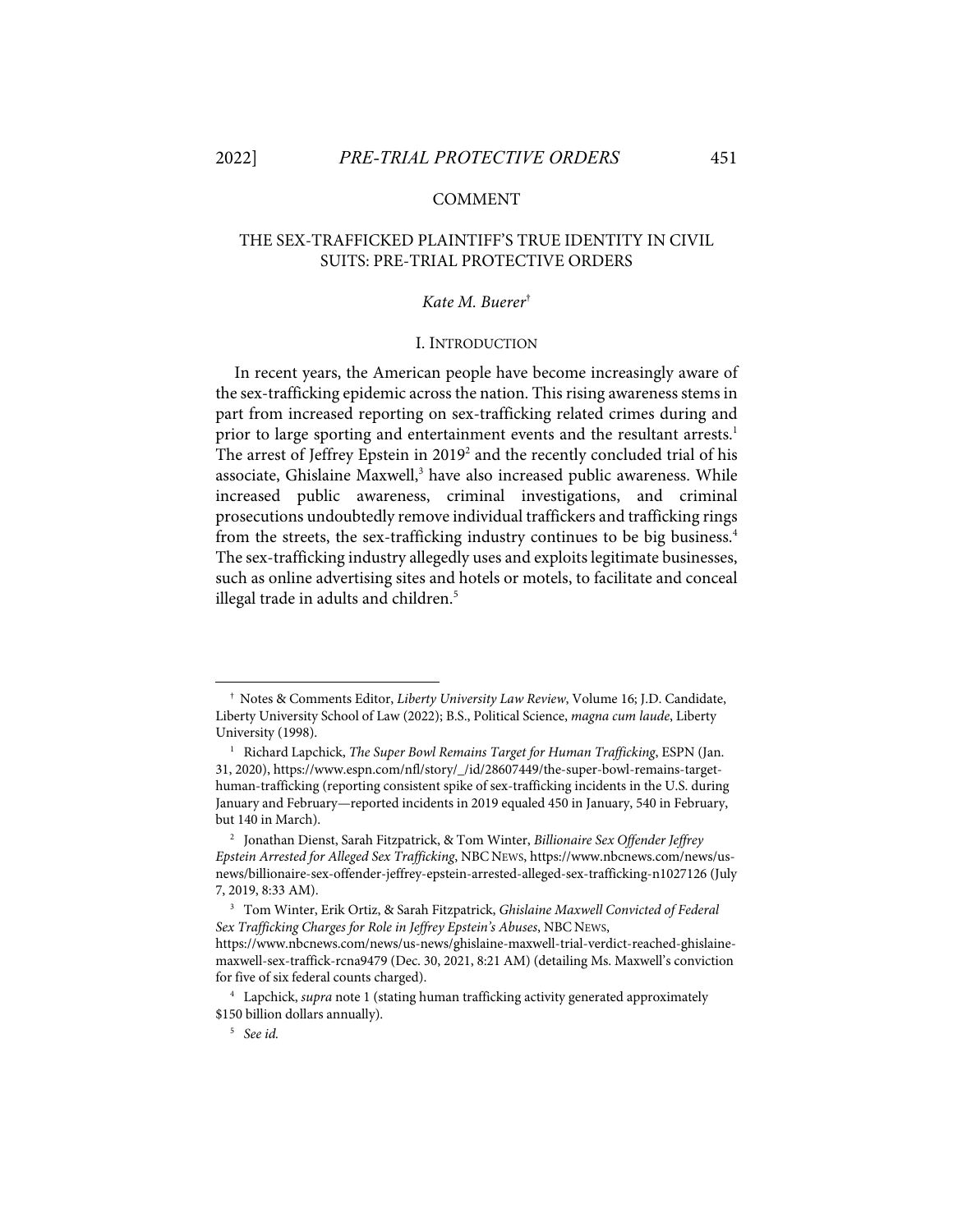## COMMENT

## THE SEX-TRAFFICKED PLAINTIFF'S TRUE IDENTITY IN CIVIL SUITS: PRE-TRIAL PROTECTIVE ORDERS

## *Kate M. Buerer*†

## I. INTRODUCTION

In recent years, the American people have become increasingly aware of the sex-trafficking epidemic across the nation. This rising awareness stems in part from increased reporting on sex-trafficking related crimes during and prior to large sporting and entertainment events and the resultant arrests.<sup>1</sup> The arrest of Jeffrey Epstein in 2019<sup>2</sup> and the recently concluded trial of his associate, Ghislaine Maxwell,<sup>3</sup> have also increased public awareness. While increased public awareness, criminal investigations, and criminal prosecutions undoubtedly remove individual traffickers and trafficking rings from the streets, the sex-trafficking industry continues to be big business.<sup>4</sup> The sex-trafficking industry allegedly uses and exploits legitimate businesses, such as online advertising sites and hotels or motels, to facilitate and conceal illegal trade in adults and children.<sup>5</sup>

<sup>†</sup> Notes & Comments Editor, *Liberty University Law Review*, Volume 16; J.D. Candidate, Liberty University School of Law (2022); B.S., Political Science, *magna cum laude*, Liberty University (1998).

<sup>&</sup>lt;sup>1</sup> Richard Lapchick, *The Super Bowl Remains Target for Human Trafficking*, ESPN (Jan. 31, 2020), https://www.espn.com/nfl/story/\_/id/28607449/the-super-bowl-remains-targethuman-trafficking (reporting consistent spike of sex-trafficking incidents in the U.S. during January and February—reported incidents in 2019 equaled 450 in January, 540 in February, but 140 in March).

<sup>2</sup> Jonathan Dienst, Sarah Fitzpatrick, & Tom Winter, *Billionaire Sex Offender Jeffrey Epstein Arrested for Alleged Sex Trafficking*, NBC NEWS, https://www.nbcnews.com/news/usnews/billionaire-sex-offender-jeffrey-epstein-arrested-alleged-sex-trafficking-n1027126 (July 7, 2019, 8:33 AM).

<sup>3</sup> Tom Winter, Erik Ortiz, & Sarah Fitzpatrick, *Ghislaine Maxwell Convicted of Federal Sex Trafficking Charges for Role in Jeffrey Epstein's Abuses*, NBC NEWS, https://www.nbcnews.com/news/us-news/ghislaine-maxwell-trial-verdict-reached-ghislaine-

maxwell-sex-traffick-rcna9479 (Dec. 30, 2021, 8:21 AM) (detailing Ms. Maxwell's conviction for five of six federal counts charged).

<sup>4</sup> Lapchick, *supra* note 1 (stating human trafficking activity generated approximately \$150 billion dollars annually).

<sup>5</sup> *See id.*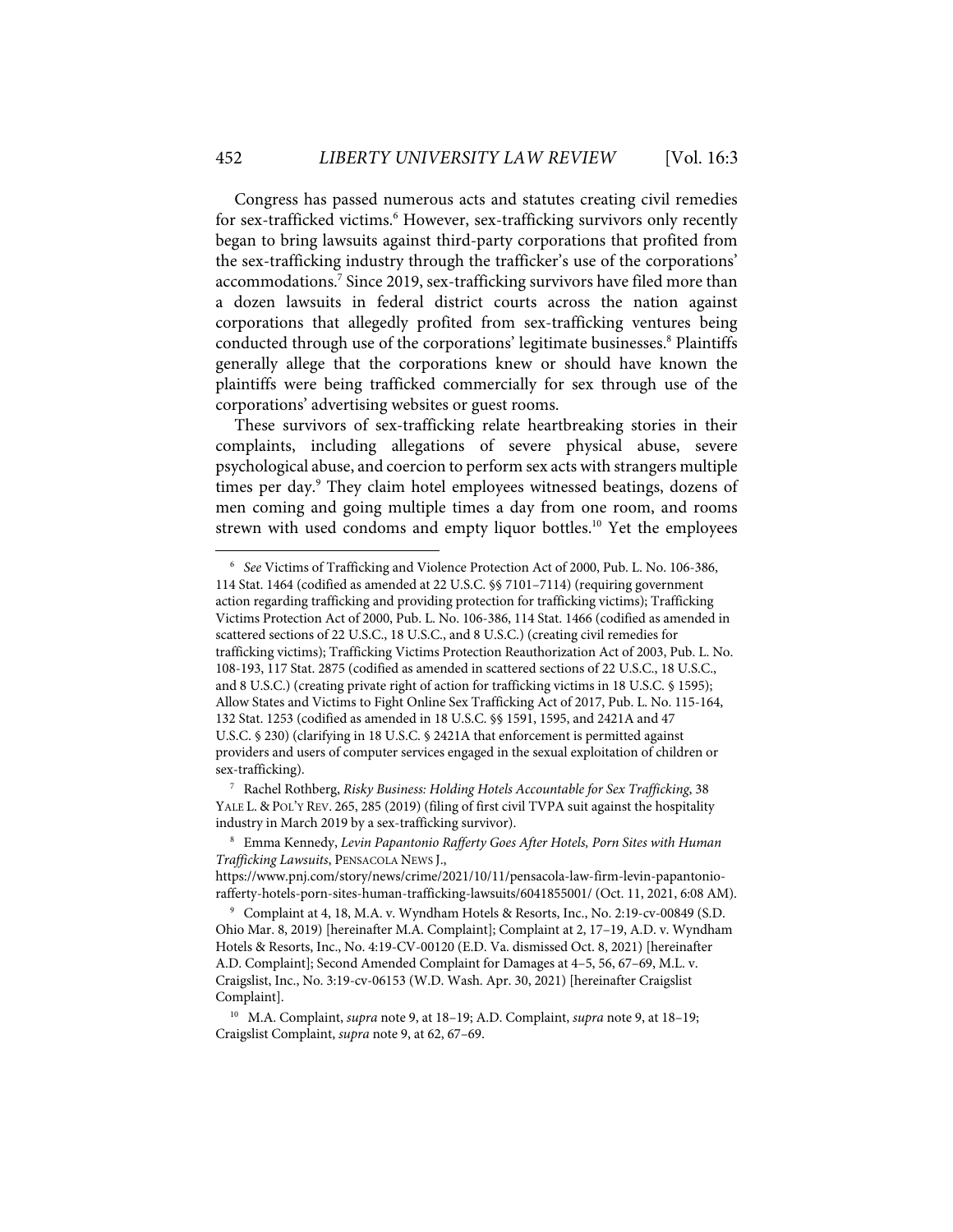Congress has passed numerous acts and statutes creating civil remedies for sex-trafficked victims. <sup>6</sup> However, sex-trafficking survivors only recently began to bring lawsuits against third-party corporations that profited from the sex-trafficking industry through the trafficker's use of the corporations' accommodations. <sup>7</sup> Since 2019, sex-trafficking survivors have filed more than a dozen lawsuits in federal district courts across the nation against corporations that allegedly profited from sex-trafficking ventures being conducted through use of the corporations' legitimate businesses. <sup>8</sup> Plaintiffs generally allege that the corporations knew or should have known the plaintiffs were being trafficked commercially for sex through use of the corporations' advertising websites or guest rooms.

These survivors of sex-trafficking relate heartbreaking stories in their complaints, including allegations of severe physical abuse, severe psychological abuse, and coercion to perform sex acts with strangers multiple times per day.<sup>9</sup> They claim hotel employees witnessed beatings, dozens of men coming and going multiple times a day from one room, and rooms strewn with used condoms and empty liquor bottles. <sup>10</sup> Yet the employees

7 Rachel Rothberg, *Risky Business: Holding Hotels Accountable for Sex Trafficking*, 38 YALE L. & POL'Y REV. 265, 285 (2019) (filing of first civil TVPA suit against the hospitality industry in March 2019 by a sex-trafficking survivor).

<sup>6</sup> *See* Victims of Trafficking and Violence Protection Act of 2000, Pub. L. No. 106-386, 114 Stat. 1464 (codified as amended at 22 U.S.C. §§ 7101–7114) (requiring government action regarding trafficking and providing protection for trafficking victims); Trafficking Victims Protection Act of 2000, Pub. L. No. 106-386, 114 Stat. 1466 (codified as amended in scattered sections of 22 U.S.C., 18 U.S.C., and 8 U.S.C.) (creating civil remedies for trafficking victims); Trafficking Victims Protection Reauthorization Act of 2003, Pub. L. No. 108-193, 117 Stat. 2875 (codified as amended in scattered sections of 22 U.S.C., 18 U.S.C., and 8 U.S.C.) (creating private right of action for trafficking victims in 18 U.S.C. § 1595); Allow States and Victims to Fight Online Sex Trafficking Act of 2017, Pub. L. No. 115-164, 132 Stat. 1253 (codified as amended in 18 U.S.C. §§ 1591, 1595, and 2421A and 47 U.S.C. § 230) (clarifying in 18 U.S.C. § 2421A that enforcement is permitted against providers and users of computer services engaged in the sexual exploitation of children or sex-trafficking).

<sup>8</sup> Emma Kennedy, *Levin Papantonio Rafferty Goes After Hotels, Porn Sites with Human Trafficking Lawsuits*, PENSACOLA NEWS J.,

https://www.pnj.com/story/news/crime/2021/10/11/pensacola-law-firm-levin-papantoniorafferty-hotels-porn-sites-human-trafficking-lawsuits/6041855001/ (Oct. 11, 2021, 6:08 AM).

<sup>9</sup> Complaint at 4, 18, M.A. v. Wyndham Hotels & Resorts, Inc., No. 2:19-cv-00849 (S.D. Ohio Mar. 8, 2019) [hereinafter M.A. Complaint]; Complaint at 2, 17–19, A.D. v. Wyndham Hotels & Resorts, Inc., No. 4:19-CV-00120 (E.D. Va. dismissed Oct. 8, 2021) [hereinafter A.D. Complaint]; Second Amended Complaint for Damages at 4–5, 56, 67–69, M.L. v. Craigslist, Inc., No. 3:19-cv-06153 (W.D. Wash. Apr. 30, 2021) [hereinafter Craigslist Complaint].

<sup>10</sup> M.A. Complaint, *supra* note 9, at 18–19; A.D. Complaint, *supra* note 9, at 18–19; Craigslist Complaint, *supra* note 9, at 62, 67–69.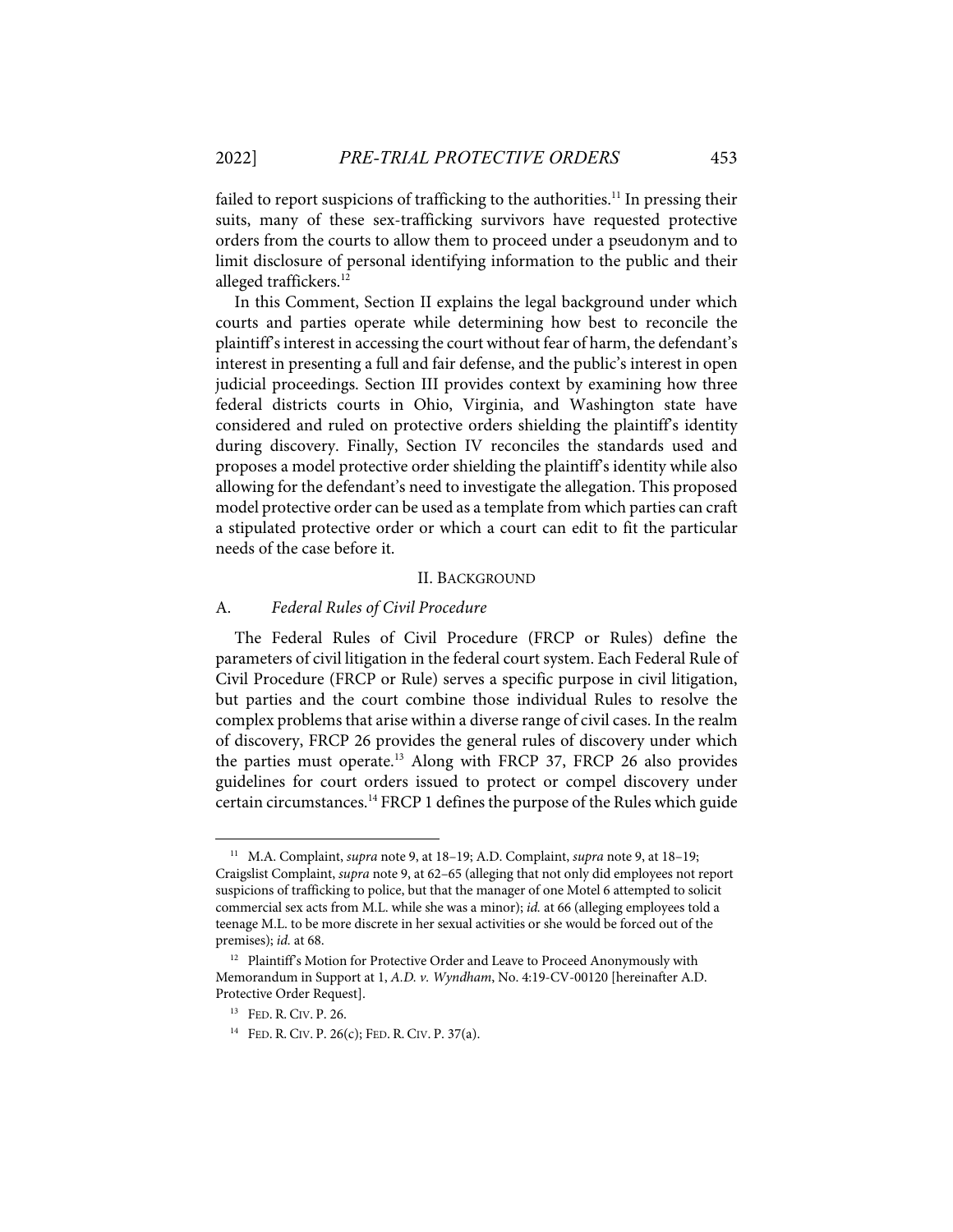failed to report suspicions of trafficking to the authorities.<sup>11</sup> In pressing their suits, many of these sex-trafficking survivors have requested protective orders from the courts to allow them to proceed under a pseudonym and to limit disclosure of personal identifying information to the public and their alleged traffickers.<sup>12</sup>

In this Comment, Section II explains the legal background under which courts and parties operate while determining how best to reconcile the plaintiff's interest in accessing the court without fear of harm, the defendant's interest in presenting a full and fair defense, and the public's interest in open judicial proceedings. Section III provides context by examining how three federal districts courts in Ohio, Virginia, and Washington state have considered and ruled on protective orders shielding the plaintiff's identity during discovery. Finally, Section IV reconciles the standards used and proposes a model protective order shielding the plaintiff's identity while also allowing for the defendant's need to investigate the allegation. This proposed model protective order can be used as a template from which parties can craft a stipulated protective order or which a court can edit to fit the particular needs of the case before it.

#### II. BACKGROUND

#### A. *Federal Rules of Civil Procedure*

The Federal Rules of Civil Procedure (FRCP or Rules) define the parameters of civil litigation in the federal court system. Each Federal Rule of Civil Procedure (FRCP or Rule) serves a specific purpose in civil litigation, but parties and the court combine those individual Rules to resolve the complex problems that arise within a diverse range of civil cases. In the realm of discovery, FRCP 26 provides the general rules of discovery under which the parties must operate.<sup>13</sup> Along with FRCP 37, FRCP 26 also provides guidelines for court orders issued to protect or compel discovery under certain circumstances. <sup>14</sup> FRCP 1 defines the purpose of the Rules which guide

<sup>11</sup> M.A. Complaint, *supra* note 9, at 18–19; A.D. Complaint, *supra* note 9, at 18–19; Craigslist Complaint, *supra* note 9, at 62–65 (alleging that not only did employees not report suspicions of trafficking to police, but that the manager of one Motel 6 attempted to solicit commercial sex acts from M.L. while she was a minor); *id.* at 66 (alleging employees told a teenage M.L. to be more discrete in her sexual activities or she would be forced out of the premises); *id.* at 68.

<sup>&</sup>lt;sup>12</sup> Plaintiff's Motion for Protective Order and Leave to Proceed Anonymously with Memorandum in Support at 1, *A.D. v. Wyndham*, No. 4:19-CV-00120 [hereinafter A.D. Protective Order Request].

<sup>13</sup> FED. R. CIV. P. 26.

<sup>&</sup>lt;sup>14</sup> FED. R. CIV. P. 26(c); FED. R. CIV. P. 37(a).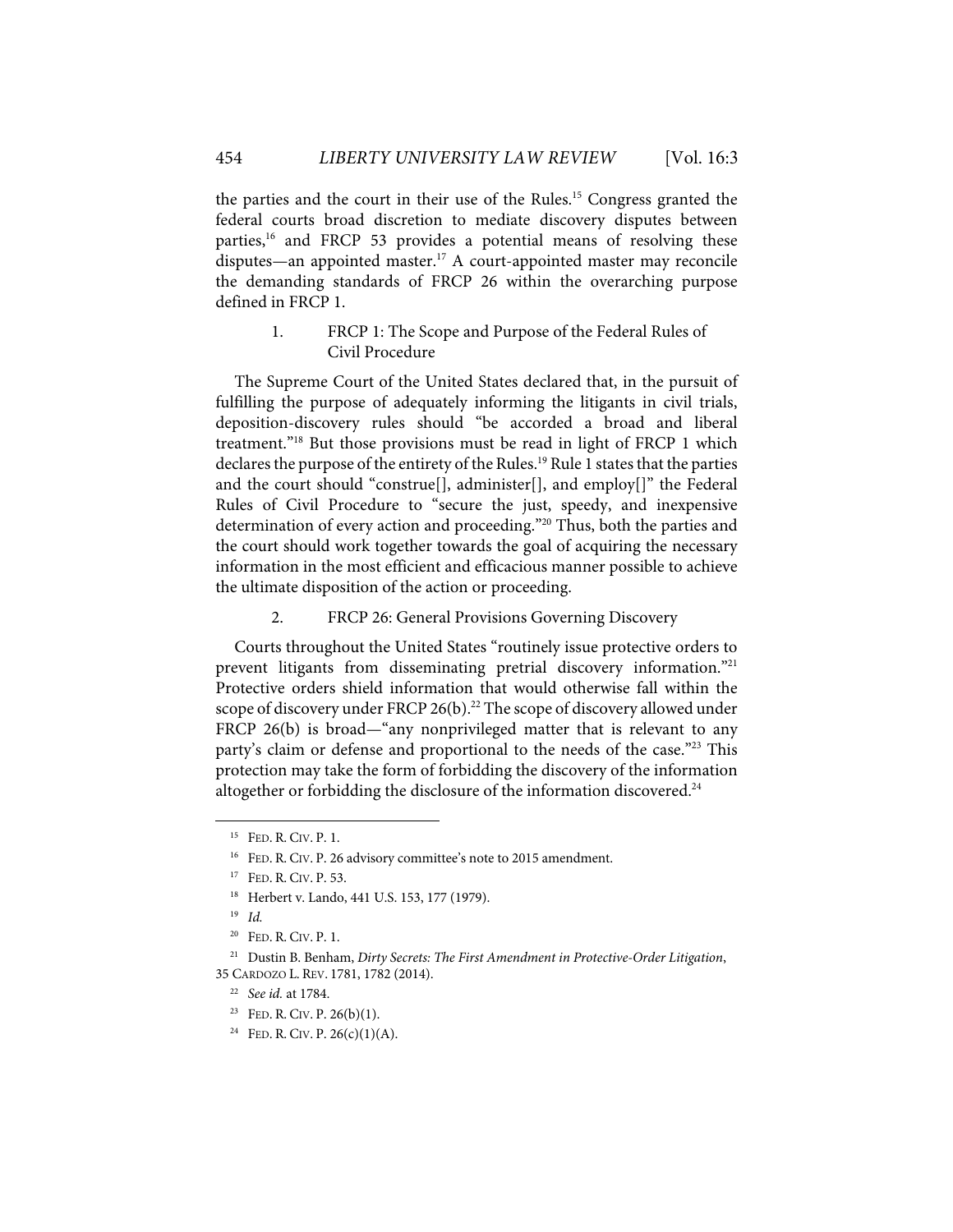the parties and the court in their use of the Rules.15 Congress granted the federal courts broad discretion to mediate discovery disputes between parties,<sup>16</sup> and FRCP 53 provides a potential means of resolving these disputes—an appointed master. <sup>17</sup> A court-appointed master may reconcile the demanding standards of FRCP 26 within the overarching purpose defined in FRCP 1.

1. FRCP 1: The Scope and Purpose of the Federal Rules of Civil Procedure

The Supreme Court of the United States declared that, in the pursuit of fulfilling the purpose of adequately informing the litigants in civil trials, deposition-discovery rules should "be accorded a broad and liberal treatment."18 But those provisions must be read in light of FRCP 1 which declares the purpose of the entirety of the Rules.<sup>19</sup> Rule 1 states that the parties and the court should "construe[], administer[], and employ[]" the Federal Rules of Civil Procedure to "secure the just, speedy, and inexpensive determination of every action and proceeding."<sup>20</sup> Thus, both the parties and the court should work together towards the goal of acquiring the necessary information in the most efficient and efficacious manner possible to achieve the ultimate disposition of the action or proceeding.

2. FRCP 26: General Provisions Governing Discovery

Courts throughout the United States "routinely issue protective orders to prevent litigants from disseminating pretrial discovery information."<sup>21</sup> Protective orders shield information that would otherwise fall within the scope of discovery under FRCP 26(b).<sup>22</sup> The scope of discovery allowed under FRCP 26(b) is broad—"any nonprivileged matter that is relevant to any party's claim or defense and proportional to the needs of the case."<sup>23</sup> This protection may take the form of forbidding the discovery of the information altogether or forbidding the disclosure of the information discovered.<sup>24</sup>

<sup>15</sup> FED. R. CIV. P. 1.

<sup>&</sup>lt;sup>16</sup> FED. R. CIV. P. 26 advisory committee's note to 2015 amendment.

<sup>17</sup> FED. R. CIV. P. 53.

<sup>18</sup> Herbert v. Lando, 441 U.S. 153, 177 (1979).

<sup>19</sup> *Id.*

 $20$  FED. R. CIV. P. 1.

<sup>21</sup> Dustin B. Benham, *Dirty Secrets: The First Amendment in Protective-Order Litigation*, 35 CARDOZO L. REV. 1781, 1782 (2014).

<sup>22</sup> *See id.* at 1784.

<sup>&</sup>lt;sup>23</sup> FED. R. CIV. P.  $26(b)(1)$ .

<sup>&</sup>lt;sup>24</sup> FED. R. CIV. P.  $26(c)(1)(A)$ .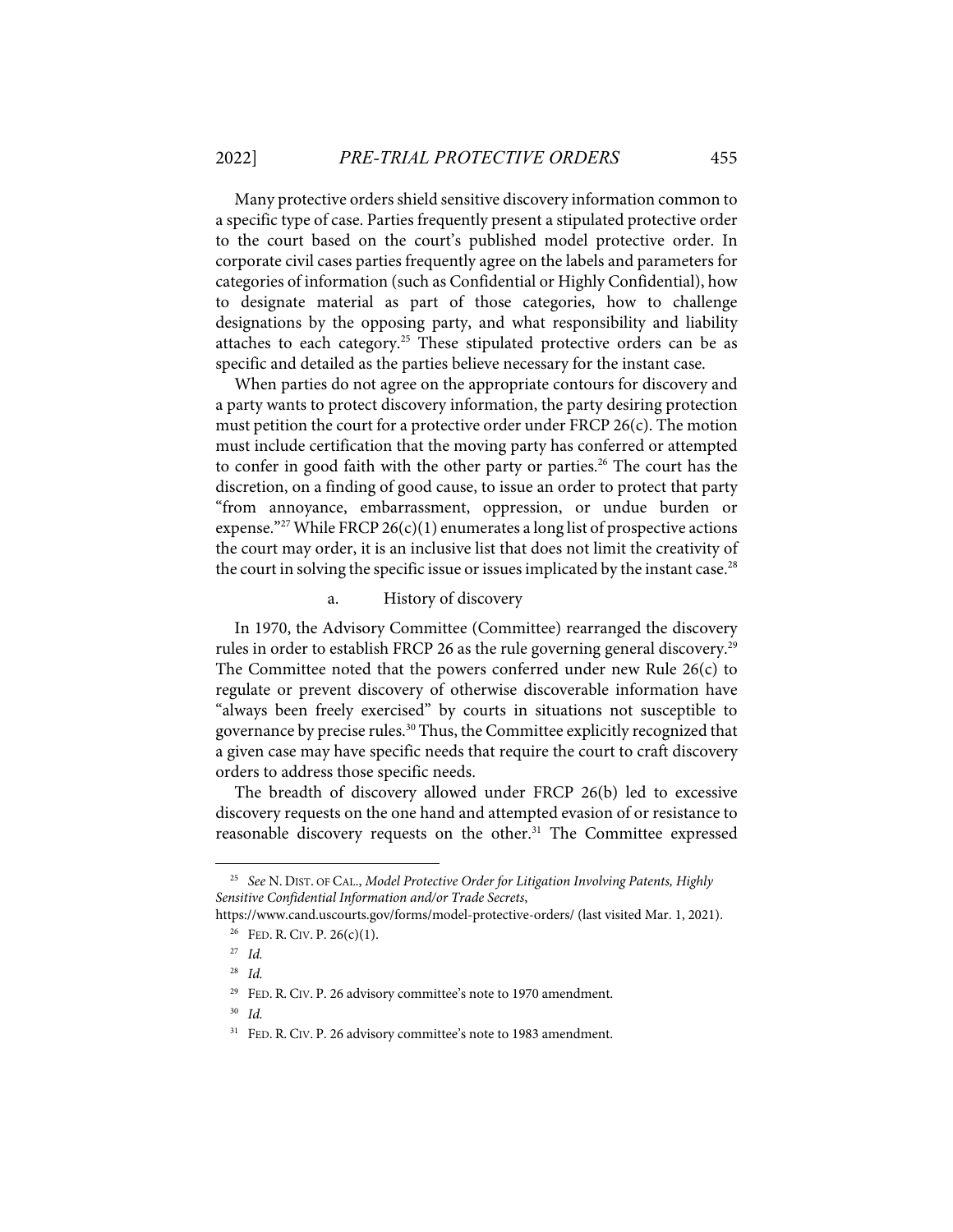Many protective orders shield sensitive discovery information common to a specific type of case. Parties frequently present a stipulated protective order to the court based on the court's published model protective order. In corporate civil cases parties frequently agree on the labels and parameters for categories of information (such as Confidential or Highly Confidential), how to designate material as part of those categories, how to challenge designations by the opposing party, and what responsibility and liability attaches to each category.<sup>25</sup> These stipulated protective orders can be as specific and detailed as the parties believe necessary for the instant case.

When parties do not agree on the appropriate contours for discovery and a party wants to protect discovery information, the party desiring protection must petition the court for a protective order under FRCP 26(c). The motion must include certification that the moving party has conferred or attempted to confer in good faith with the other party or parties.<sup>26</sup> The court has the discretion, on a finding of good cause, to issue an order to protect that party "from annoyance, embarrassment, oppression, or undue burden or expense."<sup>27</sup> While FRCP 26(c)(1) enumerates a long list of prospective actions the court may order, it is an inclusive list that does not limit the creativity of the court in solving the specific issue or issues implicated by the instant case.<sup>28</sup>

## a. History of discovery

In 1970, the Advisory Committee (Committee) rearranged the discovery rules in order to establish FRCP 26 as the rule governing general discovery.<sup>29</sup> The Committee noted that the powers conferred under new Rule 26(c) to regulate or prevent discovery of otherwise discoverable information have "always been freely exercised" by courts in situations not susceptible to governance by precise rules. <sup>30</sup> Thus, the Committee explicitly recognized that a given case may have specific needs that require the court to craft discovery orders to address those specific needs.

The breadth of discovery allowed under FRCP 26(b) led to excessive discovery requests on the one hand and attempted evasion of or resistance to reasonable discovery requests on the other.<sup>31</sup> The Committee expressed

<sup>25</sup> *See* N. DIST. OF CAL., *Model Protective Order for Litigation Involving Patents, Highly Sensitive Confidential Information and/or Trade Secrets*,

https://www.cand.uscourts.gov/forms/model-protective-orders/ (last visited Mar. 1, 2021).

<sup>&</sup>lt;sup>26</sup> FED. R. CIV. P.  $26(c)(1)$ .

<sup>27</sup> *Id.* 28 *Id.*

<sup>29</sup> FED. R. CIV. P. 26 advisory committee's note to 1970 amendment.

<sup>30</sup> *Id.*

<sup>&</sup>lt;sup>31</sup> FED. R. CIV. P. 26 advisory committee's note to 1983 amendment.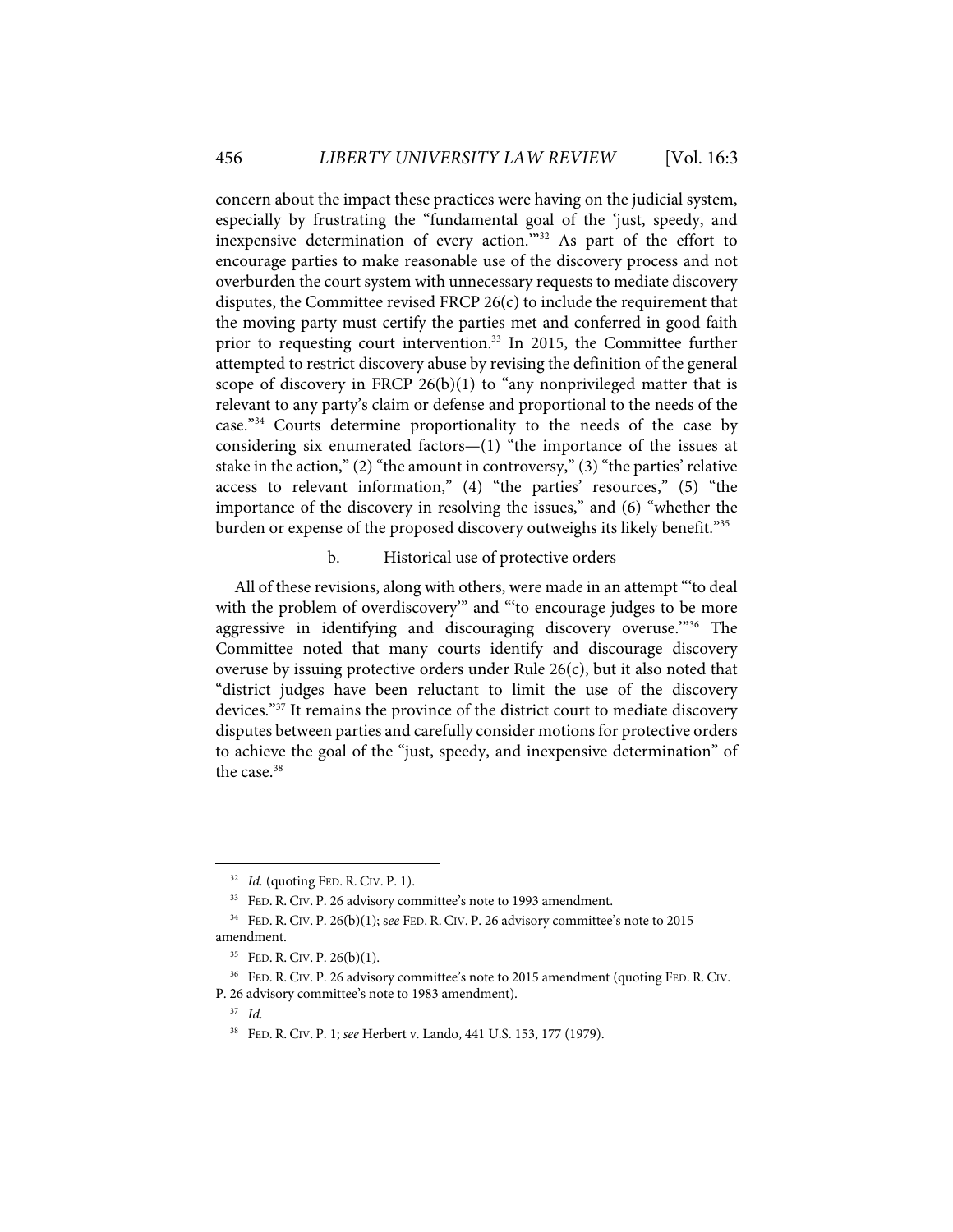concern about the impact these practices were having on the judicial system, especially by frustrating the "fundamental goal of the 'just, speedy, and inexpensive determination of every action.'"32 As part of the effort to encourage parties to make reasonable use of the discovery process and not overburden the court system with unnecessary requests to mediate discovery disputes, the Committee revised FRCP  $26(c)$  to include the requirement that the moving party must certify the parties met and conferred in good faith prior to requesting court intervention.<sup>33</sup> In 2015, the Committee further attempted to restrict discovery abuse by revising the definition of the general scope of discovery in FRCP  $26(b)(1)$  to "any nonprivileged matter that is relevant to any party's claim or defense and proportional to the needs of the case."<sup>34</sup> Courts determine proportionality to the needs of the case by considering six enumerated factors—(1) "the importance of the issues at stake in the action," (2) "the amount in controversy," (3) "the parties' relative access to relevant information," (4) "the parties' resources," (5) "the importance of the discovery in resolving the issues," and (6) "whether the burden or expense of the proposed discovery outweighs its likely benefit."<sup>35</sup>

#### b. Historical use of protective orders

All of these revisions, along with others, were made in an attempt "'to deal with the problem of overdiscovery" and "to encourage judges to be more aggressive in identifying and discouraging discovery overuse."<sup>36</sup> The Committee noted that many courts identify and discourage discovery overuse by issuing protective orders under Rule 26(c), but it also noted that "district judges have been reluctant to limit the use of the discovery devices."37 It remains the province of the district court to mediate discovery disputes between parties and carefully consider motions for protective orders to achieve the goal of the "just, speedy, and inexpensive determination" of the case.<sup>38</sup>

<sup>32</sup> *Id.* (quoting FED. R. CIV. P. 1).

<sup>33</sup> FED. R. CIV. P. 26 advisory committee's note to 1993 amendment.

<sup>34</sup> FED. R. CIV. P. 26(b)(1); s*ee* FED. R. CIV. P. 26 advisory committee's note to 2015 amendment.

<sup>35</sup> FED. R. CIV. P. 26(b)(1).

<sup>&</sup>lt;sup>36</sup> FED. R. CIV. P. 26 advisory committee's note to 2015 amendment (quoting FED. R. CIV. P. 26 advisory committee's note to 1983 amendment).

<sup>37</sup> *Id.*

<sup>38</sup> FED. R. CIV. P. 1; *see* Herbert v. Lando, 441 U.S. 153, 177 (1979).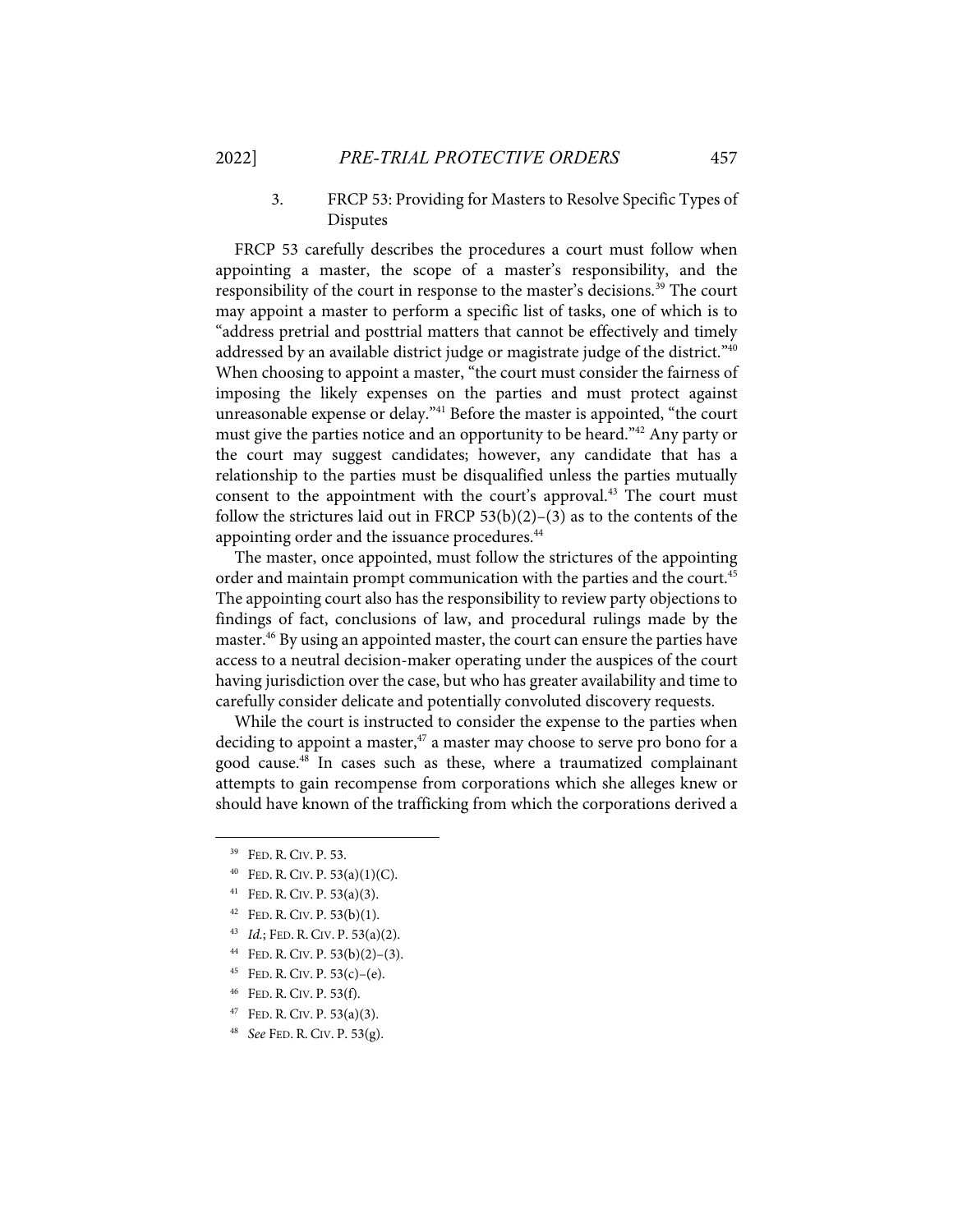## 3. FRCP 53: Providing for Masters to Resolve Specific Types of Disputes

FRCP 53 carefully describes the procedures a court must follow when appointing a master, the scope of a master's responsibility, and the responsibility of the court in response to the master's decisions.<sup>39</sup> The court may appoint a master to perform a specific list of tasks, one of which is to "address pretrial and posttrial matters that cannot be effectively and timely addressed by an available district judge or magistrate judge of the district."<sup>40</sup> When choosing to appoint a master, "the court must consider the fairness of imposing the likely expenses on the parties and must protect against unreasonable expense or delay."<sup>41</sup> Before the master is appointed, "the court must give the parties notice and an opportunity to be heard."<sup>42</sup> Any party or the court may suggest candidates; however, any candidate that has a relationship to the parties must be disqualified unless the parties mutually consent to the appointment with the court's approval.<sup>43</sup> The court must follow the strictures laid out in FRCP  $53(b)(2)-(3)$  as to the contents of the appointing order and the issuance procedures.<sup>44</sup>

The master, once appointed, must follow the strictures of the appointing order and maintain prompt communication with the parties and the court.<sup>45</sup> The appointing court also has the responsibility to review party objections to findings of fact, conclusions of law, and procedural rulings made by the master.<sup>46</sup> By using an appointed master, the court can ensure the parties have access to a neutral decision-maker operating under the auspices of the court having jurisdiction over the case, but who has greater availability and time to carefully consider delicate and potentially convoluted discovery requests.

While the court is instructed to consider the expense to the parties when deciding to appoint a master, $47$  a master may choose to serve pro bono for a good cause.<sup>48</sup> In cases such as these, where a traumatized complainant attempts to gain recompense from corporations which she alleges knew or should have known of the trafficking from which the corporations derived a

47 FED. R. CIV. P. 53(a)(3).

<sup>39</sup> FED. R. CIV. P. 53.

 $40$  FED. R. CIV. P. 53(a)(1)(C).

<sup>41</sup> FED. R. CIV. P. 53(a)(3).

 $42$  FED. R. CIV. P. 53(b)(1).

<sup>43</sup> *Id.*; FED. R. CIV. P. 53(a)(2).

<sup>&</sup>lt;sup>44</sup> FED. R. CIV. P.  $53(b)(2)-(3)$ .

<sup>45</sup> FED. R. CIV. P.  $53(c)$ – $(e)$ .

<sup>46</sup> FED. R. CIV. P. 53(f).

<sup>48</sup> *See* FED. R. CIV. P. 53(g).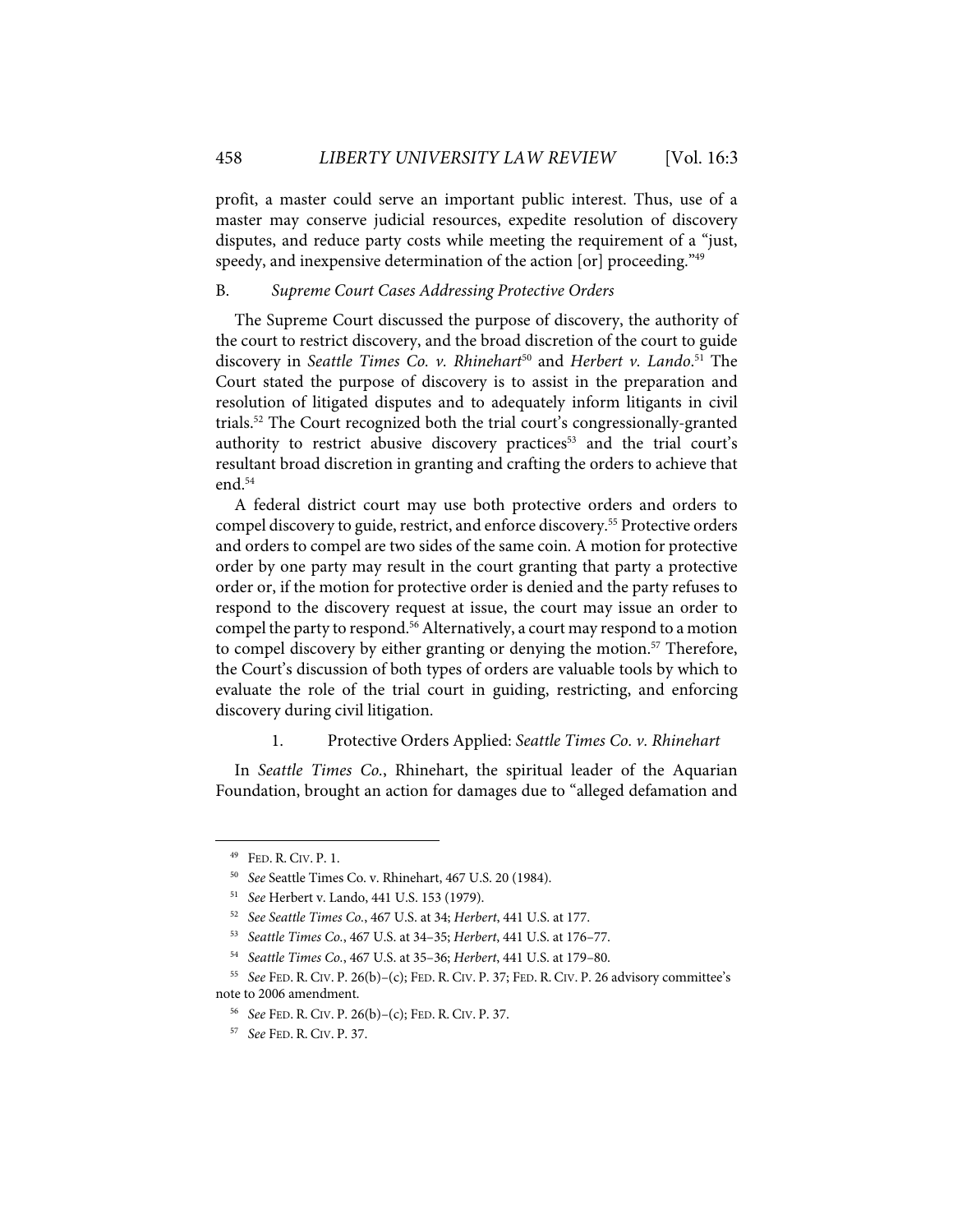profit, a master could serve an important public interest. Thus, use of a master may conserve judicial resources, expedite resolution of discovery disputes, and reduce party costs while meeting the requirement of a "just, speedy, and inexpensive determination of the action [or] proceeding."<sup>49</sup>

## B. *Supreme Court Cases Addressing Protective Orders*

The Supreme Court discussed the purpose of discovery, the authority of the court to restrict discovery, and the broad discretion of the court to guide discovery in *Seattle Times Co. v. Rhinehart*<sup>50</sup> and *Herbert v. Lando*.<sup>51</sup> The Court stated the purpose of discovery is to assist in the preparation and resolution of litigated disputes and to adequately inform litigants in civil trials.52 The Court recognized both the trial court's congressionally-granted authority to restrict abusive discovery practices<sup>53</sup> and the trial court's resultant broad discretion in granting and crafting the orders to achieve that end. $54$ 

A federal district court may use both protective orders and orders to compel discovery to guide, restrict, and enforce discovery.55 Protective orders and orders to compel are two sides of the same coin. A motion for protective order by one party may result in the court granting that party a protective order or, if the motion for protective order is denied and the party refuses to respond to the discovery request at issue, the court may issue an order to compel the party to respond.<sup>56</sup> Alternatively, a court may respond to a motion to compel discovery by either granting or denying the motion.<sup>57</sup> Therefore, the Court's discussion of both types of orders are valuable tools by which to evaluate the role of the trial court in guiding, restricting, and enforcing discovery during civil litigation.

## 1. Protective Orders Applied: *Seattle Times Co. v. Rhinehart*

In *Seattle Times Co.*, Rhinehart, the spiritual leader of the Aquarian Foundation, brought an action for damages due to "alleged defamation and

<sup>49</sup> FED. R. CIV. P. 1.

<sup>50</sup> *See* Seattle Times Co. v. Rhinehart, 467 U.S. 20 (1984).

<sup>51</sup> *See* Herbert v. Lando, 441 U.S. 153 (1979).

<sup>52</sup> *See Seattle Times Co.*, 467 U.S. at 34; *Herbert*, 441 U.S. at 177.

<sup>53</sup> *Seattle Times Co.*, 467 U.S. at 34–35; *Herbert*, 441 U.S. at 176–77.

<sup>54</sup> *Seattle Times Co.*, 467 U.S. at 35–36; *Herbert*, 441 U.S. at 179–80.

<sup>55</sup> *See* FED. R. CIV. P. 26(b)–(c); FED. R. CIV. P. 37; FED. R. CIV. P. 26 advisory committee's note to 2006 amendment.

<sup>56</sup> *See* FED. R. CIV. P. 26(b)–(c); FED. R. CIV. P. 37.

<sup>57</sup> *See* FED. R. CIV. P. 37.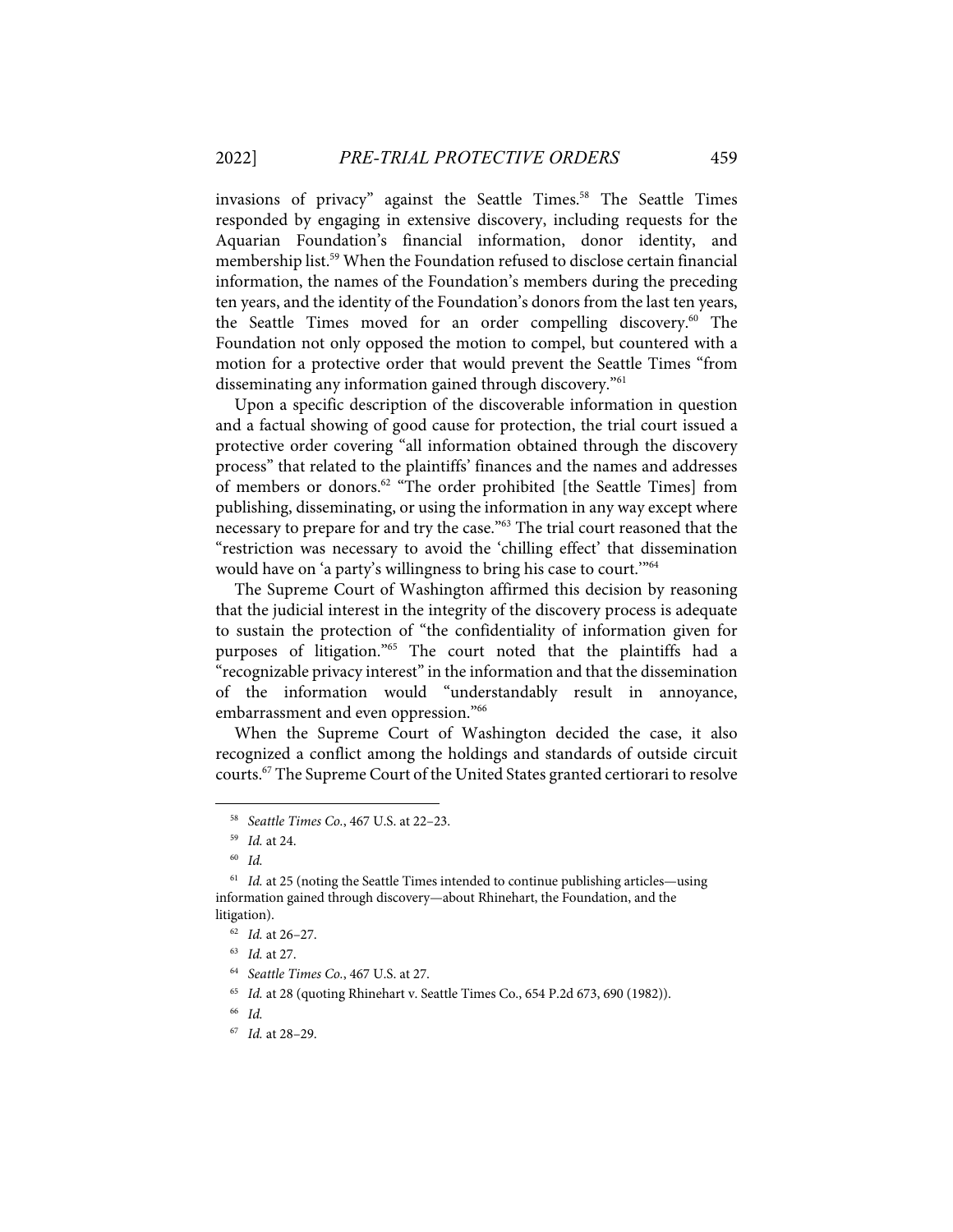invasions of privacy" against the Seattle Times.<sup>58</sup> The Seattle Times responded by engaging in extensive discovery, including requests for the Aquarian Foundation's financial information, donor identity, and membership list. <sup>59</sup> When the Foundation refused to disclose certain financial information, the names of the Foundation's members during the preceding ten years, and the identity of the Foundation's donors from the last ten years, the Seattle Times moved for an order compelling discovery.<sup>60</sup> The Foundation not only opposed the motion to compel, but countered with a motion for a protective order that would prevent the Seattle Times "from disseminating any information gained through discovery."61

Upon a specific description of the discoverable information in question and a factual showing of good cause for protection, the trial court issued a protective order covering "all information obtained through the discovery process" that related to the plaintiffs' finances and the names and addresses of members or donors.<sup>62</sup> "The order prohibited [the Seattle Times] from publishing, disseminating, or using the information in any way except where necessary to prepare for and try the case."63 The trial court reasoned that the "restriction was necessary to avoid the 'chilling effect' that dissemination would have on 'a party's willingness to bring his case to court.'"64

The Supreme Court of Washington affirmed this decision by reasoning that the judicial interest in the integrity of the discovery process is adequate to sustain the protection of "the confidentiality of information given for purposes of litigation."65 The court noted that the plaintiffs had a "recognizable privacy interest" in the information and that the dissemination of the information would "understandably result in annoyance, embarrassment and even oppression."66

When the Supreme Court of Washington decided the case, it also recognized a conflict among the holdings and standards of outside circuit courts.67 The Supreme Court of the United States granted certiorari to resolve

<sup>58</sup> *Seattle Times Co.*, 467 U.S. at 22–23.

<sup>59</sup> *Id.* at 24.

<sup>60</sup> *Id.*

<sup>&</sup>lt;sup>61</sup> *Id.* at 25 (noting the Seattle Times intended to continue publishing articles—using information gained through discovery—about Rhinehart, the Foundation, and the litigation).

<sup>62</sup> *Id.* at 26–27.

<sup>63</sup> *Id.* at 27.

<sup>64</sup> *Seattle Times Co.*, 467 U.S. at 27.

<sup>65</sup> *Id.* at 28 (quoting Rhinehart v. Seattle Times Co., 654 P.2d 673, 690 (1982)).

<sup>66</sup> *Id.*

<sup>67</sup> *Id.* at 28–29.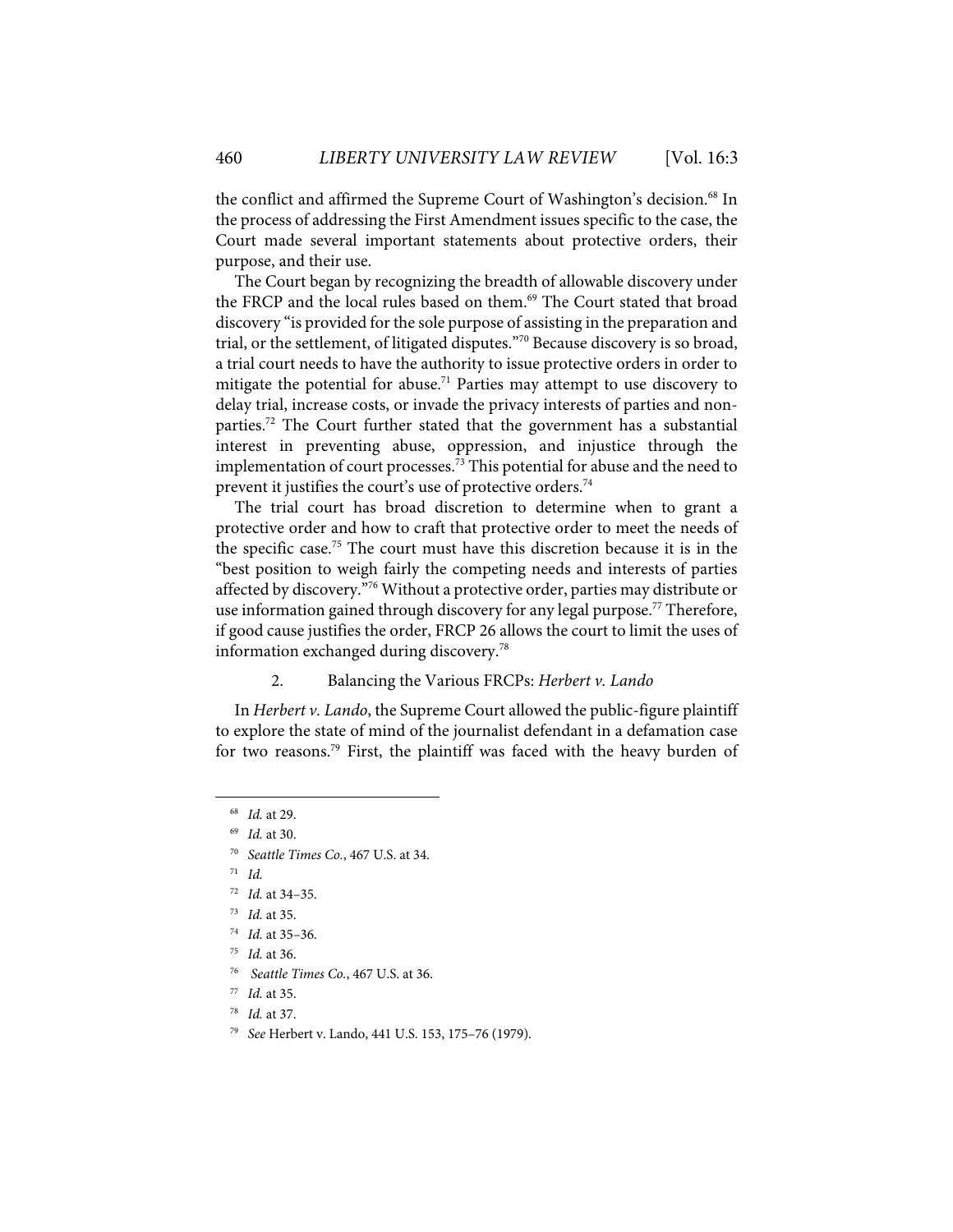the conflict and affirmed the Supreme Court of Washington's decision.<sup>68</sup> In the process of addressing the First Amendment issues specific to the case, the Court made several important statements about protective orders, their purpose, and their use.

The Court began by recognizing the breadth of allowable discovery under the FRCP and the local rules based on them.<sup>69</sup> The Court stated that broad discovery "is provided for the sole purpose of assisting in the preparation and trial, or the settlement, of litigated disputes."70 Because discovery is so broad, a trial court needs to have the authority to issue protective orders in order to mitigate the potential for abuse.<sup>71</sup> Parties may attempt to use discovery to delay trial, increase costs, or invade the privacy interests of parties and nonparties.<sup>72</sup> The Court further stated that the government has a substantial interest in preventing abuse, oppression, and injustice through the implementation of court processes.<sup>73</sup> This potential for abuse and the need to prevent it justifies the court's use of protective orders.<sup>74</sup>

The trial court has broad discretion to determine when to grant a protective order and how to craft that protective order to meet the needs of the specific case.75 The court must have this discretion because it is in the "best position to weigh fairly the competing needs and interests of parties affected by discovery."<sup>76</sup> Without a protective order, parties may distribute or use information gained through discovery for any legal purpose.<sup>77</sup> Therefore, if good cause justifies the order, FRCP 26 allows the court to limit the uses of information exchanged during discovery.78

#### 2. Balancing the Various FRCPs: *Herbert v. Lando*

In *Herbert v. Lando*, the Supreme Court allowed the public-figure plaintiff to explore the state of mind of the journalist defendant in a defamation case for two reasons.<sup>79</sup> First, the plaintiff was faced with the heavy burden of

<sup>68</sup> *Id.* at 29.

<sup>69</sup> *Id.* at 30.

<sup>70</sup> *Seattle Times Co.*, 467 U.S. at 34.

<sup>71</sup> *Id.*

<sup>72</sup> *Id.* at 34–35.

<sup>73</sup> *Id.* at 35.

<sup>74</sup> *Id.* at 35–36.

<sup>75</sup> *Id.* at 36.

<sup>76</sup> *Seattle Times Co.*, 467 U.S. at 36.

<sup>77</sup> *Id.* at 35.

<sup>78</sup> *Id.* at 37.

<sup>79</sup> *See* Herbert v. Lando, 441 U.S. 153, 175–76 (1979).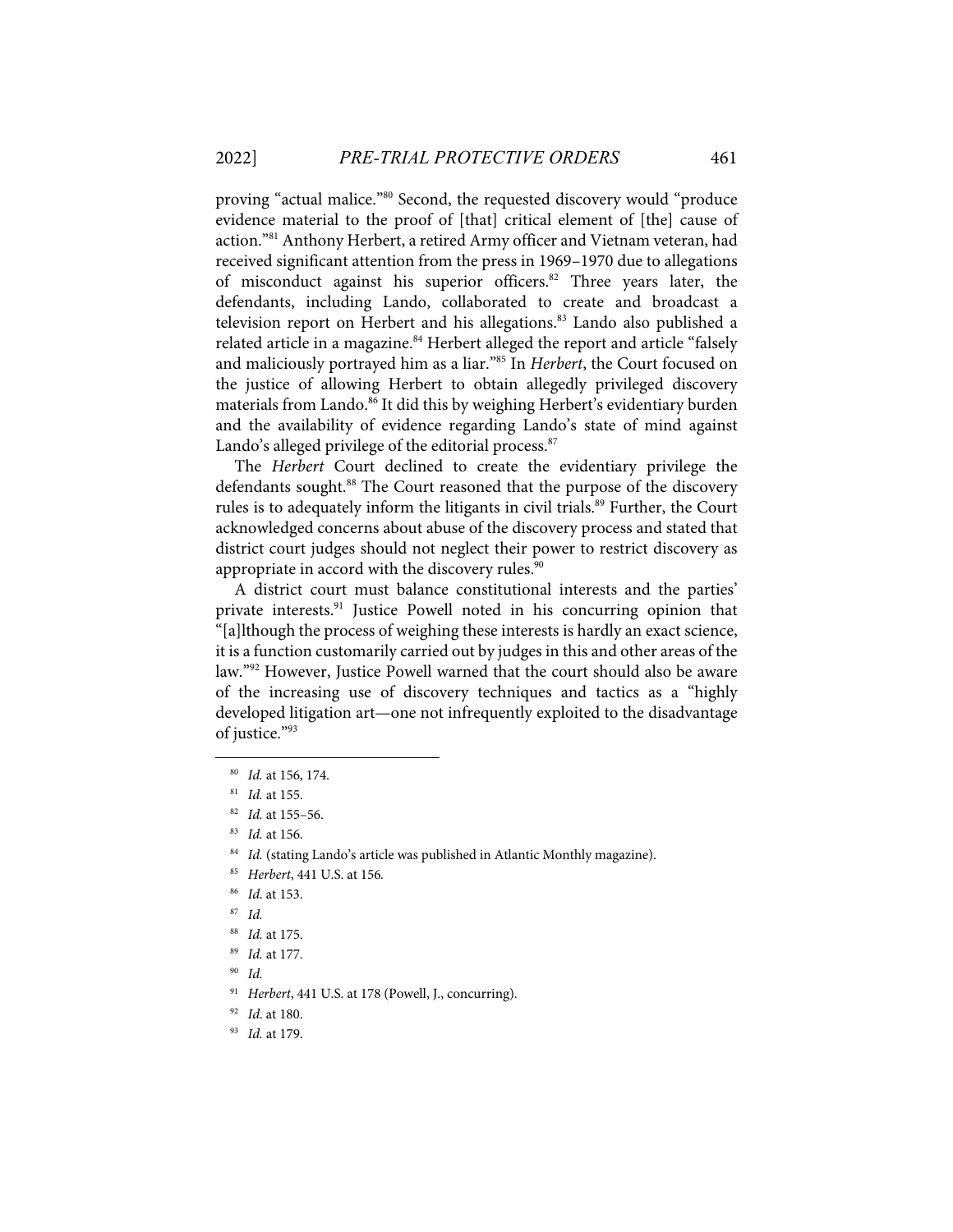proving "actual malice."80 Second, the requested discovery would "produce evidence material to the proof of [that] critical element of [the] cause of action."<sup>81</sup> Anthony Herbert, a retired Army officer and Vietnam veteran, had received significant attention from the press in 1969–1970 due to allegations of misconduct against his superior officers.<sup>82</sup> Three years later, the defendants, including Lando, collaborated to create and broadcast a television report on Herbert and his allegations. <sup>83</sup> Lando also published a related article in a magazine.<sup>84</sup> Herbert alleged the report and article "falsely and maliciously portrayed him as a liar."85 In *Herbert*, the Court focused on the justice of allowing Herbert to obtain allegedly privileged discovery materials from Lando. <sup>86</sup> It did this by weighing Herbert's evidentiary burden and the availability of evidence regarding Lando's state of mind against Lando's alleged privilege of the editorial process.<sup>87</sup>

The *Herbert* Court declined to create the evidentiary privilege the defendants sought. <sup>88</sup> The Court reasoned that the purpose of the discovery rules is to adequately inform the litigants in civil trials.<sup>89</sup> Further, the Court acknowledged concerns about abuse of the discovery process and stated that district court judges should not neglect their power to restrict discovery as appropriate in accord with the discovery rules. $90$ 

A district court must balance constitutional interests and the parties' private interests.<sup>91</sup> Justice Powell noted in his concurring opinion that "[a]lthough the process of weighing these interests is hardly an exact science, it is a function customarily carried out by judges in this and other areas of the law."92 However, Justice Powell warned that the court should also be aware of the increasing use of discovery techniques and tactics as a "highly developed litigation art—one not infrequently exploited to the disadvantage of justice."93

<sup>80</sup> *Id.* at 156, 174.

<sup>81</sup> *Id.* at 155.

<sup>82</sup> *Id.* at 155–56.

<sup>83</sup> *Id.* at 156.

<sup>&</sup>lt;sup>84</sup> Id. (stating Lando's article was published in Atlantic Monthly magazine).

<sup>85</sup> *Herbert*, 441 U.S. at 156*.*

<sup>86</sup> *Id*. at 153.

<sup>87</sup> *Id.*

<sup>88</sup> *Id.* at 175.

<sup>89</sup> *Id.* at 177.

<sup>90</sup> *Id.*

<sup>91</sup> *Herbert*, 441 U.S. at 178 (Powell, J., concurring).

<sup>92</sup> *Id*. at 180.

<sup>93</sup> *Id.* at 179.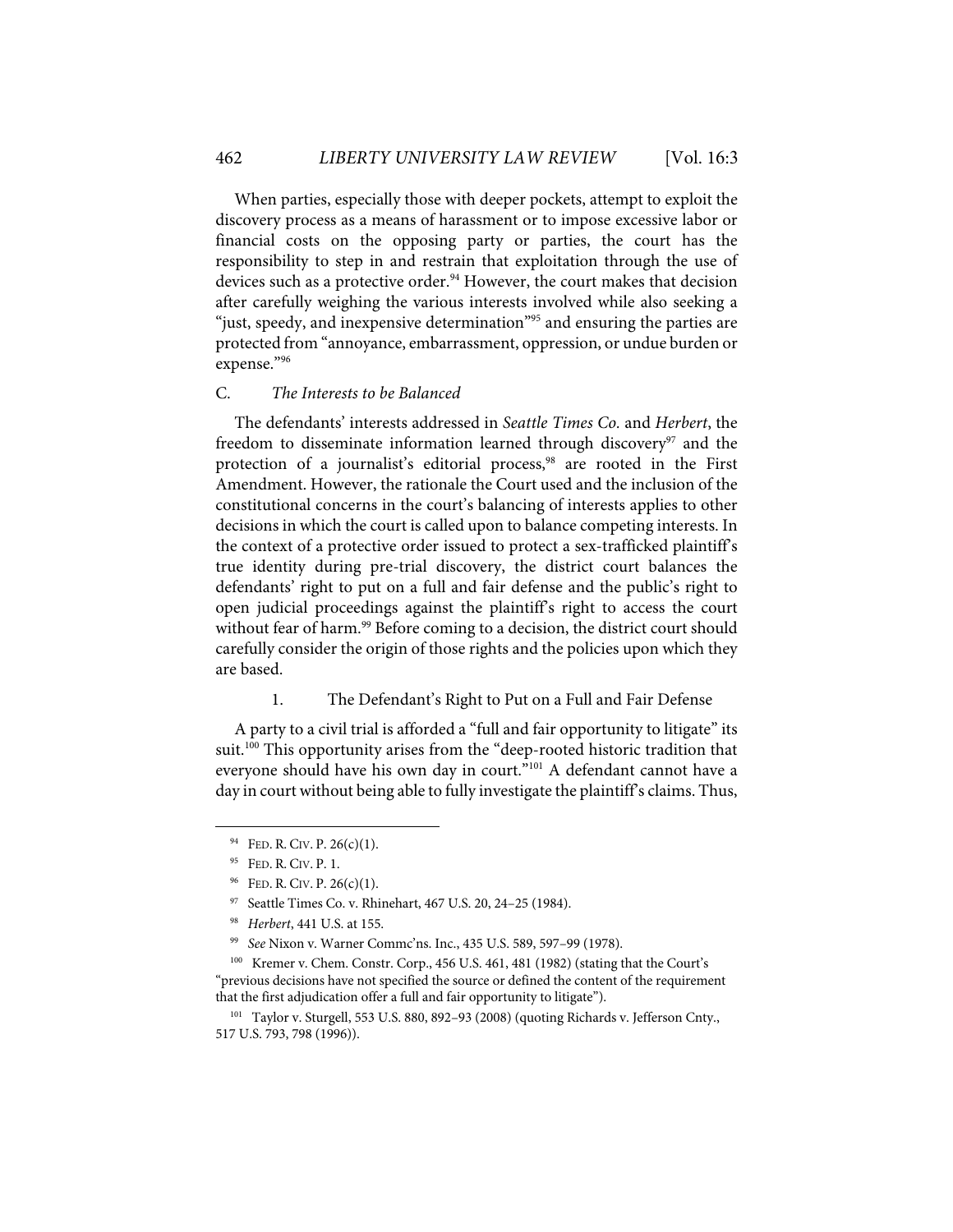When parties, especially those with deeper pockets, attempt to exploit the discovery process as a means of harassment or to impose excessive labor or financial costs on the opposing party or parties, the court has the responsibility to step in and restrain that exploitation through the use of devices such as a protective order.<sup>94</sup> However, the court makes that decision after carefully weighing the various interests involved while also seeking a "just, speedy, and inexpensive determination<sup>"95</sup> and ensuring the parties are protected from "annoyance, embarrassment, oppression, or undue burden or expense."96

## C. *The Interests to be Balanced*

The defendants' interests addressed in *Seattle Times Co.* and *Herbert*, the freedom to disseminate information learned through discovery<sup>97</sup> and the protection of a journalist's editorial process, <sup>98</sup> are rooted in the First Amendment. However, the rationale the Court used and the inclusion of the constitutional concerns in the court's balancing of interests applies to other decisions in which the court is called upon to balance competing interests. In the context of a protective order issued to protect a sex-trafficked plaintiff's true identity during pre-trial discovery, the district court balances the defendants' right to put on a full and fair defense and the public's right to open judicial proceedings against the plaintiff's right to access the court without fear of harm. <sup>99</sup> Before coming to a decision, the district court should carefully consider the origin of those rights and the policies upon which they are based.

#### 1. The Defendant's Right to Put on a Full and Fair Defense

A party to a civil trial is afforded a "full and fair opportunity to litigate" its suit.<sup>100</sup> This opportunity arises from the "deep-rooted historic tradition that everyone should have his own day in court."<sup>101</sup> A defendant cannot have a day in court without being able to fully investigate the plaintiff's claims. Thus,

 $94$  FED. R. CIV. P. 26(c)(1).

<sup>95</sup> FED. R. CIV. P. 1.

 $96$  FED. R. CIV. P. 26(c)(1).

<sup>97</sup> Seattle Times Co. v. Rhinehart, 467 U.S. 20, 24–25 (1984).

<sup>98</sup> *Herbert*, 441 U.S. at 155.

<sup>99</sup> *See* Nixon v. Warner Commc'ns. Inc., 435 U.S. 589, 597–99 (1978).

<sup>100</sup> Kremer v. Chem. Constr. Corp., 456 U.S. 461, 481 (1982) (stating that the Court's "previous decisions have not specified the source or defined the content of the requirement that the first adjudication offer a full and fair opportunity to litigate").

<sup>&</sup>lt;sup>101</sup> Taylor v. Sturgell, 553 U.S. 880, 892-93 (2008) (quoting Richards v. Jefferson Cnty., 517 U.S. 793, 798 (1996)).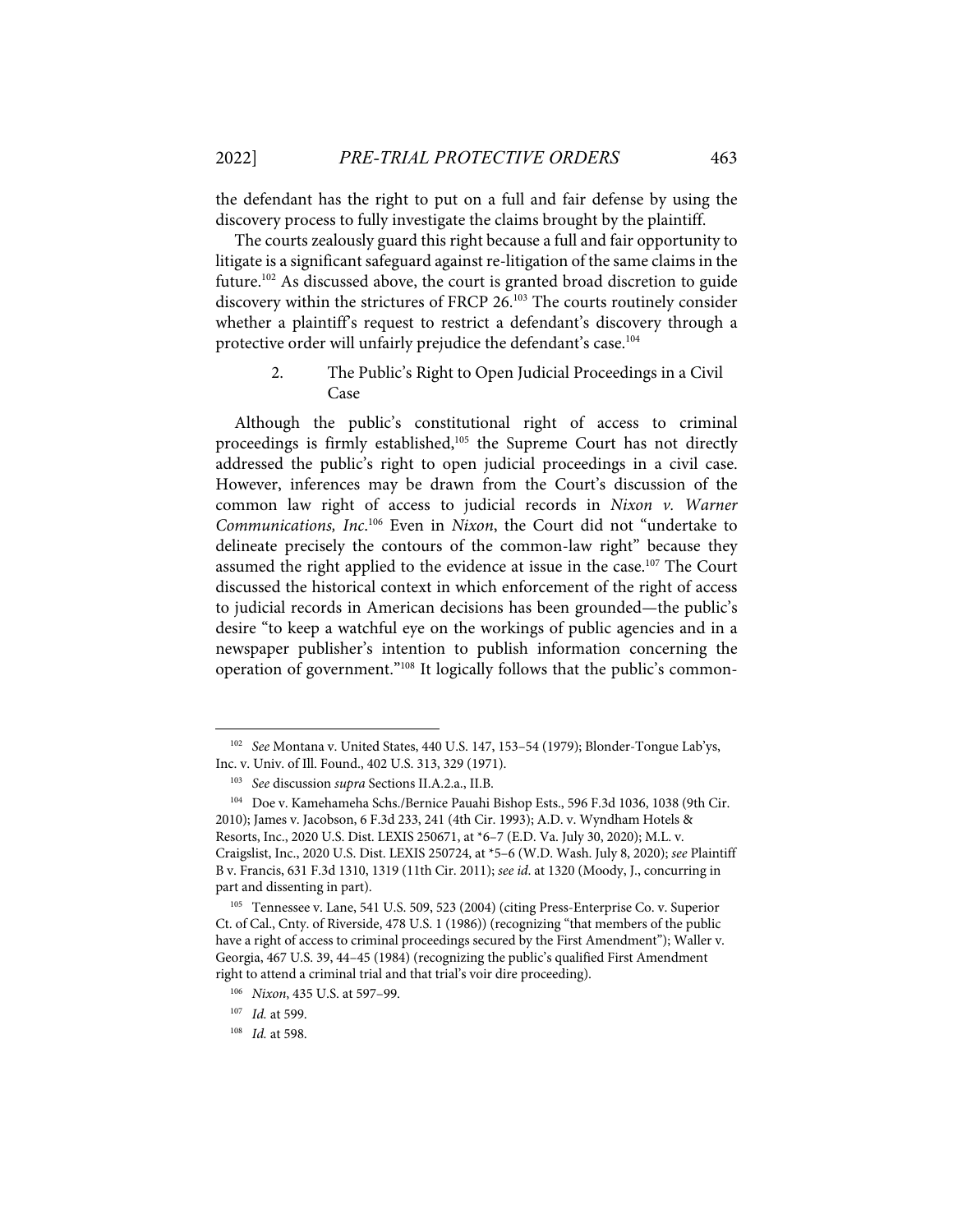the defendant has the right to put on a full and fair defense by using the discovery process to fully investigate the claims brought by the plaintiff.

The courts zealously guard this right because a full and fair opportunity to litigate is a significant safeguard against re-litigation of the same claims in the future.102 As discussed above, the court is granted broad discretion to guide discovery within the strictures of FRCP 26. <sup>103</sup> The courts routinely consider whether a plaintiff's request to restrict a defendant's discovery through a protective order will unfairly prejudice the defendant's case.<sup>104</sup>

## 2. The Public's Right to Open Judicial Proceedings in a Civil Case

Although the public's constitutional right of access to criminal proceedings is firmly established,<sup>105</sup> the Supreme Court has not directly addressed the public's right to open judicial proceedings in a civil case. However, inferences may be drawn from the Court's discussion of the common law right of access to judicial records in *Nixon v. Warner Communications, Inc*. <sup>106</sup> Even in *Nixon*, the Court did not "undertake to delineate precisely the contours of the common-law right" because they assumed the right applied to the evidence at issue in the case.<sup>107</sup> The Court discussed the historical context in which enforcement of the right of access to judicial records in American decisions has been grounded—the public's desire "to keep a watchful eye on the workings of public agencies and in a newspaper publisher's intention to publish information concerning the operation of government."108 It logically follows that the public's common-

<sup>102</sup> *See* Montana v. United States, 440 U.S. 147, 153–54 (1979); Blonder-Tongue Lab'ys, Inc. v. Univ. of Ill. Found., 402 U.S. 313, 329 (1971).

<sup>103</sup> *See* discussion *supra* Sections II.A.2.a., II.B.

<sup>104</sup> Doe v. Kamehameha Schs./Bernice Pauahi Bishop Ests., 596 F.3d 1036, 1038 (9th Cir. 2010); James v. Jacobson, 6 F.3d 233, 241 (4th Cir. 1993); A.D. v. Wyndham Hotels & Resorts, Inc., 2020 U.S. Dist. LEXIS 250671, at \*6–7 (E.D. Va. July 30, 2020); M.L. v. Craigslist, Inc., 2020 U.S. Dist. LEXIS 250724, at \*5–6 (W.D. Wash. July 8, 2020); *see* Plaintiff B v. Francis, 631 F.3d 1310, 1319 (11th Cir. 2011); *see id*. at 1320 (Moody, J., concurring in part and dissenting in part).

<sup>105</sup> Tennessee v. Lane, 541 U.S. 509, 523 (2004) (citing Press-Enterprise Co. v. Superior Ct. of Cal., Cnty. of Riverside, 478 U.S. 1 (1986)) (recognizing "that members of the public have a right of access to criminal proceedings secured by the First Amendment"); Waller v. Georgia, 467 U.S. 39, 44–45 (1984) (recognizing the public's qualified First Amendment right to attend a criminal trial and that trial's voir dire proceeding).

<sup>106</sup> *Nixon*, 435 U.S. at 597–99.

<sup>107</sup> *Id.* at 599.

<sup>108</sup> *Id.* at 598.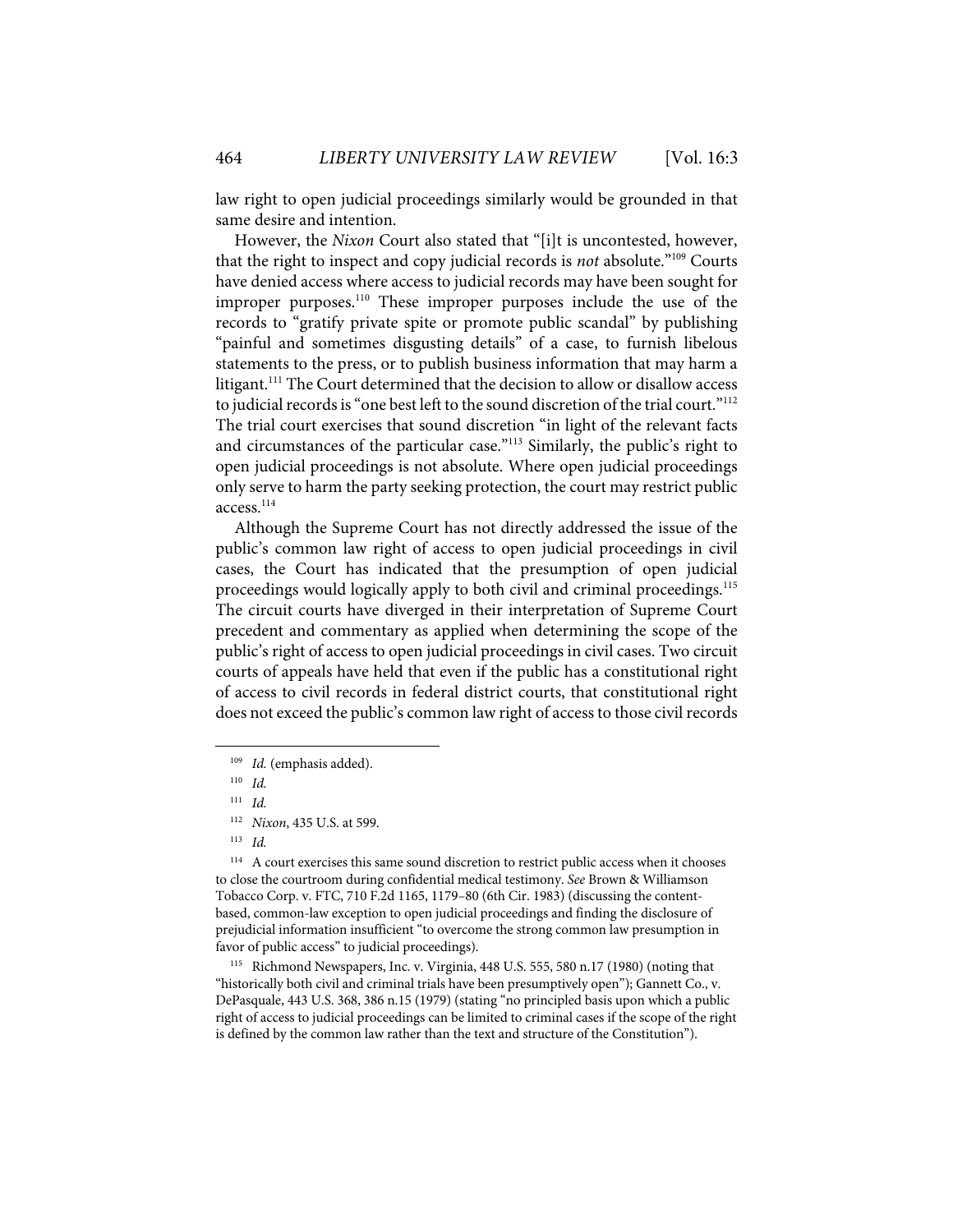law right to open judicial proceedings similarly would be grounded in that same desire and intention.

However, the *Nixon* Court also stated that "[i]t is uncontested, however, that the right to inspect and copy judicial records is *not* absolute."109 Courts have denied access where access to judicial records may have been sought for improper purposes.110 These improper purposes include the use of the records to "gratify private spite or promote public scandal" by publishing "painful and sometimes disgusting details" of a case, to furnish libelous statements to the press, or to publish business information that may harm a litigant.<sup>111</sup> The Court determined that the decision to allow or disallow access to judicial records is "one best left to the sound discretion of the trial court."<sup>112</sup> The trial court exercises that sound discretion "in light of the relevant facts and circumstances of the particular case."<sup>113</sup> Similarly, the public's right to open judicial proceedings is not absolute. Where open judicial proceedings only serve to harm the party seeking protection, the court may restrict public access.114

Although the Supreme Court has not directly addressed the issue of the public's common law right of access to open judicial proceedings in civil cases, the Court has indicated that the presumption of open judicial proceedings would logically apply to both civil and criminal proceedings. 115 The circuit courts have diverged in their interpretation of Supreme Court precedent and commentary as applied when determining the scope of the public's right of access to open judicial proceedings in civil cases. Two circuit courts of appeals have held that even if the public has a constitutional right of access to civil records in federal district courts, that constitutional right does not exceed the public's common law right of access to those civil records

<sup>114</sup> A court exercises this same sound discretion to restrict public access when it chooses to close the courtroom during confidential medical testimony. *See* Brown & Williamson Tobacco Corp. v. FTC, 710 F.2d 1165, 1179–80 (6th Cir. 1983) (discussing the contentbased, common-law exception to open judicial proceedings and finding the disclosure of prejudicial information insufficient "to overcome the strong common law presumption in favor of public access" to judicial proceedings).

115 Richmond Newspapers, Inc. v. Virginia, 448 U.S. 555, 580 n.17 (1980) (noting that "historically both civil and criminal trials have been presumptively open"); Gannett Co., v. DePasquale, 443 U.S. 368, 386 n.15 (1979) (stating "no principled basis upon which a public right of access to judicial proceedings can be limited to criminal cases if the scope of the right is defined by the common law rather than the text and structure of the Constitution").

<sup>109</sup> *Id.* (emphasis added).

<sup>110</sup> *Id.*

<sup>111</sup> *Id.*

<sup>112</sup> *Nixon*, 435 U.S. at 599.

<sup>113</sup> *Id.*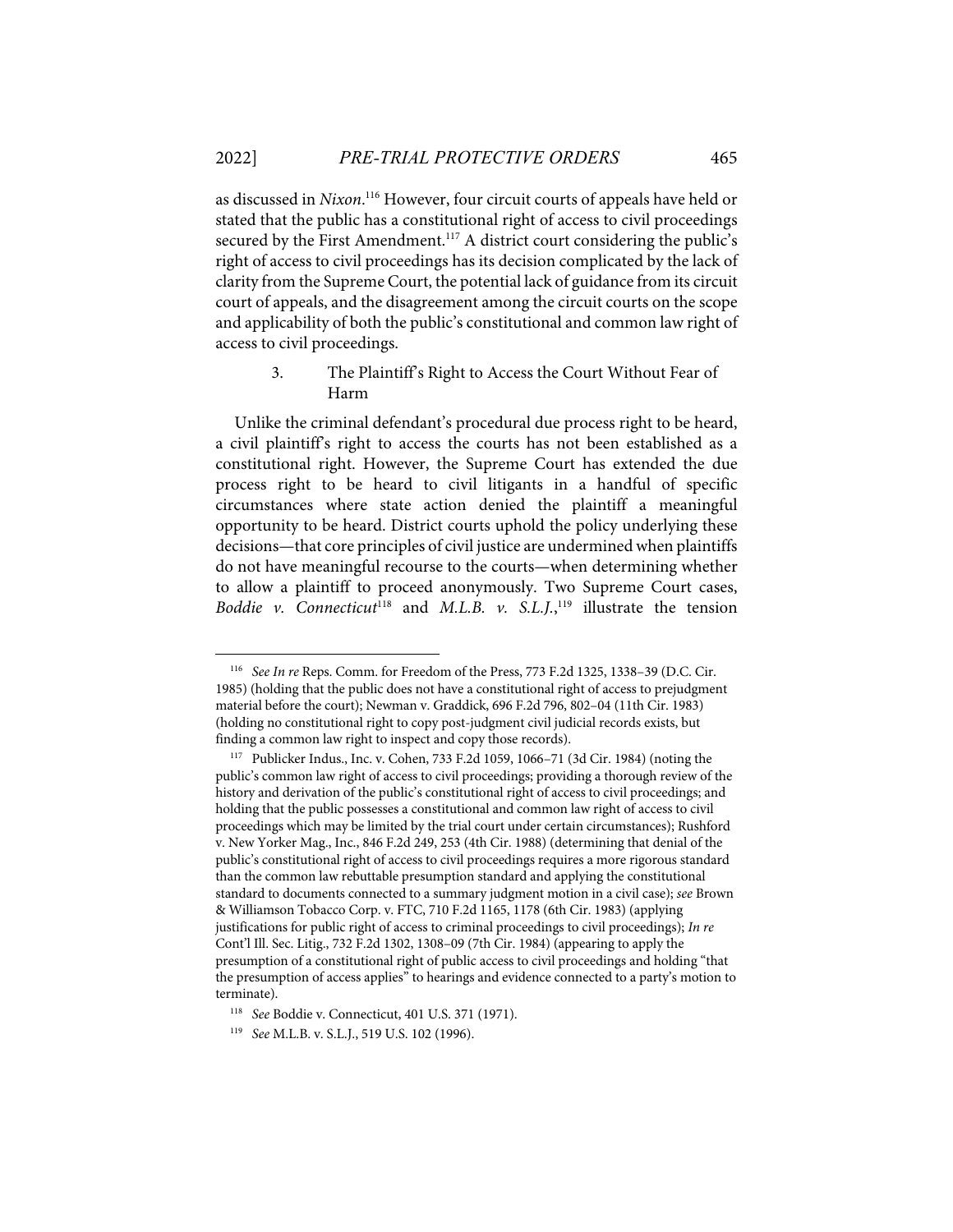as discussed in *Nixon*. <sup>116</sup> However, four circuit courts of appeals have held or stated that the public has a constitutional right of access to civil proceedings secured by the First Amendment.<sup>117</sup> A district court considering the public's right of access to civil proceedings has its decision complicated by the lack of clarity from the Supreme Court, the potential lack of guidance from its circuit court of appeals, and the disagreement among the circuit courts on the scope and applicability of both the public's constitutional and common law right of access to civil proceedings.

## 3. The Plaintiff's Right to Access the Court Without Fear of Harm

Unlike the criminal defendant's procedural due process right to be heard, a civil plaintiff's right to access the courts has not been established as a constitutional right. However, the Supreme Court has extended the due process right to be heard to civil litigants in a handful of specific circumstances where state action denied the plaintiff a meaningful opportunity to be heard. District courts uphold the policy underlying these decisions—that core principles of civil justice are undermined when plaintiffs do not have meaningful recourse to the courts—when determining whether to allow a plaintiff to proceed anonymously. Two Supreme Court cases, *Boddie v.* Connecticut<sup>118</sup> and *M.L.B. v. S.L.J.*<sup>119</sup> illustrate the tension

<sup>116</sup> *See In re* Reps. Comm. for Freedom of the Press, 773 F.2d 1325, 1338–39 (D.C. Cir. 1985) (holding that the public does not have a constitutional right of access to prejudgment material before the court); Newman v. Graddick, 696 F.2d 796, 802–04 (11th Cir. 1983) (holding no constitutional right to copy post-judgment civil judicial records exists, but finding a common law right to inspect and copy those records).

<sup>117</sup> Publicker Indus., Inc. v. Cohen, 733 F.2d 1059, 1066–71 (3d Cir. 1984) (noting the public's common law right of access to civil proceedings; providing a thorough review of the history and derivation of the public's constitutional right of access to civil proceedings; and holding that the public possesses a constitutional and common law right of access to civil proceedings which may be limited by the trial court under certain circumstances); Rushford v. New Yorker Mag., Inc., 846 F.2d 249, 253 (4th Cir. 1988) (determining that denial of the public's constitutional right of access to civil proceedings requires a more rigorous standard than the common law rebuttable presumption standard and applying the constitutional standard to documents connected to a summary judgment motion in a civil case); *see* Brown & Williamson Tobacco Corp. v. FTC, 710 F.2d 1165, 1178 (6th Cir. 1983) (applying justifications for public right of access to criminal proceedings to civil proceedings); *In re* Cont'l Ill. Sec. Litig., 732 F.2d 1302, 1308–09 (7th Cir. 1984) (appearing to apply the presumption of a constitutional right of public access to civil proceedings and holding "that the presumption of access applies" to hearings and evidence connected to a party's motion to terminate).

<sup>118</sup> *See* Boddie v. Connecticut, 401 U.S. 371 (1971).

<sup>119</sup> *See* M.L.B. v. S.L.J., 519 U.S. 102 (1996).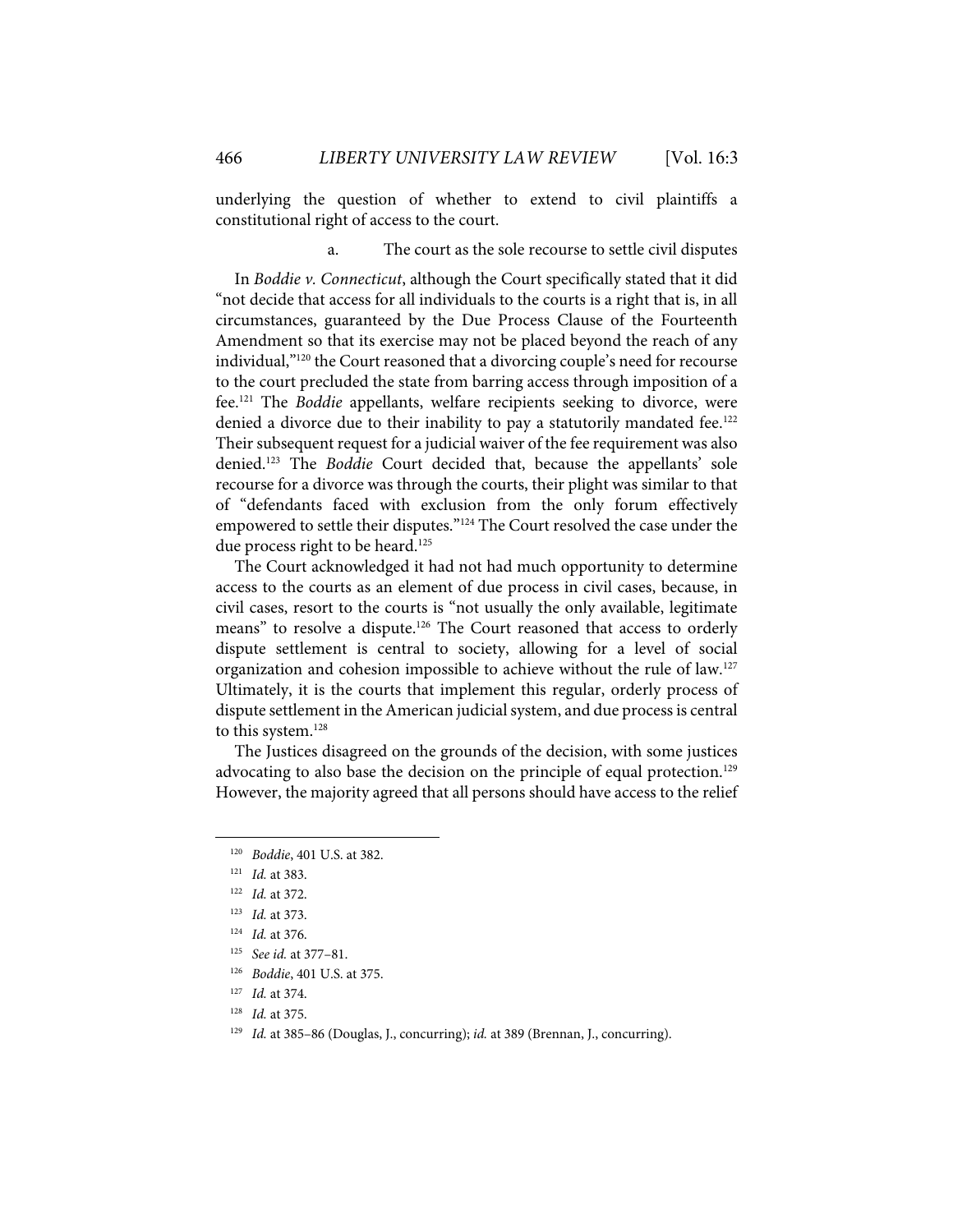underlying the question of whether to extend to civil plaintiffs a constitutional right of access to the court.

a. The court as the sole recourse to settle civil disputes

In *Boddie v. Connecticut*, although the Court specifically stated that it did "not decide that access for all individuals to the courts is a right that is, in all circumstances, guaranteed by the Due Process Clause of the Fourteenth Amendment so that its exercise may not be placed beyond the reach of any individual,"120 the Court reasoned that a divorcing couple's need for recourse to the court precluded the state from barring access through imposition of a fee. <sup>121</sup> The *Boddie* appellants, welfare recipients seeking to divorce, were denied a divorce due to their inability to pay a statutorily mandated fee.<sup>122</sup> Their subsequent request for a judicial waiver of the fee requirement was also denied.123 The *Boddie* Court decided that, because the appellants' sole recourse for a divorce was through the courts, their plight was similar to that of "defendants faced with exclusion from the only forum effectively empowered to settle their disputes."<sup>124</sup> The Court resolved the case under the due process right to be heard.<sup>125</sup>

The Court acknowledged it had not had much opportunity to determine access to the courts as an element of due process in civil cases, because, in civil cases, resort to the courts is "not usually the only available, legitimate means" to resolve a dispute.<sup>126</sup> The Court reasoned that access to orderly dispute settlement is central to society, allowing for a level of social organization and cohesion impossible to achieve without the rule of law.<sup>127</sup> Ultimately, it is the courts that implement this regular, orderly process of dispute settlement in the American judicial system, and due process is central to this system.<sup>128</sup>

The Justices disagreed on the grounds of the decision, with some justices advocating to also base the decision on the principle of equal protection.<sup>129</sup> However, the majority agreed that all persons should have access to the relief

<sup>120</sup> *Boddie*, 401 U.S. at 382.

<sup>121</sup> *Id.* at 383.

<sup>122</sup> *Id.* at 372.

<sup>123</sup> *Id.* at 373.

<sup>124</sup> *Id.* at 376.

<sup>125</sup> *See id.* at 377–81.

<sup>126</sup> *Boddie*, 401 U.S. at 375.

<sup>127</sup> *Id.* at 374.

<sup>128</sup> *Id.* at 375.

<sup>129</sup> *Id.* at 385–86 (Douglas, J., concurring); *id.* at 389 (Brennan, J., concurring).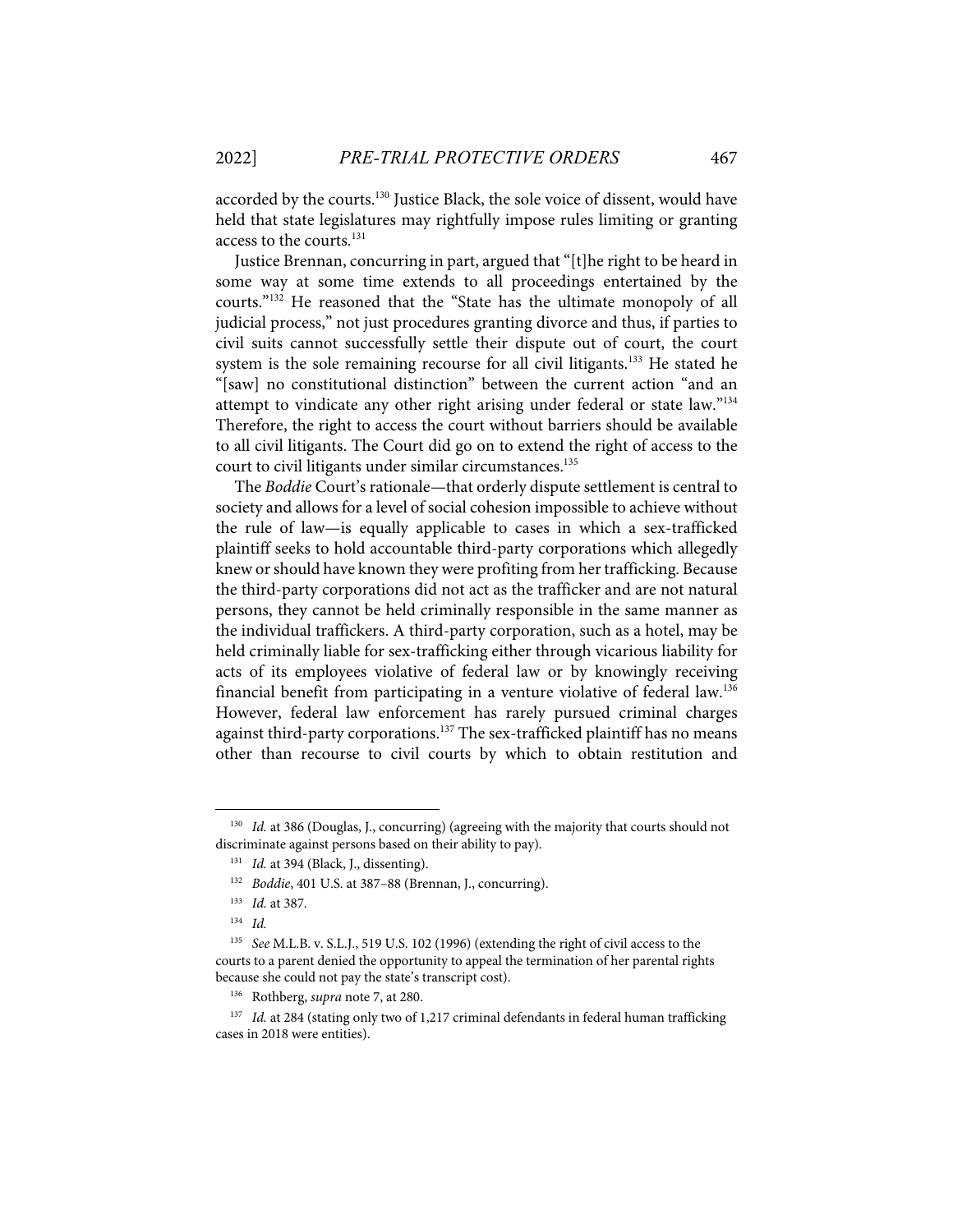accorded by the courts.<sup>130</sup> Justice Black, the sole voice of dissent, would have held that state legislatures may rightfully impose rules limiting or granting access to the courts. 131

Justice Brennan, concurring in part, argued that "[t]he right to be heard in some way at some time extends to all proceedings entertained by the courts."<sup>132</sup> He reasoned that the "State has the ultimate monopoly of all judicial process," not just procedures granting divorce and thus, if parties to civil suits cannot successfully settle their dispute out of court, the court system is the sole remaining recourse for all civil litigants.<sup>133</sup> He stated he "[saw] no constitutional distinction" between the current action "and an attempt to vindicate any other right arising under federal or state law."<sup>134</sup> Therefore, the right to access the court without barriers should be available to all civil litigants. The Court did go on to extend the right of access to the court to civil litigants under similar circumstances.<sup>135</sup>

The *Boddie* Court's rationale—that orderly dispute settlement is central to society and allows for a level of social cohesion impossible to achieve without the rule of law—is equally applicable to cases in which a sex-trafficked plaintiff seeks to hold accountable third-party corporations which allegedly knew or should have known they were profiting from her trafficking. Because the third-party corporations did not act as the trafficker and are not natural persons, they cannot be held criminally responsible in the same manner as the individual traffickers. A third-party corporation, such as a hotel, may be held criminally liable for sex-trafficking either through vicarious liability for acts of its employees violative of federal law or by knowingly receiving financial benefit from participating in a venture violative of federal law.<sup>136</sup> However, federal law enforcement has rarely pursued criminal charges against third-party corporations.<sup>137</sup> The sex-trafficked plaintiff has no means other than recourse to civil courts by which to obtain restitution and

<sup>&</sup>lt;sup>130</sup> *Id.* at 386 (Douglas, J., concurring) (agreeing with the majority that courts should not discriminate against persons based on their ability to pay).

<sup>&</sup>lt;sup>131</sup> *Id.* at 394 (Black, J., dissenting).

<sup>132</sup> *Boddie*, 401 U.S. at 387–88 (Brennan, J., concurring).

<sup>133</sup> *Id.* at 387.

<sup>134</sup> *Id.*

<sup>135</sup> *See* M.L.B. v. S.L.J., 519 U.S. 102 (1996) (extending the right of civil access to the courts to a parent denied the opportunity to appeal the termination of her parental rights because she could not pay the state's transcript cost).

<sup>136</sup> Rothberg, *supra* note 7, at 280.

<sup>&</sup>lt;sup>137</sup> *Id.* at 284 (stating only two of 1,217 criminal defendants in federal human trafficking cases in 2018 were entities).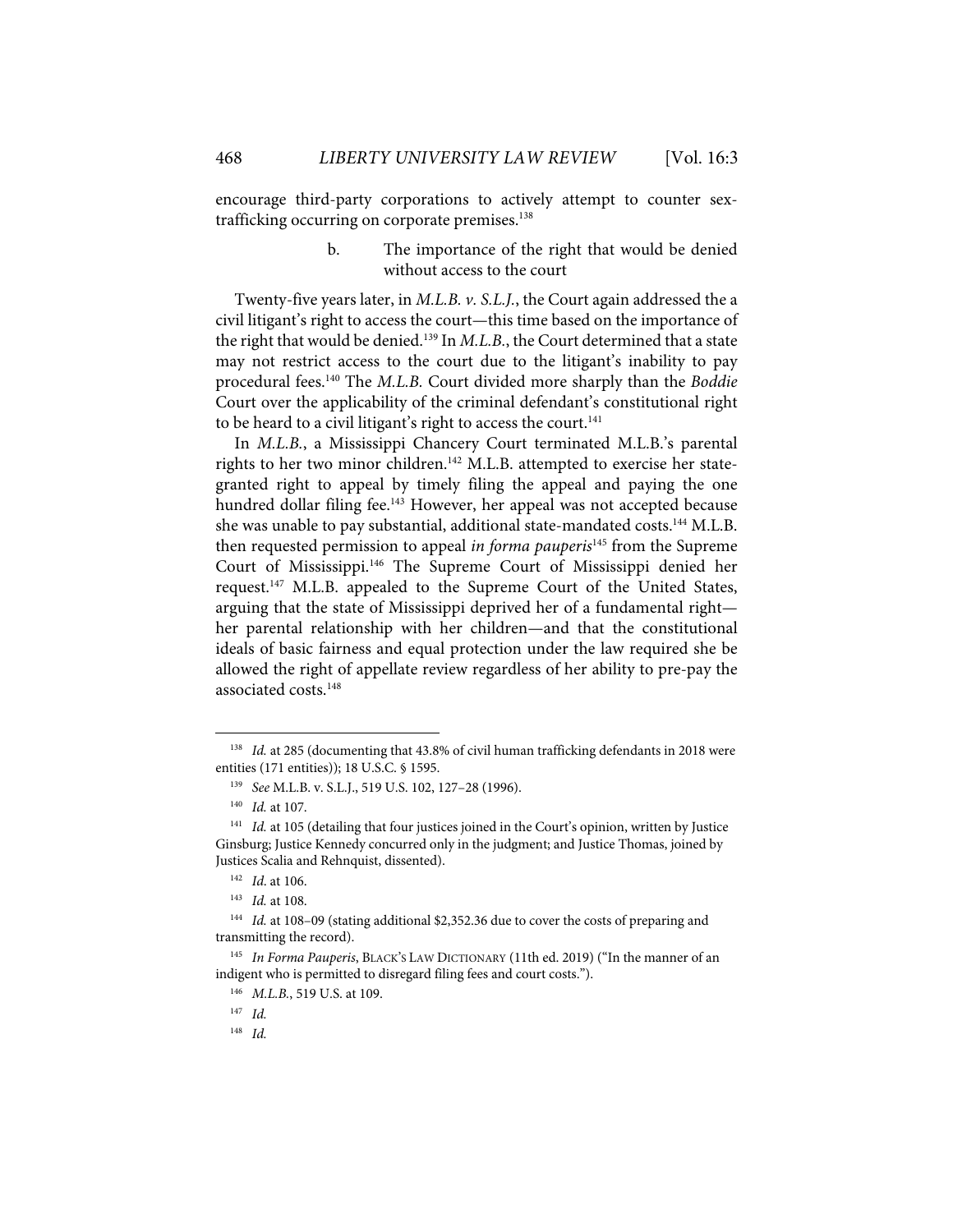encourage third-party corporations to actively attempt to counter sextrafficking occurring on corporate premises.<sup>138</sup>

> b. The importance of the right that would be denied without access to the court

Twenty-five years later, in *M.L.B. v. S.L.J.*, the Court again addressed the a civil litigant's right to access the court—this time based on the importance of the right that would be denied.<sup>139</sup> In *M.L.B.*, the Court determined that a state may not restrict access to the court due to the litigant's inability to pay procedural fees.140 The *M.L.B.* Court divided more sharply than the *Boddie* Court over the applicability of the criminal defendant's constitutional right to be heard to a civil litigant's right to access the court.<sup>141</sup>

In *M.L.B.*, a Mississippi Chancery Court terminated M.L.B.'s parental rights to her two minor children.<sup>142</sup> M.L.B. attempted to exercise her stategranted right to appeal by timely filing the appeal and paying the one hundred dollar filing fee.<sup>143</sup> However, her appeal was not accepted because she was unable to pay substantial, additional state-mandated costs.<sup>144</sup> M.L.B. then requested permission to appeal *in forma pauperis*<sup>145</sup> from the Supreme Court of Mississippi.<sup>146</sup> The Supreme Court of Mississippi denied her request.<sup>147</sup> M.L.B. appealed to the Supreme Court of the United States, arguing that the state of Mississippi deprived her of a fundamental right her parental relationship with her children—and that the constitutional ideals of basic fairness and equal protection under the law required she be allowed the right of appellate review regardless of her ability to pre-pay the associated costs.<sup>148</sup>

<sup>138</sup> *Id.* at 285 (documenting that 43.8% of civil human trafficking defendants in 2018 were entities (171 entities)); 18 U.S.C. § 1595.

<sup>139</sup> *See* M.L.B. v. S.L.J., 519 U.S. 102, 127–28 (1996).

<sup>140</sup> *Id.* at 107.

<sup>&</sup>lt;sup>141</sup> *Id.* at 105 (detailing that four justices joined in the Court's opinion, written by Justice Ginsburg; Justice Kennedy concurred only in the judgment; and Justice Thomas, joined by Justices Scalia and Rehnquist, dissented).

<sup>142</sup> *Id*. at 106.

<sup>143</sup> *Id.* at 108.

<sup>144</sup> *Id.* at 108–09 (stating additional \$2,352.36 due to cover the costs of preparing and transmitting the record).

<sup>145</sup> *In Forma Pauperis*, BLACK'S LAW DICTIONARY (11th ed. 2019) ("In the manner of an indigent who is permitted to disregard filing fees and court costs.").

<sup>146</sup> *M.L.B.*, 519 U.S. at 109.

<sup>147</sup> *Id.*

<sup>148</sup> *Id.*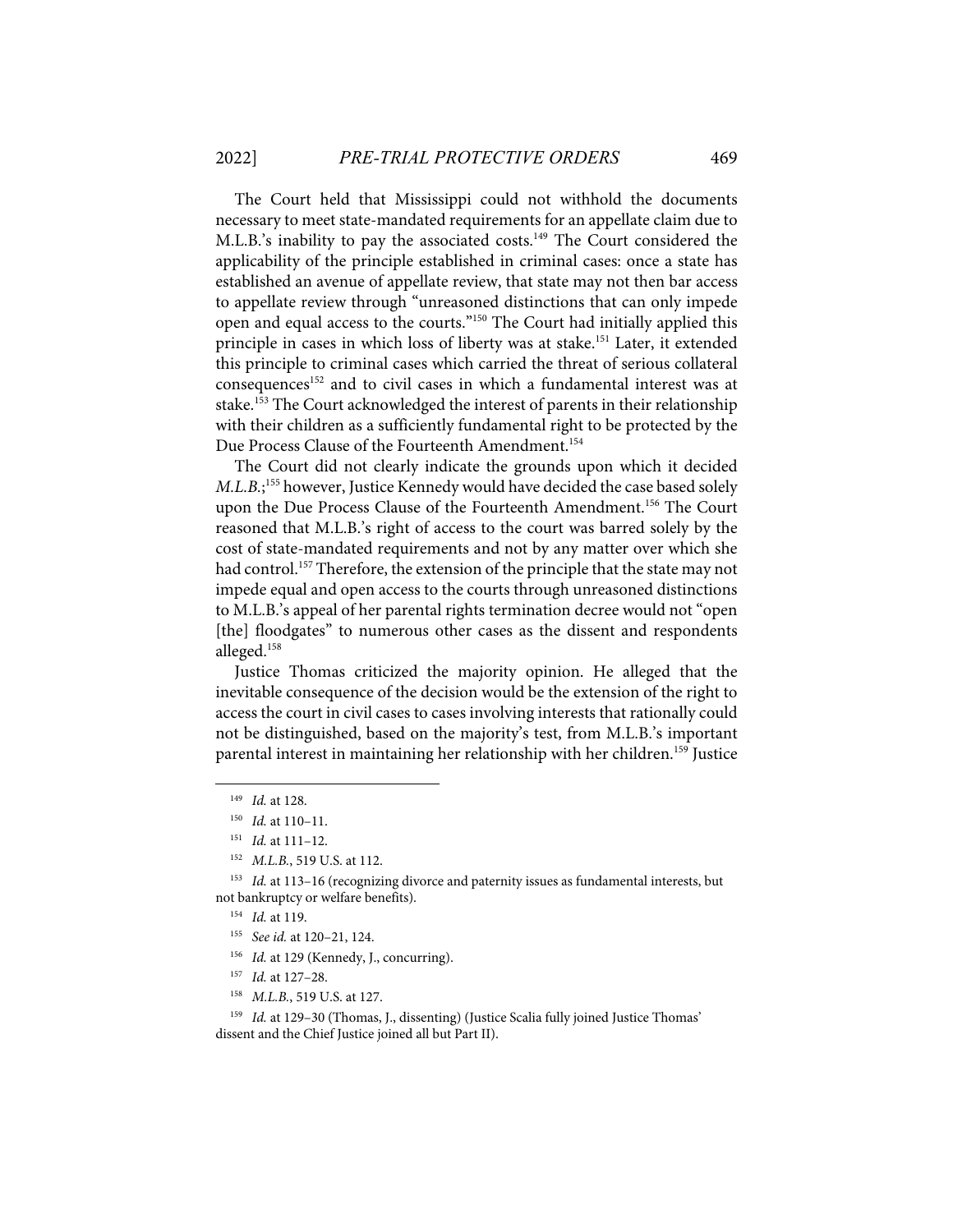The Court held that Mississippi could not withhold the documents necessary to meet state-mandated requirements for an appellate claim due to M.L.B.'s inability to pay the associated costs.<sup>149</sup> The Court considered the applicability of the principle established in criminal cases: once a state has established an avenue of appellate review, that state may not then bar access to appellate review through "unreasoned distinctions that can only impede open and equal access to the courts."<sup>150</sup> The Court had initially applied this principle in cases in which loss of liberty was at stake.<sup>151</sup> Later, it extended this principle to criminal cases which carried the threat of serious collateral consequences<sup>152</sup> and to civil cases in which a fundamental interest was at stake.<sup>153</sup> The Court acknowledged the interest of parents in their relationship with their children as a sufficiently fundamental right to be protected by the Due Process Clause of the Fourteenth Amendment. 154

The Court did not clearly indicate the grounds upon which it decided *M.L.B.*; <sup>155</sup> however, Justice Kennedy would have decided the case based solely upon the Due Process Clause of the Fourteenth Amendment.<sup>156</sup> The Court reasoned that M.L.B.'s right of access to the court was barred solely by the cost of state-mandated requirements and not by any matter over which she had control. <sup>157</sup> Therefore, the extension of the principle that the state may not impede equal and open access to the courts through unreasoned distinctions to M.L.B.'s appeal of her parental rights termination decree would not "open [the] floodgates" to numerous other cases as the dissent and respondents alleged. 158

Justice Thomas criticized the majority opinion. He alleged that the inevitable consequence of the decision would be the extension of the right to access the court in civil cases to cases involving interests that rationally could not be distinguished, based on the majority's test, from M.L.B.'s important parental interest in maintaining her relationship with her children.<sup>159</sup> Justice

- <sup>156</sup> *Id.* at 129 (Kennedy, J., concurring).
- 157 *Id.* at 127–28.
- 158 *M.L.B.*, 519 U.S. at 127.

<sup>159</sup> *Id.* at 129-30 (Thomas, J., dissenting) (Justice Scalia fully joined Justice Thomas' dissent and the Chief Justice joined all but Part II).

<sup>149</sup> *Id.* at 128.

<sup>150</sup> *Id.* at 110–11.

<sup>151</sup> *Id.* at 111–12.

<sup>152</sup> *M.L.B.*, 519 U.S. at 112.

<sup>&</sup>lt;sup>153</sup> *Id.* at 113-16 (recognizing divorce and paternity issues as fundamental interests, but not bankruptcy or welfare benefits).

<sup>154</sup> *Id.* at 119.

<sup>155</sup> *See id.* at 120–21, 124.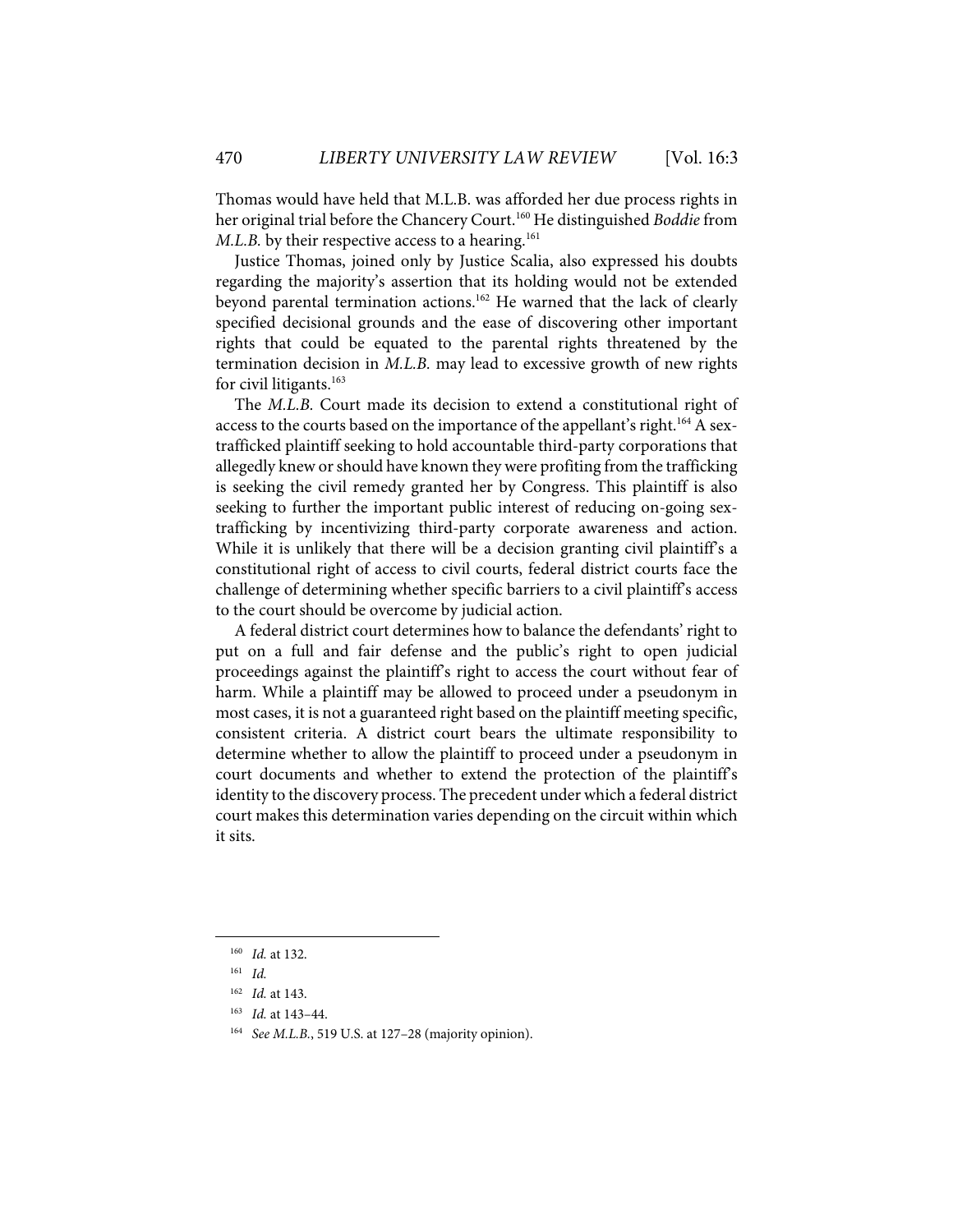Thomas would have held that M.L.B. was afforded her due process rights in her original trial before the Chancery Court.<sup>160</sup> He distinguished *Boddie* from *M.L.B.* by their respective access to a hearing. 161

Justice Thomas, joined only by Justice Scalia, also expressed his doubts regarding the majority's assertion that its holding would not be extended beyond parental termination actions.<sup>162</sup> He warned that the lack of clearly specified decisional grounds and the ease of discovering other important rights that could be equated to the parental rights threatened by the termination decision in *M.L.B.* may lead to excessive growth of new rights for civil litigants. 163

The *M.L.B.* Court made its decision to extend a constitutional right of access to the courts based on the importance of the appellant's right.<sup>164</sup> A sextrafficked plaintiff seeking to hold accountable third-party corporations that allegedly knew or should have known they were profiting from the trafficking is seeking the civil remedy granted her by Congress. This plaintiff is also seeking to further the important public interest of reducing on-going sextrafficking by incentivizing third-party corporate awareness and action. While it is unlikely that there will be a decision granting civil plaintiff's a constitutional right of access to civil courts, federal district courts face the challenge of determining whether specific barriers to a civil plaintiff's access to the court should be overcome by judicial action.

A federal district court determines how to balance the defendants' right to put on a full and fair defense and the public's right to open judicial proceedings against the plaintiff's right to access the court without fear of harm. While a plaintiff may be allowed to proceed under a pseudonym in most cases, it is not a guaranteed right based on the plaintiff meeting specific, consistent criteria. A district court bears the ultimate responsibility to determine whether to allow the plaintiff to proceed under a pseudonym in court documents and whether to extend the protection of the plaintiff's identity to the discovery process. The precedent under which a federal district court makes this determination varies depending on the circuit within which it sits.

<sup>160</sup> *Id.* at 132.

<sup>161</sup> *Id.*

<sup>162</sup> *Id.* at 143.

<sup>163</sup> *Id.* at 143–44.

<sup>164</sup> *See M.L.B.*, 519 U.S. at 127–28 (majority opinion).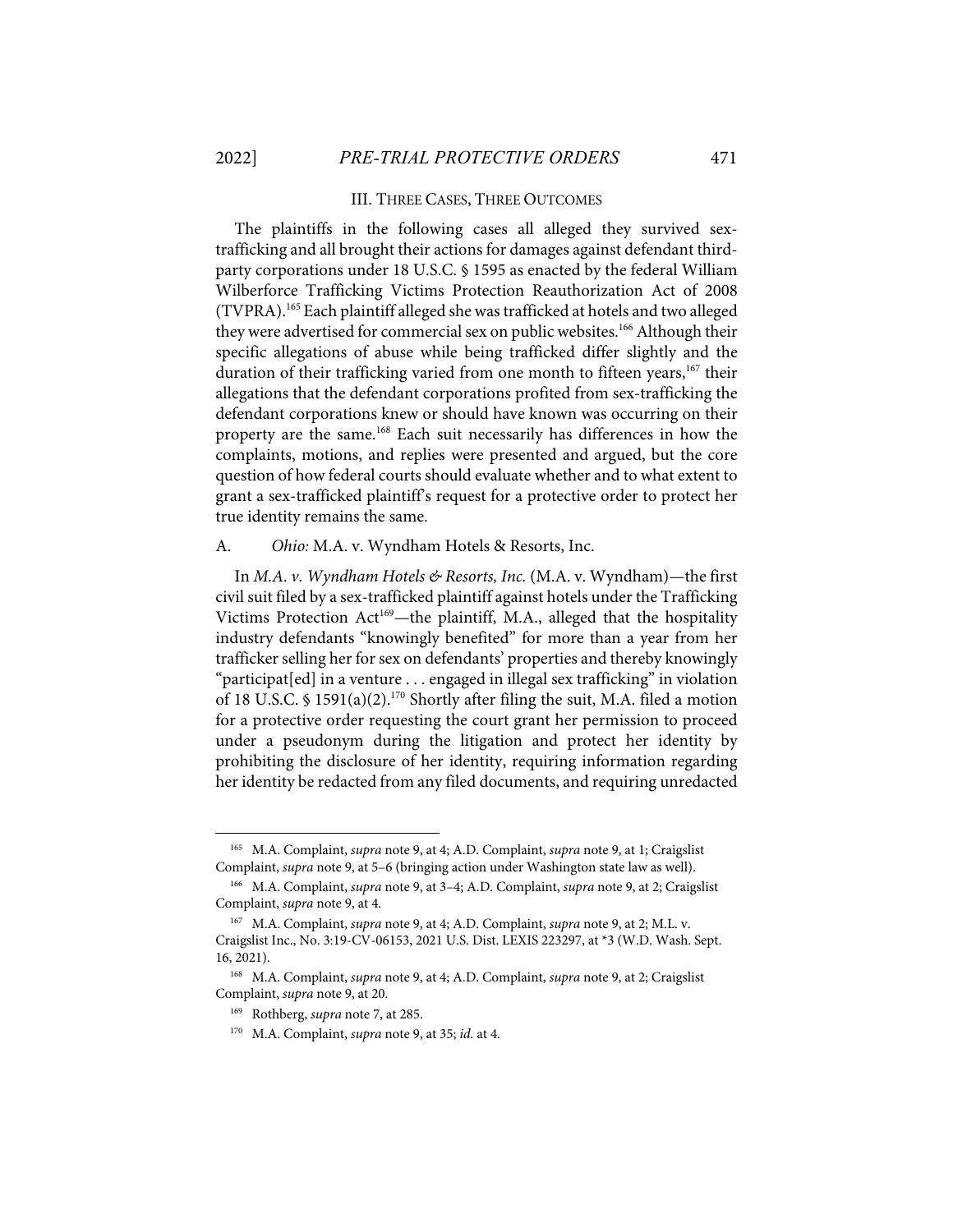#### III. THREE CASES, THREE OUTCOMES

The plaintiffs in the following cases all alleged they survived sextrafficking and all brought their actions for damages against defendant thirdparty corporations under 18 U.S.C. § 1595 as enacted by the federal William Wilberforce Trafficking Victims Protection Reauthorization Act of 2008 (TVPRA).165 Each plaintiff alleged she wastrafficked at hotels and two alleged they were advertised for commercial sex on public websites.<sup>166</sup> Although their specific allegations of abuse while being trafficked differ slightly and the duration of their trafficking varied from one month to fifteen years,<sup>167</sup> their allegations that the defendant corporations profited from sex-trafficking the defendant corporations knew or should have known was occurring on their property are the same.<sup>168</sup> Each suit necessarily has differences in how the complaints, motions, and replies were presented and argued, but the core question of how federal courts should evaluate whether and to what extent to grant a sex-trafficked plaintiff's request for a protective order to protect her true identity remains the same.

A. *Ohio:* M.A. v. Wyndham Hotels & Resorts, Inc.

In *M.A. v. Wyndham Hotels & Resorts, Inc.* (M.A. v. Wyndham)—the first civil suit filed by a sex-trafficked plaintiff against hotels under the Trafficking Victims Protection Act<sup>169</sup>—the plaintiff, M.A., alleged that the hospitality industry defendants "knowingly benefited" for more than a year from her trafficker selling her for sex on defendants' properties and thereby knowingly "participat[ed] in a venture . . . engaged in illegal sex trafficking" in violation of 18 U.S.C. § 1591(a)(2).<sup>170</sup> Shortly after filing the suit, M.A. filed a motion for a protective order requesting the court grant her permission to proceed under a pseudonym during the litigation and protect her identity by prohibiting the disclosure of her identity, requiring information regarding her identity be redacted from any filed documents, and requiring unredacted

<sup>165</sup> M.A. Complaint, *supra* note 9, at 4; A.D. Complaint, *supra* note 9, at 1; Craigslist Complaint, *supra* note 9, at 5–6 (bringing action under Washington state law as well).

<sup>166</sup> M.A. Complaint, *supra* note 9, at 3–4; A.D. Complaint, *supra* note 9, at 2; Craigslist Complaint, *supra* note 9, at 4.

<sup>167</sup> M.A. Complaint, *supra* note 9, at 4; A.D. Complaint, *supra* note 9, at 2; M.L. v. Craigslist Inc., No. 3:19-CV-06153, 2021 U.S. Dist. LEXIS 223297, at \*3 (W.D. Wash. Sept. 16, 2021).

<sup>168</sup> M.A. Complaint, *supra* note 9, at 4; A.D. Complaint, *supra* note 9, at 2; Craigslist Complaint, *supra* note 9, at 20.

<sup>169</sup> Rothberg, *supra* note 7, at 285.

<sup>170</sup> M.A. Complaint, *supra* note 9, at 35; *id.* at 4.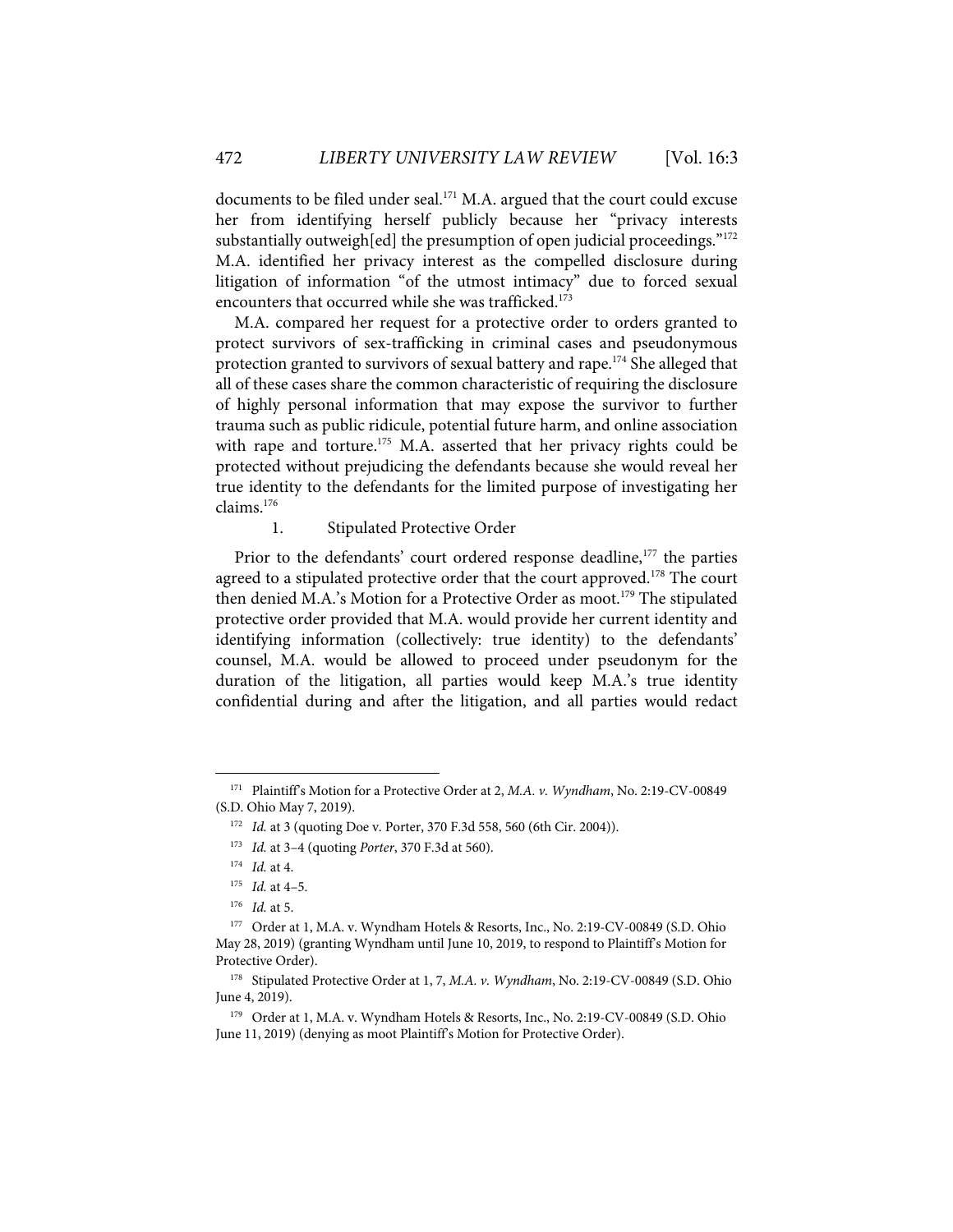documents to be filed under seal.<sup>171</sup> M.A. argued that the court could excuse her from identifying herself publicly because her "privacy interests substantially outweigh [ed] the presumption of open judicial proceedings." $172$ M.A. identified her privacy interest as the compelled disclosure during litigation of information "of the utmost intimacy" due to forced sexual encounters that occurred while she was trafficked.<sup>173</sup>

M.A. compared her request for a protective order to orders granted to protect survivors of sex-trafficking in criminal cases and pseudonymous protection granted to survivors of sexual battery and rape.<sup>174</sup> She alleged that all of these cases share the common characteristic of requiring the disclosure of highly personal information that may expose the survivor to further trauma such as public ridicule, potential future harm, and online association with rape and torture.<sup>175</sup> M.A. asserted that her privacy rights could be protected without prejudicing the defendants because she would reveal her true identity to the defendants for the limited purpose of investigating her claims.176

1. Stipulated Protective Order

Prior to the defendants' court ordered response deadline,<sup>177</sup> the parties agreed to a stipulated protective order that the court approved.<sup>178</sup> The court then denied M.A.'s Motion for a Protective Order as moot.<sup>179</sup> The stipulated protective order provided that M.A. would provide her current identity and identifying information (collectively: true identity) to the defendants' counsel, M.A. would be allowed to proceed under pseudonym for the duration of the litigation, all parties would keep M.A.'s true identity confidential during and after the litigation, and all parties would redact

<sup>171</sup> Plaintiff's Motion for a Protective Order at 2, *M.A. v. Wyndham*, No. 2:19-CV-00849 (S.D. Ohio May 7, 2019).

<sup>&</sup>lt;sup>172</sup> *Id.* at 3 (quoting Doe v. Porter, 370 F.3d 558, 560 (6th Cir. 2004)).

<sup>173</sup> *Id.* at 3–4 (quoting *Porter*, 370 F.3d at 560).

<sup>174</sup> *Id.* at 4.

<sup>175</sup> *Id.* at 4–5.

<sup>176</sup> *Id.* at 5.

<sup>177</sup> Order at 1, M.A. v. Wyndham Hotels & Resorts, Inc., No. 2:19-CV-00849 (S.D. Ohio May 28, 2019) (granting Wyndham until June 10, 2019, to respond to Plaintiff's Motion for Protective Order).

<sup>178</sup> Stipulated Protective Order at 1, 7, *M.A. v. Wyndham*, No. 2:19-CV-00849 (S.D. Ohio June 4, 2019).

<sup>&</sup>lt;sup>179</sup> Order at 1, M.A. v. Wyndham Hotels & Resorts, Inc., No. 2:19-CV-00849 (S.D. Ohio June 11, 2019) (denying as moot Plaintiff's Motion for Protective Order).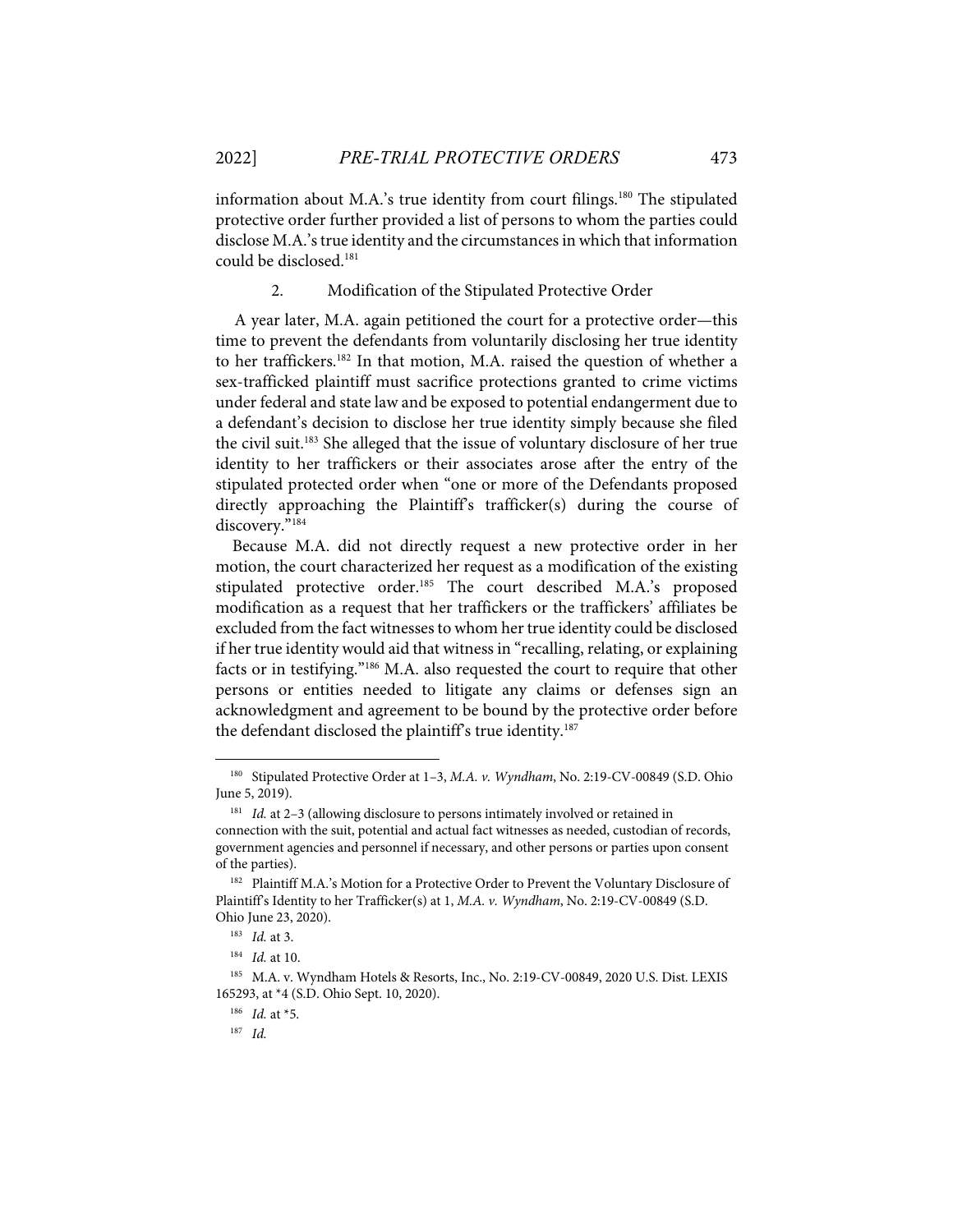information about M.A.'s true identity from court filings.<sup>180</sup> The stipulated protective order further provided a list of persons to whom the parties could disclose M.A.'s true identity and the circumstances in which that information could be disclosed.<sup>181</sup>

#### 2. Modification of the Stipulated Protective Order

A year later, M.A. again petitioned the court for a protective order—this time to prevent the defendants from voluntarily disclosing her true identity to her traffickers.<sup>182</sup> In that motion, M.A. raised the question of whether a sex-trafficked plaintiff must sacrifice protections granted to crime victims under federal and state law and be exposed to potential endangerment due to a defendant's decision to disclose her true identity simply because she filed the civil suit. <sup>183</sup> She alleged that the issue of voluntary disclosure of her true identity to her traffickers or their associates arose after the entry of the stipulated protected order when "one or more of the Defendants proposed directly approaching the Plaintiff's trafficker(s) during the course of discovery."184

Because M.A. did not directly request a new protective order in her motion, the court characterized her request as a modification of the existing stipulated protective order.185 The court described M.A.'s proposed modification as a request that her traffickers or the traffickers' affiliates be excluded from the fact witnesses to whom her true identity could be disclosed if her true identity would aid that witness in "recalling, relating, or explaining facts or in testifying."<sup>186</sup> M.A. also requested the court to require that other persons or entities needed to litigate any claims or defenses sign an acknowledgment and agreement to be bound by the protective order before the defendant disclosed the plaintiff's true identity.<sup>187</sup>

<sup>180</sup> Stipulated Protective Order at 1–3, *M.A. v. Wyndham*, No. 2:19-CV-00849 (S.D. Ohio June 5, 2019).

<sup>&</sup>lt;sup>181</sup> *Id.* at 2-3 (allowing disclosure to persons intimately involved or retained in connection with the suit, potential and actual fact witnesses as needed, custodian of records, government agencies and personnel if necessary, and other persons or parties upon consent of the parties).

<sup>&</sup>lt;sup>182</sup> Plaintiff M.A.'s Motion for a Protective Order to Prevent the Voluntary Disclosure of Plaintiff's Identity to her Trafficker(s) at 1, *M.A. v. Wyndham*, No. 2:19-CV-00849 (S.D. Ohio June 23, 2020).

<sup>183</sup> *Id.* at 3.

<sup>184</sup> *Id.* at 10.

<sup>185</sup> M.A. v. Wyndham Hotels & Resorts, Inc., No. 2:19-CV-00849, 2020 U.S. Dist. LEXIS 165293, at \*4 (S.D. Ohio Sept. 10, 2020).

<sup>186</sup> *Id.* at \*5.

<sup>187</sup> *Id.*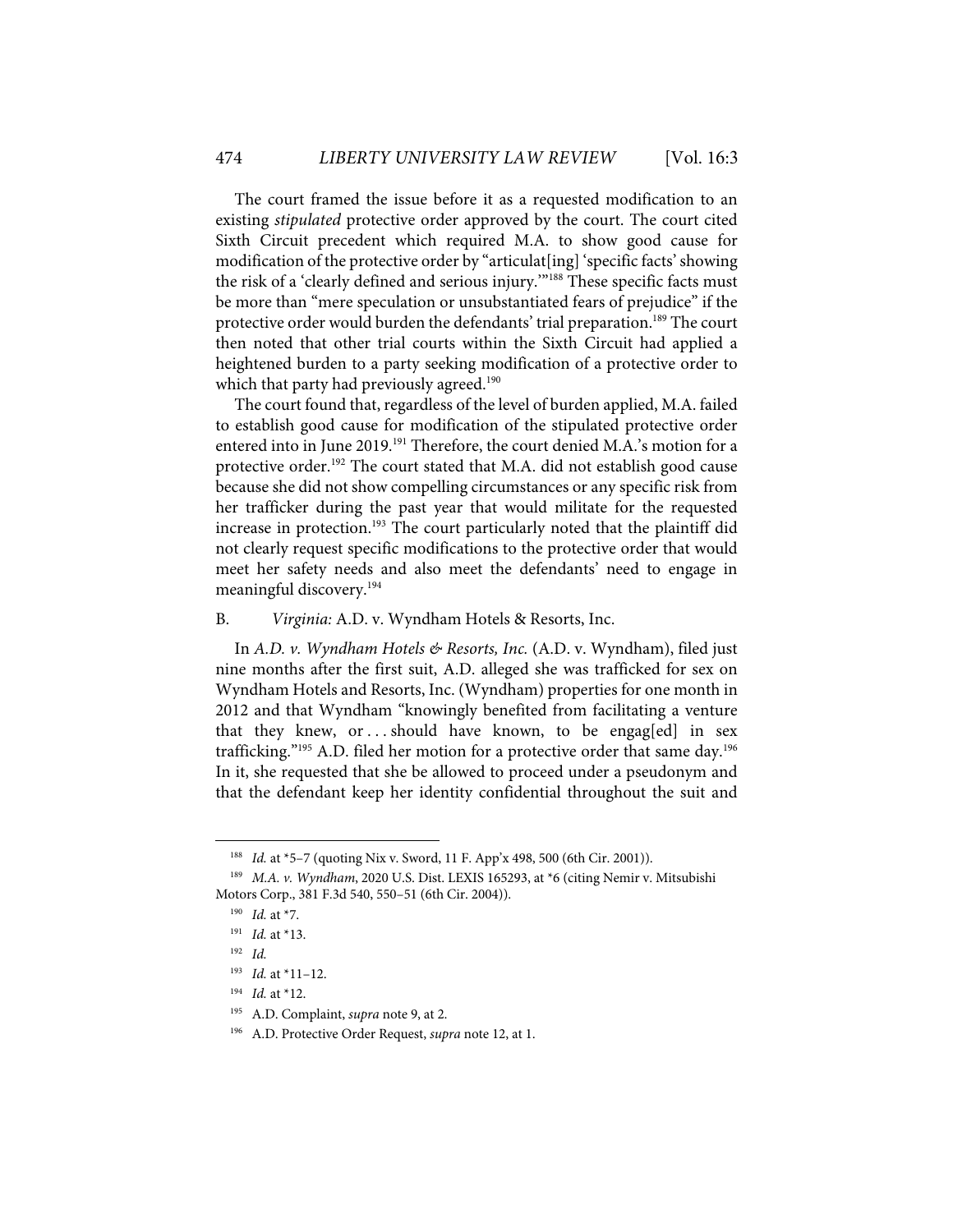The court framed the issue before it as a requested modification to an existing *stipulated* protective order approved by the court. The court cited Sixth Circuit precedent which required M.A. to show good cause for modification of the protective order by "articulat[ing] 'specific facts' showing the risk of a 'clearly defined and serious injury.'"188 These specific facts must be more than "mere speculation or unsubstantiated fears of prejudice" if the protective order would burden the defendants' trial preparation.<sup>189</sup> The court then noted that other trial courts within the Sixth Circuit had applied a heightened burden to a party seeking modification of a protective order to which that party had previously agreed.<sup>190</sup>

The court found that, regardless of the level of burden applied, M.A. failed to establish good cause for modification of the stipulated protective order entered into in June 2019.<sup>191</sup> Therefore, the court denied M.A.'s motion for a protective order. <sup>192</sup> The court stated that M.A. did not establish good cause because she did not show compelling circumstances or any specific risk from her trafficker during the past year that would militate for the requested increase in protection. <sup>193</sup> The court particularly noted that the plaintiff did not clearly request specific modifications to the protective order that would meet her safety needs and also meet the defendants' need to engage in meaningful discovery.<sup>194</sup>

#### B. *Virginia:* A.D. v. Wyndham Hotels & Resorts, Inc.

In *A.D. v. Wyndham Hotels & Resorts, Inc.* (A.D. v. Wyndham), filed just nine months after the first suit, A.D. alleged she was trafficked for sex on Wyndham Hotels and Resorts, Inc. (Wyndham) properties for one month in 2012 and that Wyndham "knowingly benefited from facilitating a venture that they knew, or ... should have known, to be engag[ed] in sex trafficking."<sup>195</sup> A.D. filed her motion for a protective order that same day.<sup>196</sup> In it, she requested that she be allowed to proceed under a pseudonym and that the defendant keep her identity confidential throughout the suit and

<sup>188</sup> *Id.* at \*5–7 (quoting Nix v. Sword, 11 F. App'x 498, 500 (6th Cir. 2001)).

<sup>189</sup> *M.A. v. Wyndham*, 2020 U.S. Dist. LEXIS 165293, at \*6 (citing Nemir v. Mitsubishi Motors Corp., 381 F.3d 540, 550–51 (6th Cir. 2004)).

<sup>190</sup> *Id.* at \*7.

<sup>191</sup> *Id.* at \*13.

<sup>192</sup> *Id.*

<sup>193</sup> *Id.* at \*11–12.

<sup>194</sup> *Id.* at \*12.

<sup>195</sup> A.D. Complaint, *supra* note 9, at 2.

<sup>196</sup> A.D. Protective Order Request, *supra* note 12, at 1.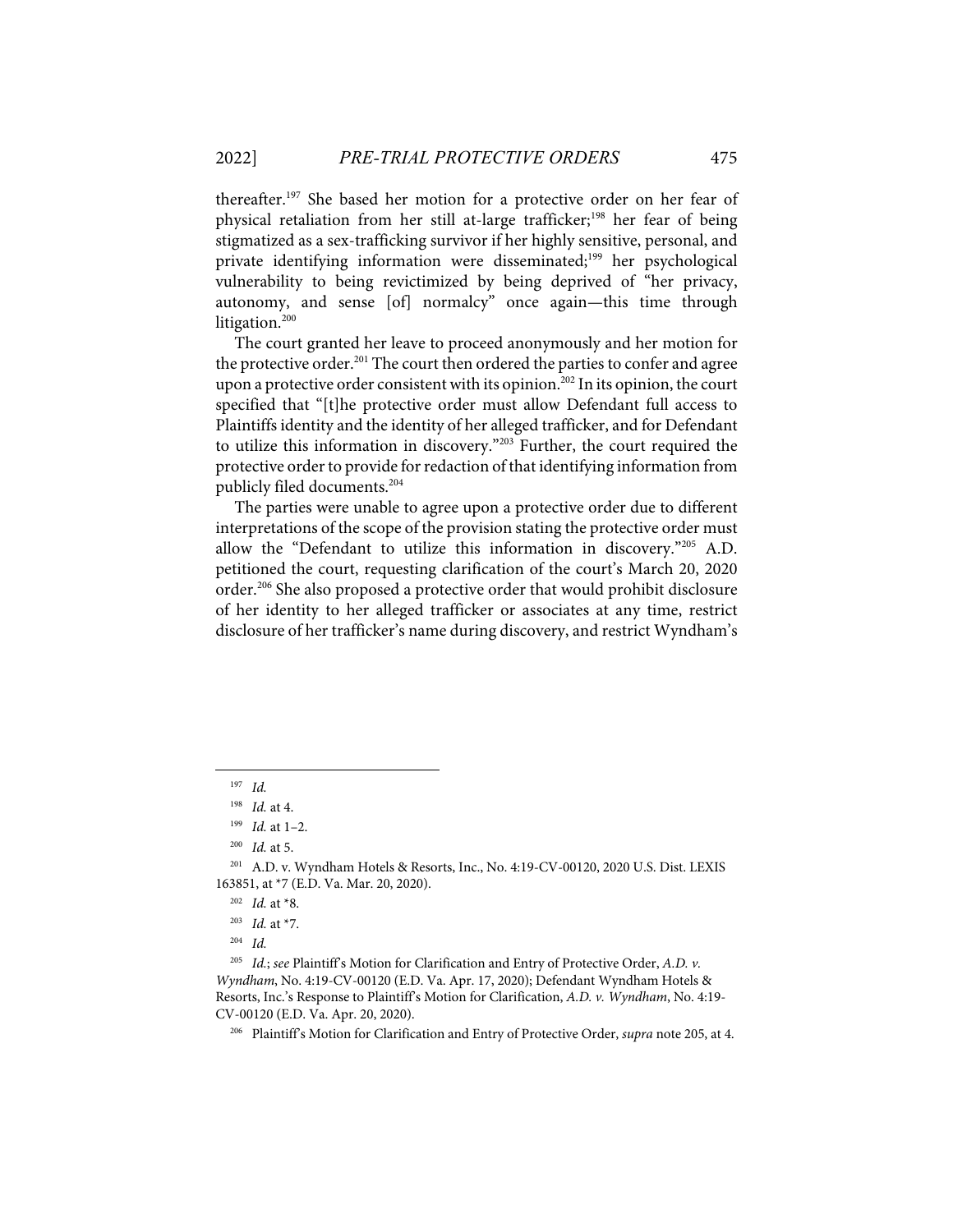thereafter.197 She based her motion for a protective order on her fear of physical retaliation from her still at-large trafficker; <sup>198</sup> her fear of being stigmatized as a sex-trafficking survivor if her highly sensitive, personal, and private identifying information were disseminated;199 her psychological vulnerability to being revictimized by being deprived of "her privacy, autonomy, and sense [of] normalcy" once again—this time through litigation. 200

The court granted her leave to proceed anonymously and her motion for the protective order.<sup>201</sup> The court then ordered the parties to confer and agree upon a protective order consistent with its opinion. <sup>202</sup> In its opinion, the court specified that "[t]he protective order must allow Defendant full access to Plaintiffs identity and the identity of her alleged trafficker, and for Defendant to utilize this information in discovery."203 Further, the court required the protective order to provide for redaction of that identifying information from publicly filed documents.204

The parties were unable to agree upon a protective order due to different interpretations of the scope of the provision stating the protective order must allow the "Defendant to utilize this information in discovery."205 A.D. petitioned the court, requesting clarification of the court's March 20, 2020 order.206 She also proposed a protective order that would prohibit disclosure of her identity to her alleged trafficker or associates at any time, restrict disclosure of her trafficker's name during discovery, and restrict Wyndham's

<sup>197</sup> *Id.*

<sup>198</sup> *Id.* at 4.

<sup>199</sup> *Id.* at 1–2.

<sup>200</sup> *Id.* at 5.

<sup>201</sup> A.D. v. Wyndham Hotels & Resorts, Inc., No. 4:19-CV-00120, 2020 U.S. Dist. LEXIS 163851, at \*7 (E.D. Va. Mar. 20, 2020).

<sup>202</sup> *Id.* at \*8.

<sup>203</sup> *Id.* at \*7.

<sup>204</sup> *Id.*

<sup>205</sup> *Id.*; *see* Plaintiff's Motion for Clarification and Entry of Protective Order, *A.D. v. Wyndham*, No. 4:19-CV-00120 (E.D. Va. Apr. 17, 2020); Defendant Wyndham Hotels & Resorts, Inc.'s Response to Plaintiff's Motion for Clarification, *A.D. v. Wyndham*, No. 4:19- CV-00120 (E.D. Va. Apr. 20, 2020).

<sup>206</sup> Plaintiff's Motion for Clarification and Entry of Protective Order, *supra* note 205, at 4.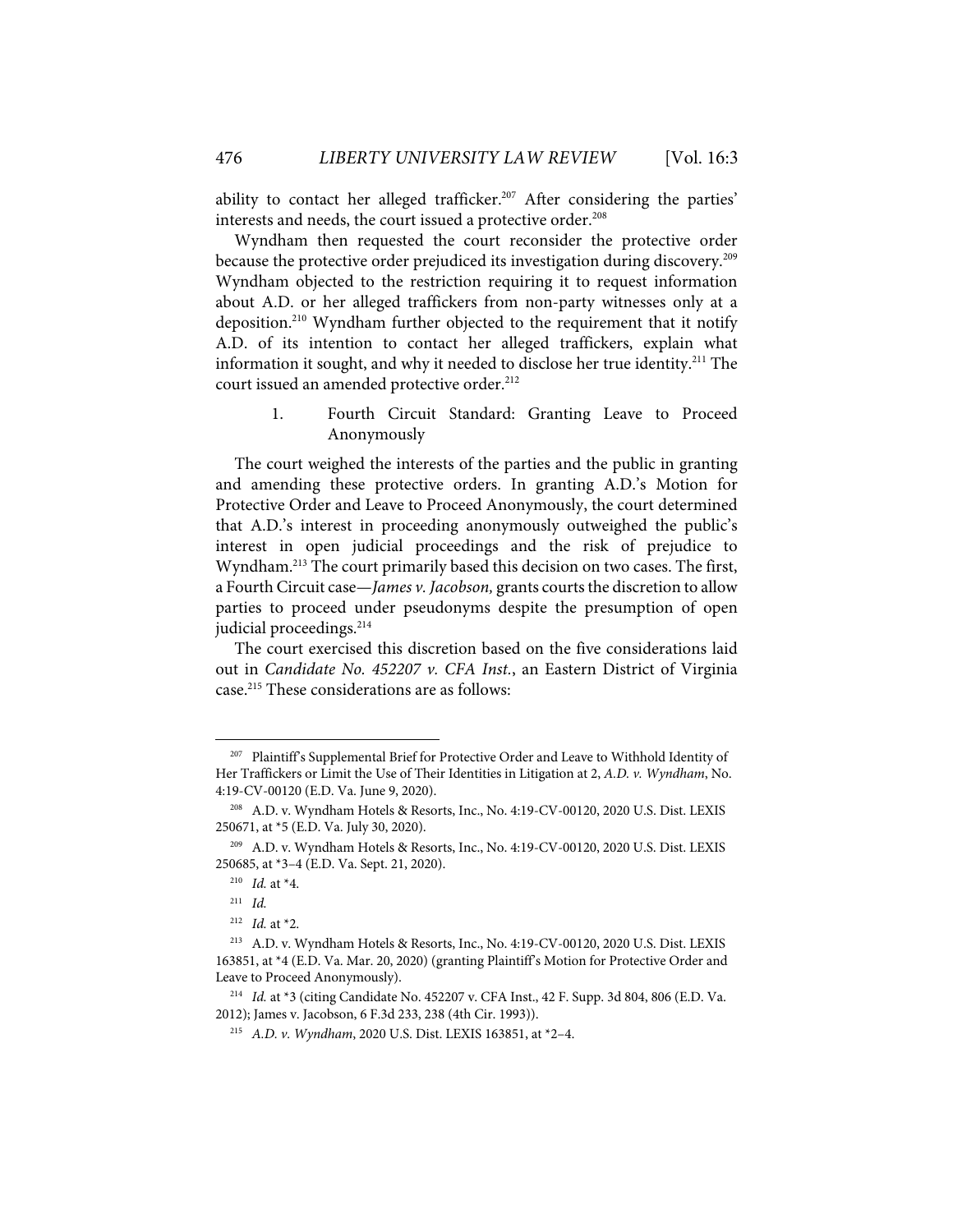ability to contact her alleged trafficker.<sup>207</sup> After considering the parties' interests and needs, the court issued a protective order.<sup>208</sup>

Wyndham then requested the court reconsider the protective order because the protective order prejudiced its investigation during discovery. 209 Wyndham objected to the restriction requiring it to request information about A.D. or her alleged traffickers from non-party witnesses only at a deposition. <sup>210</sup> Wyndham further objected to the requirement that it notify A.D. of its intention to contact her alleged traffickers, explain what information it sought, and why it needed to disclose her true identity.<sup>211</sup> The court issued an amended protective order. 212

1. Fourth Circuit Standard: Granting Leave to Proceed Anonymously

The court weighed the interests of the parties and the public in granting and amending these protective orders. In granting A.D.'s Motion for Protective Order and Leave to Proceed Anonymously, the court determined that A.D.'s interest in proceeding anonymously outweighed the public's interest in open judicial proceedings and the risk of prejudice to Wyndham.<sup>213</sup> The court primarily based this decision on two cases. The first, a Fourth Circuit case—*James v. Jacobson,* grants courts the discretion to allow parties to proceed under pseudonyms despite the presumption of open judicial proceedings.<sup>214</sup>

The court exercised this discretion based on the five considerations laid out in *Candidate No. 452207 v. CFA Inst.*, an Eastern District of Virginia case.215 These considerations are as follows:

<sup>207</sup> Plaintiff's Supplemental Brief for Protective Order and Leave to Withhold Identity of Her Traffickers or Limit the Use of Their Identities in Litigation at 2, *A.D. v. Wyndham*, No. 4:19-CV-00120 (E.D. Va. June 9, 2020).

<sup>208</sup> A.D. v. Wyndham Hotels & Resorts, Inc., No. 4:19-CV-00120, 2020 U.S. Dist. LEXIS 250671, at \*5 (E.D. Va. July 30, 2020).

<sup>209</sup> A.D. v. Wyndham Hotels & Resorts, Inc., No. 4:19-CV-00120, 2020 U.S. Dist. LEXIS 250685, at \*3–4 (E.D. Va. Sept. 21, 2020).

<sup>210</sup> *Id.* at \*4.

<sup>211</sup> *Id.*

<sup>212</sup> *Id.* at \*2.

<sup>213</sup> A.D. v. Wyndham Hotels & Resorts, Inc., No. 4:19-CV-00120, 2020 U.S. Dist. LEXIS 163851, at \*4 (E.D. Va. Mar. 20, 2020) (granting Plaintiff's Motion for Protective Order and Leave to Proceed Anonymously).

<sup>214</sup> *Id.* at \*3 (citing Candidate No. 452207 v. CFA Inst., 42 F. Supp. 3d 804, 806 (E.D. Va. 2012); James v. Jacobson, 6 F.3d 233, 238 (4th Cir. 1993)).

<sup>215</sup> *A.D. v. Wyndham*, 2020 U.S. Dist. LEXIS 163851, at \*2–4.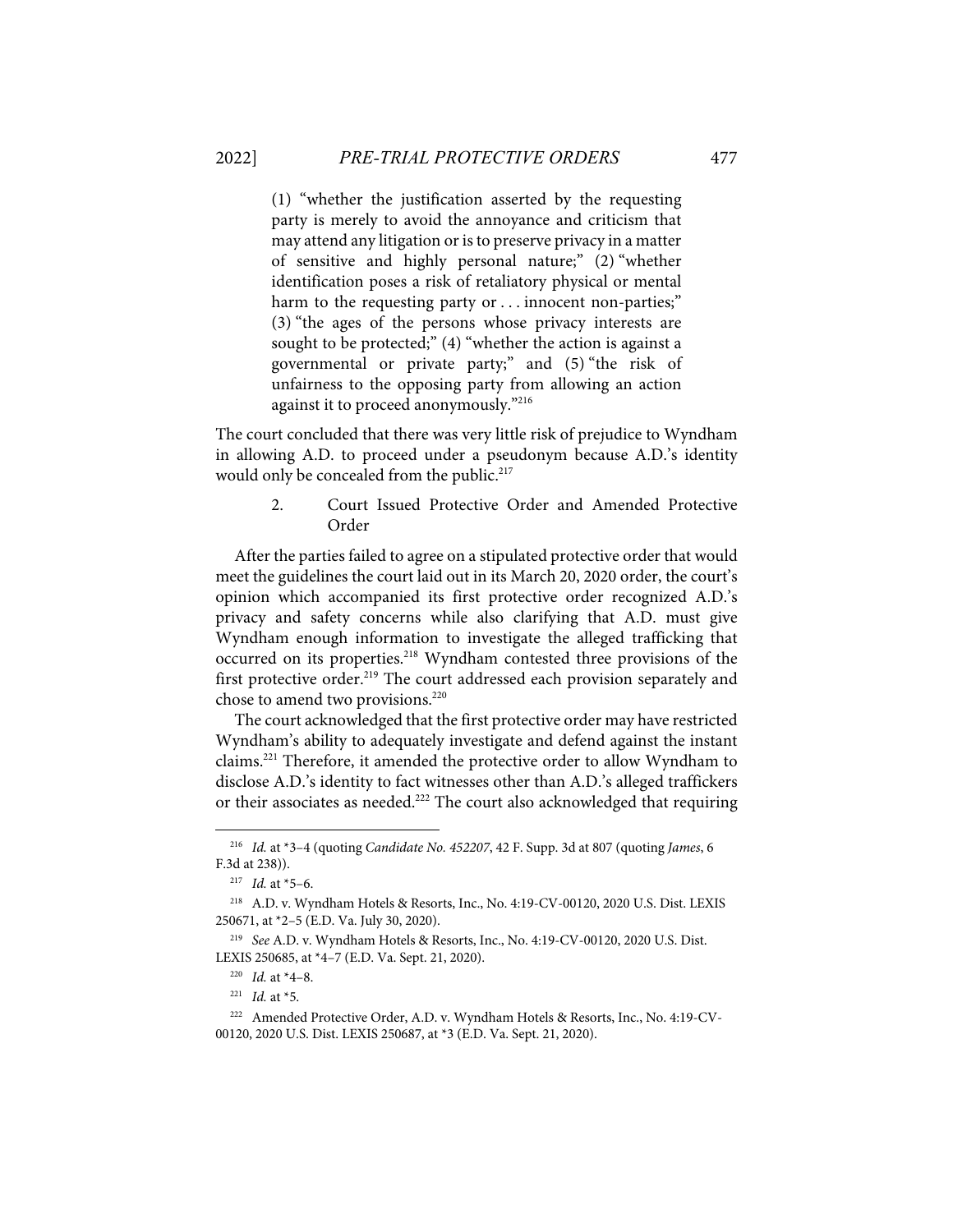(1) "whether the justification asserted by the requesting party is merely to avoid the annoyance and criticism that may attend any litigation or is to preserve privacy in a matter of sensitive and highly personal nature;" (2) "whether identification poses a risk of retaliatory physical or mental harm to the requesting party or . . . innocent non-parties;" (3) "the ages of the persons whose privacy interests are sought to be protected;" (4) "whether the action is against a governmental or private party;" and (5) "the risk of unfairness to the opposing party from allowing an action against it to proceed anonymously."216

The court concluded that there was very little risk of prejudice to Wyndham in allowing A.D. to proceed under a pseudonym because A.D.'s identity would only be concealed from the public.<sup>217</sup>

> 2. Court Issued Protective Order and Amended Protective Order

After the parties failed to agree on a stipulated protective order that would meet the guidelines the court laid out in its March 20, 2020 order, the court's opinion which accompanied its first protective order recognized A.D.'s privacy and safety concerns while also clarifying that A.D. must give Wyndham enough information to investigate the alleged trafficking that occurred on its properties.218 Wyndham contested three provisions of the first protective order.<sup>219</sup> The court addressed each provision separately and chose to amend two provisions.<sup>220</sup>

The court acknowledged that the first protective order may have restricted Wyndham's ability to adequately investigate and defend against the instant claims.<sup>221</sup> Therefore, it amended the protective order to allow Wyndham to disclose A.D.'s identity to fact witnesses other than A.D.'s alleged traffickers or their associates as needed.<sup>222</sup> The court also acknowledged that requiring

<sup>216</sup> *Id.* at \*3–4 (quoting *Candidate No. 452207*, 42 F. Supp. 3d at 807 (quoting *James*, 6 F.3d at 238)).

<sup>217</sup> *Id.* at \*5–6.

<sup>218</sup> A.D. v. Wyndham Hotels & Resorts, Inc., No. 4:19-CV-00120, 2020 U.S. Dist. LEXIS 250671, at \*2–5 (E.D. Va. July 30, 2020).

<sup>219</sup> *See* A.D. v. Wyndham Hotels & Resorts, Inc., No. 4:19-CV-00120, 2020 U.S. Dist. LEXIS 250685, at \*4–7 (E.D. Va. Sept. 21, 2020).

<sup>220</sup> *Id.* at \*4–8.

<sup>221</sup> *Id.* at \*5.

<sup>222</sup> Amended Protective Order, A.D. v. Wyndham Hotels & Resorts, Inc., No. 4:19-CV-00120, 2020 U.S. Dist. LEXIS 250687, at \*3 (E.D. Va. Sept. 21, 2020).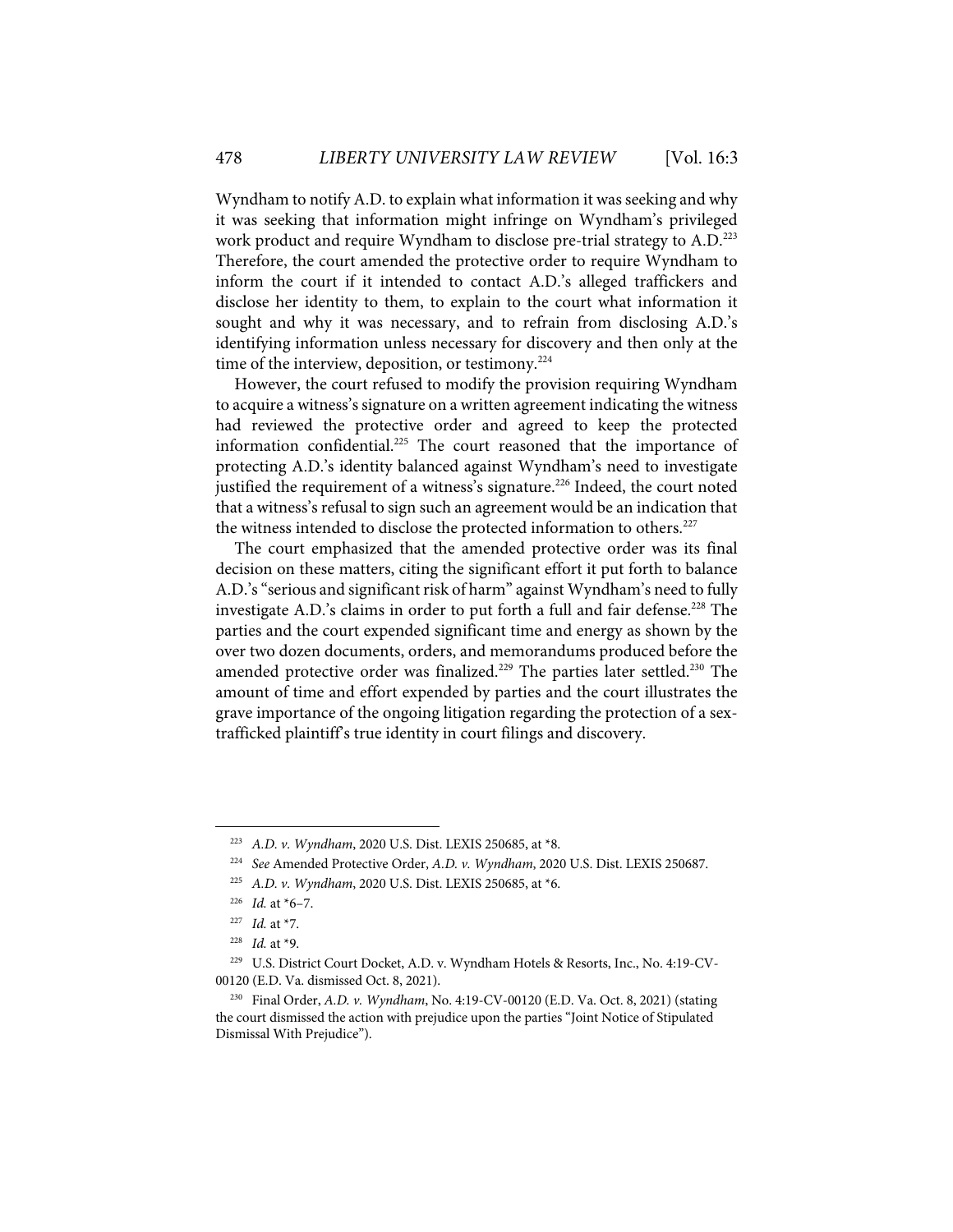Wyndham to notify A.D. to explain what information it was seeking and why it was seeking that information might infringe on Wyndham's privileged work product and require Wyndham to disclose pre-trial strategy to A.D. 223 Therefore, the court amended the protective order to require Wyndham to inform the court if it intended to contact A.D.'s alleged traffickers and disclose her identity to them, to explain to the court what information it sought and why it was necessary, and to refrain from disclosing A.D.'s identifying information unless necessary for discovery and then only at the time of the interview, deposition, or testimony. $224$ 

However, the court refused to modify the provision requiring Wyndham to acquire a witness's signature on a written agreement indicating the witness had reviewed the protective order and agreed to keep the protected information confidential.<sup>225</sup> The court reasoned that the importance of protecting A.D.'s identity balanced against Wyndham's need to investigate justified the requirement of a witness's signature.<sup>226</sup> Indeed, the court noted that a witness's refusal to sign such an agreement would be an indication that the witness intended to disclose the protected information to others.<sup>227</sup>

The court emphasized that the amended protective order was its final decision on these matters, citing the significant effort it put forth to balance A.D.'s "serious and significant risk of harm" against Wyndham's need to fully investigate A.D.'s claims in order to put forth a full and fair defense.<sup>228</sup> The parties and the court expended significant time and energy as shown by the over two dozen documents, orders, and memorandums produced before the amended protective order was finalized.<sup>229</sup> The parties later settled.<sup>230</sup> The amount of time and effort expended by parties and the court illustrates the grave importance of the ongoing litigation regarding the protection of a sextrafficked plaintiff's true identity in court filings and discovery.

<sup>223</sup> *A.D. v. Wyndham*, 2020 U.S. Dist. LEXIS 250685, at \*8.

<sup>224</sup> *See* Amended Protective Order, *A.D. v. Wyndham*, 2020 U.S. Dist. LEXIS 250687.

<sup>225</sup> *A.D. v. Wyndham*, 2020 U.S. Dist. LEXIS 250685, at \*6.

<sup>226</sup> *Id.* at \*6–7.

<sup>227</sup> *Id.* at \*7.

<sup>228</sup> *Id.* at \*9.

<sup>229</sup> U.S. District Court Docket, A.D. v. Wyndham Hotels & Resorts, Inc., No. 4:19-CV-00120 (E.D. Va. dismissed Oct. 8, 2021).

<sup>230</sup> Final Order, *A.D. v. Wyndham*, No. 4:19-CV-00120 (E.D. Va. Oct. 8, 2021) (stating the court dismissed the action with prejudice upon the parties "Joint Notice of Stipulated Dismissal With Prejudice").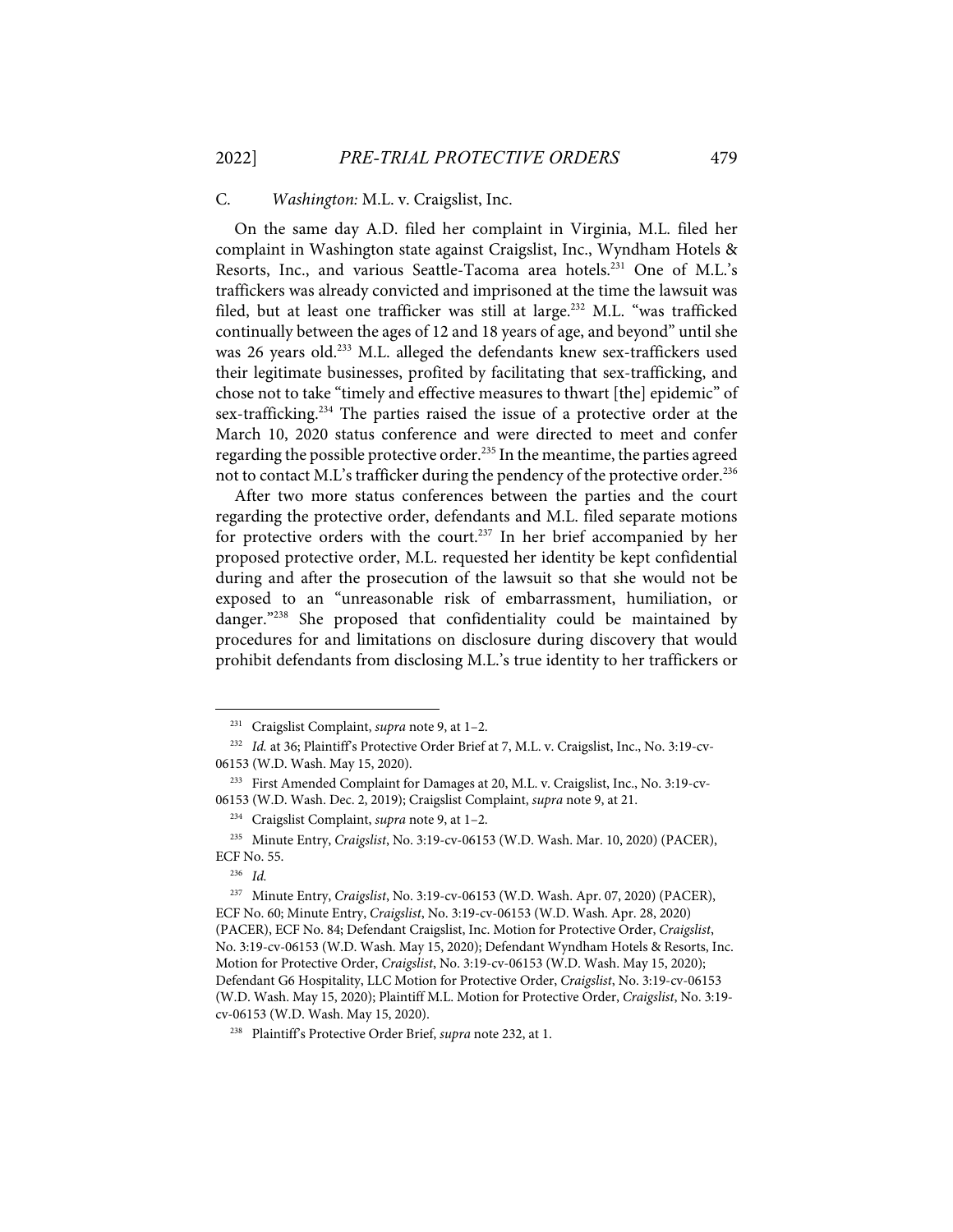## C. *Washington:* M.L. v. Craigslist, Inc.

On the same day A.D. filed her complaint in Virginia, M.L. filed her complaint in Washington state against Craigslist, Inc., Wyndham Hotels & Resorts, Inc., and various Seattle-Tacoma area hotels.<sup>231</sup> One of M.L.'s traffickers was already convicted and imprisoned at the time the lawsuit was filed, but at least one trafficker was still at large.<sup>232</sup> M.L. "was trafficked continually between the ages of 12 and 18 years of age, and beyond" until she was 26 years old.<sup>233</sup> M.L. alleged the defendants knew sex-traffickers used their legitimate businesses, profited by facilitating that sex-trafficking, and chose not to take "timely and effective measures to thwart [the] epidemic" of sex-trafficking.<sup>234</sup> The parties raised the issue of a protective order at the March 10, 2020 status conference and were directed to meet and confer regarding the possible protective order.<sup>235</sup> In the meantime, the parties agreed not to contact M.L's trafficker during the pendency of the protective order.<sup>236</sup>

After two more status conferences between the parties and the court regarding the protective order, defendants and M.L. filed separate motions for protective orders with the court.<sup>237</sup> In her brief accompanied by her proposed protective order, M.L. requested her identity be kept confidential during and after the prosecution of the lawsuit so that she would not be exposed to an "unreasonable risk of embarrassment, humiliation, or danger."238 She proposed that confidentiality could be maintained by procedures for and limitations on disclosure during discovery that would prohibit defendants from disclosing M.L.'s true identity to her traffickers or

<sup>231</sup> Craigslist Complaint, *supra* note 9, at 1–2.

<sup>&</sup>lt;sup>232</sup> *Id.* at 36; Plaintiff's Protective Order Brief at 7, M.L. v. Craigslist, Inc., No. 3:19-cv-06153 (W.D. Wash. May 15, 2020).

<sup>233</sup> First Amended Complaint for Damages at 20, M.L. v. Craigslist, Inc., No. 3:19-cv-06153 (W.D. Wash. Dec. 2, 2019); Craigslist Complaint, *supra* note 9, at 21.

<sup>234</sup> Craigslist Complaint, *supra* note 9, at 1–2.

<sup>235</sup> Minute Entry, *Craigslist*, No. 3:19-cv-06153 (W.D. Wash. Mar. 10, 2020) (PACER), ECF No. 55.

<sup>236</sup> *Id.*

<sup>237</sup> Minute Entry, *Craigslist*, No. 3:19-cv-06153 (W.D. Wash. Apr. 07, 2020) (PACER), ECF No. 60; Minute Entry, *Craigslist*, No. 3:19-cv-06153 (W.D. Wash. Apr. 28, 2020) (PACER), ECF No. 84; Defendant Craigslist, Inc. Motion for Protective Order, *Craigslist*, No. 3:19-cv-06153 (W.D. Wash. May 15, 2020); Defendant Wyndham Hotels & Resorts, Inc. Motion for Protective Order, *Craigslist*, No. 3:19-cv-06153 (W.D. Wash. May 15, 2020); Defendant G6 Hospitality, LLC Motion for Protective Order, *Craigslist*, No. 3:19-cv-06153 (W.D. Wash. May 15, 2020); Plaintiff M.L. Motion for Protective Order, *Craigslist*, No. 3:19 cv-06153 (W.D. Wash. May 15, 2020).

<sup>238</sup> Plaintiff's Protective Order Brief, *supra* note 232, at 1.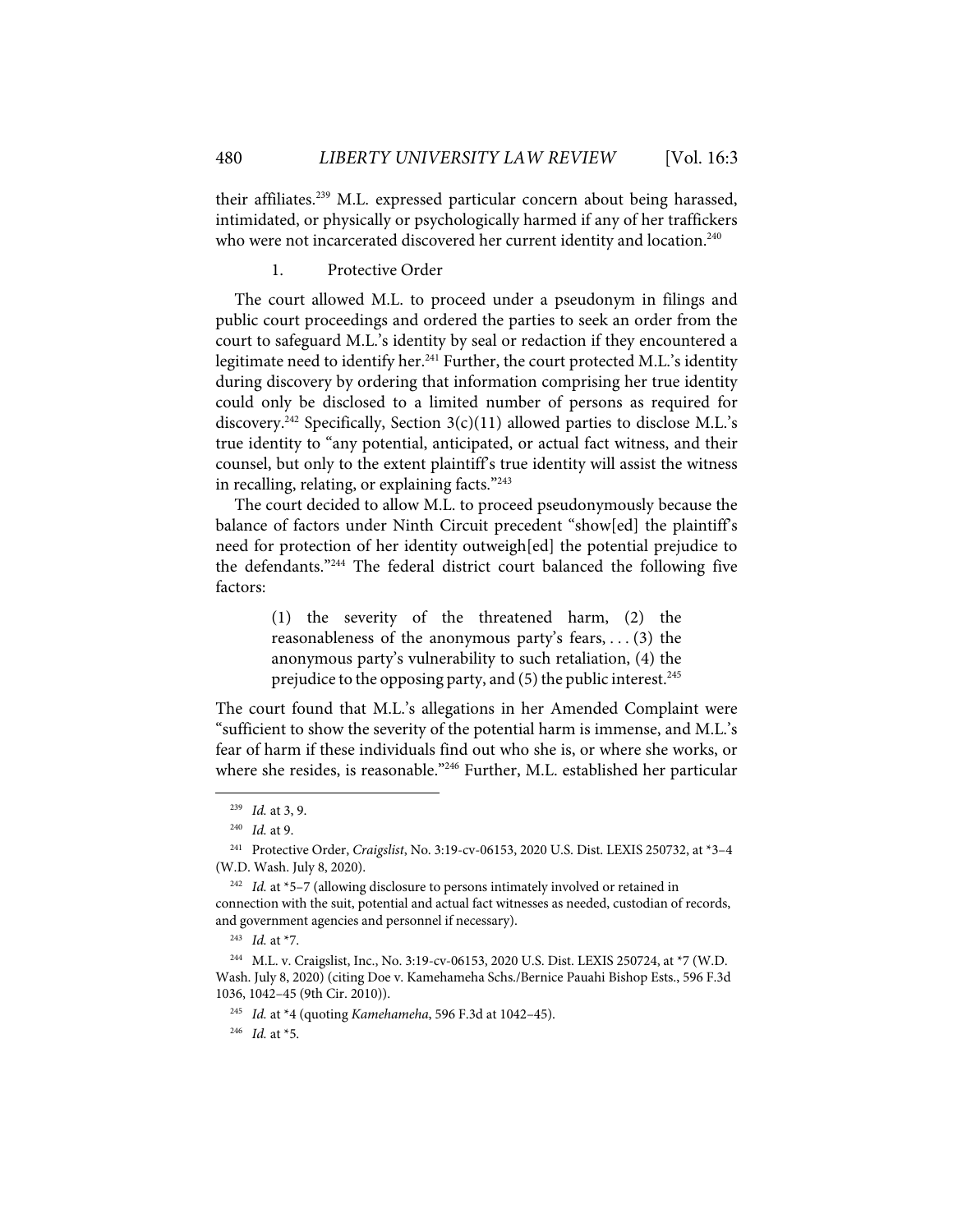their affiliates.239 M.L. expressed particular concern about being harassed, intimidated, or physically or psychologically harmed if any of her traffickers who were not incarcerated discovered her current identity and location.<sup>240</sup>

1. Protective Order

The court allowed M.L. to proceed under a pseudonym in filings and public court proceedings and ordered the parties to seek an order from the court to safeguard M.L.'s identity by seal or redaction if they encountered a legitimate need to identify her.<sup>241</sup> Further, the court protected M.L.'s identity during discovery by ordering that information comprising her true identity could only be disclosed to a limited number of persons as required for discovery.<sup>242</sup> Specifically, Section  $3(c)(11)$  allowed parties to disclose M.L.'s true identity to "any potential, anticipated, or actual fact witness, and their counsel, but only to the extent plaintiff's true identity will assist the witness in recalling, relating, or explaining facts."<sup>243</sup>

The court decided to allow M.L. to proceed pseudonymously because the balance of factors under Ninth Circuit precedent "show[ed] the plaintiff's need for protection of her identity outweigh[ed] the potential prejudice to the defendants."244 The federal district court balanced the following five factors:

> (1) the severity of the threatened harm, (2) the reasonableness of the anonymous party's fears, . . . (3) the anonymous party's vulnerability to such retaliation, (4) the prejudice to the opposing party, and (5) the public interest. 245

The court found that M.L.'s allegations in her Amended Complaint were "sufficient to show the severity of the potential harm is immense, and M.L.'s fear of harm if these individuals find out who she is, or where she works, or where she resides, is reasonable."246 Further, M.L. established her particular

<sup>239</sup> *Id.* at 3, 9.

<sup>240</sup> *Id.* at 9.

<sup>241</sup> Protective Order, *Craigslist*, No. 3:19-cv-06153, 2020 U.S. Dist. LEXIS 250732, at \*3–4 (W.D. Wash. July 8, 2020).

<sup>242</sup> *Id.* at \*5–7 (allowing disclosure to persons intimately involved or retained in connection with the suit, potential and actual fact witnesses as needed, custodian of records, and government agencies and personnel if necessary).

<sup>243</sup> *Id.* at \*7.

<sup>244</sup> M.L. v. Craigslist, Inc., No. 3:19-cv-06153, 2020 U.S. Dist. LEXIS 250724, at \*7 (W.D. Wash. July 8, 2020) (citing Doe v. Kamehameha Schs./Bernice Pauahi Bishop Ests., 596 F.3d 1036, 1042–45 (9th Cir. 2010)).

<sup>245</sup> *Id.* at \*4 (quoting *Kamehameha*, 596 F.3d at 1042–45).

<sup>246</sup> *Id.* at \*5.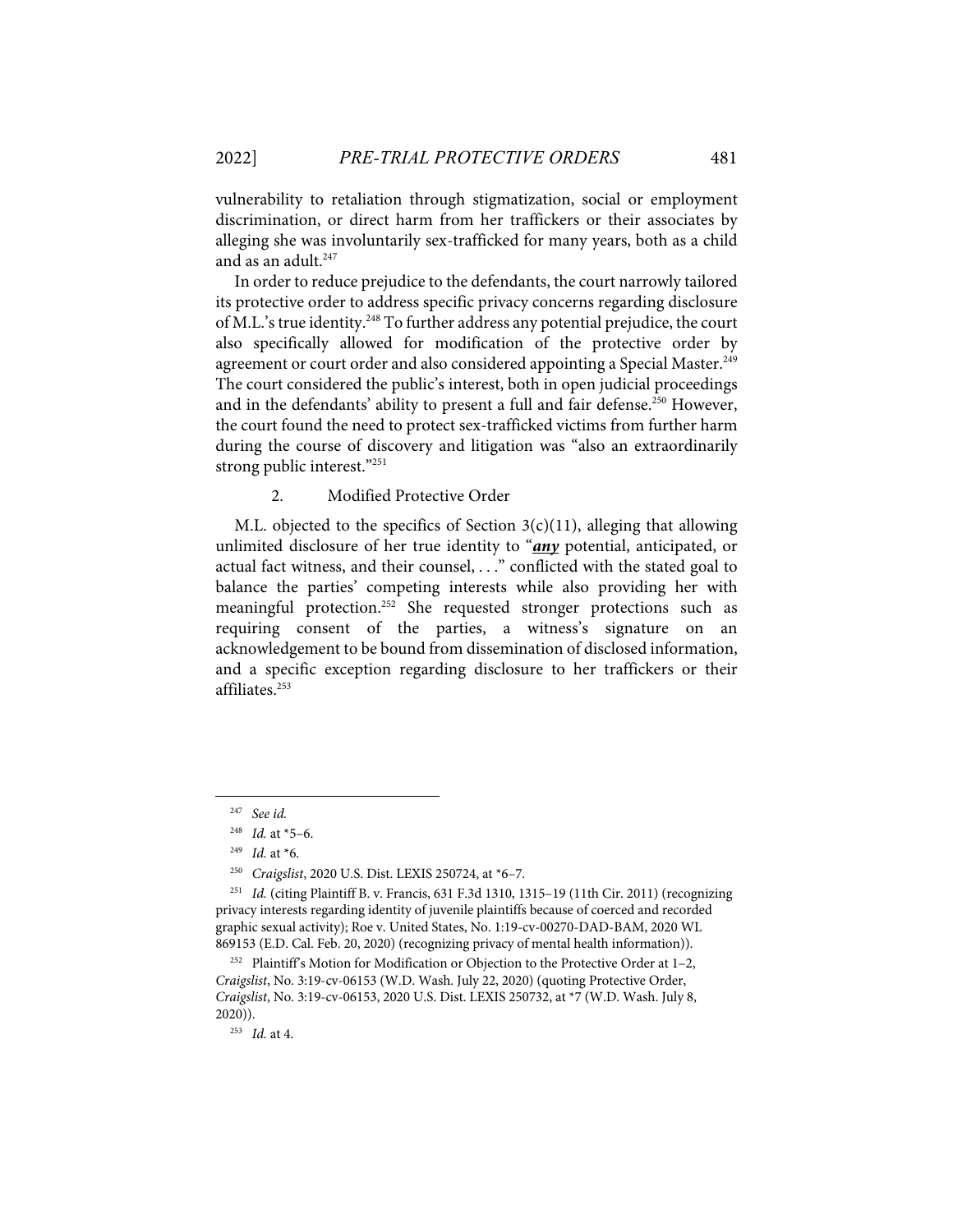vulnerability to retaliation through stigmatization, social or employment discrimination, or direct harm from her traffickers or their associates by alleging she was involuntarily sex-trafficked for many years, both as a child and as an adult. 247

In order to reduce prejudice to the defendants, the court narrowly tailored its protective order to address specific privacy concerns regarding disclosure of M.L.'s true identity.<sup>248</sup> To further address any potential prejudice, the court also specifically allowed for modification of the protective order by agreement or court order and also considered appointing a Special Master.<sup>249</sup> The court considered the public's interest, both in open judicial proceedings and in the defendants' ability to present a full and fair defense.<sup>250</sup> However, the court found the need to protect sex-trafficked victims from further harm during the course of discovery and litigation was "also an extraordinarily strong public interest."251

2. Modified Protective Order

M.L. objected to the specifics of Section  $3(c)(11)$ , alleging that allowing unlimited disclosure of her true identity to "*any* potential, anticipated, or actual fact witness, and their counsel, . . ." conflicted with the stated goal to balance the parties' competing interests while also providing her with meaningful protection.<sup>252</sup> She requested stronger protections such as requiring consent of the parties, a witness's signature on an acknowledgement to be bound from dissemination of disclosed information, and a specific exception regarding disclosure to her traffickers or their affiliates.253

251 *Id.* (citing Plaintiff B. v. Francis, 631 F.3d 1310, 1315–19 (11th Cir. 2011) (recognizing privacy interests regarding identity of juvenile plaintiffs because of coerced and recorded graphic sexual activity); Roe v. United States, No. 1:19-cv-00270-DAD-BAM, 2020 WL 869153 (E.D. Cal. Feb. 20, 2020) (recognizing privacy of mental health information)).

<sup>252</sup> Plaintiff's Motion for Modification or Objection to the Protective Order at  $1-2$ , *Craigslist*, No. 3:19-cv-06153 (W.D. Wash. July 22, 2020) (quoting Protective Order, *Craigslist*, No. 3:19-cv-06153, 2020 U.S. Dist. LEXIS 250732, at \*7 (W.D. Wash. July 8, 2020)).

253 *Id.* at 4.

<sup>247</sup> *See id.* 

<sup>248</sup> *Id.* at \*5–6.

<sup>249</sup> *Id.* at \*6.

<sup>250</sup> *Craigslist*, 2020 U.S. Dist. LEXIS 250724, at \*6–7*.*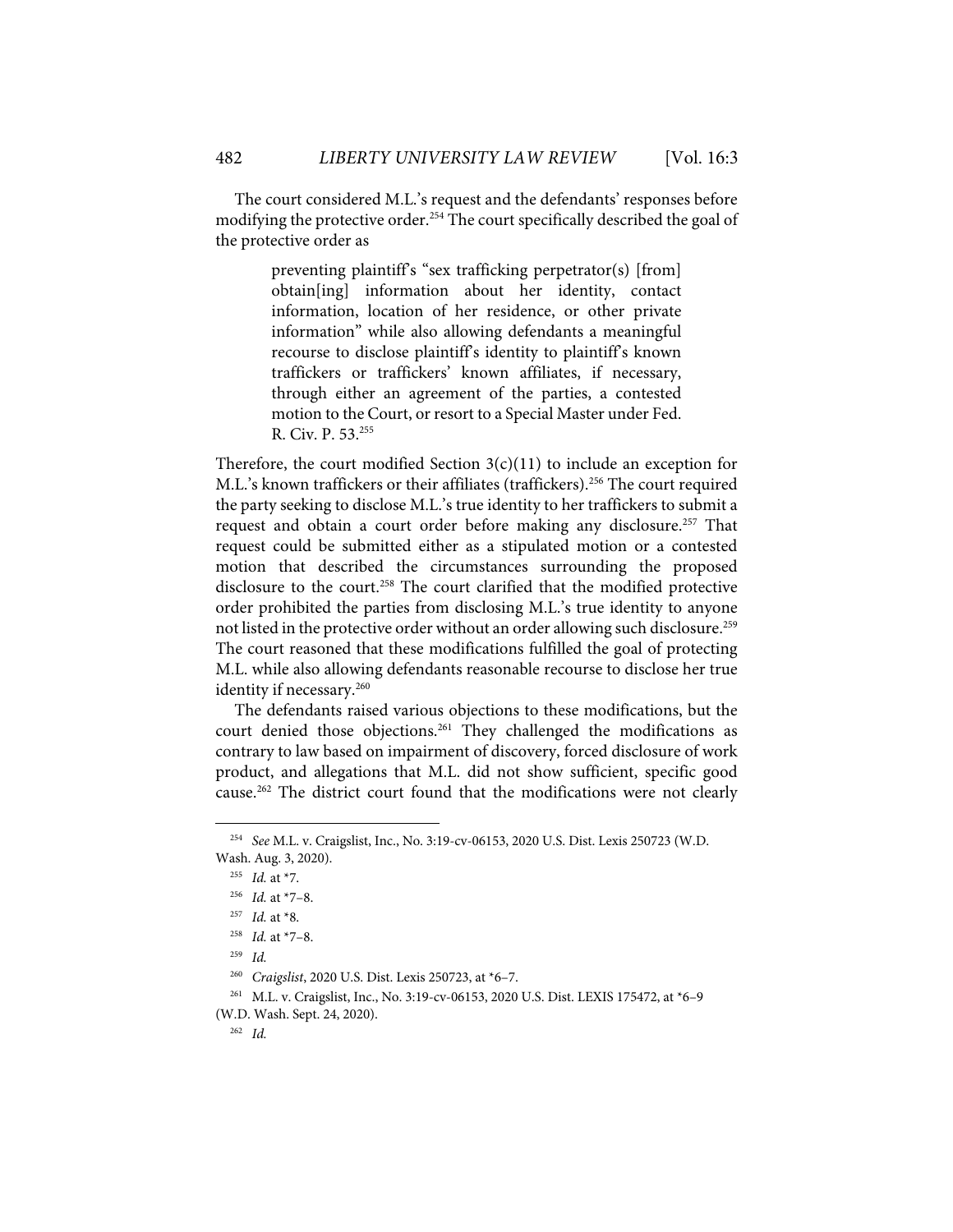The court considered M.L.'s request and the defendants' responses before modifying the protective order.<sup>254</sup> The court specifically described the goal of the protective order as

> preventing plaintiff's "sex trafficking perpetrator(s) [from] obtain[ing] information about her identity, contact information, location of her residence, or other private information" while also allowing defendants a meaningful recourse to disclose plaintiff's identity to plaintiff's known traffickers or traffickers' known affiliates, if necessary, through either an agreement of the parties, a contested motion to the Court, or resort to a Special Master under Fed. R. Civ. P. 53.255

Therefore, the court modified Section  $3(c)(11)$  to include an exception for M.L.'s known traffickers or their affiliates (traffickers).<sup>256</sup> The court required the party seeking to disclose M.L.'s true identity to her traffickers to submit a request and obtain a court order before making any disclosure.<sup>257</sup> That request could be submitted either as a stipulated motion or a contested motion that described the circumstances surrounding the proposed disclosure to the court.<sup>258</sup> The court clarified that the modified protective order prohibited the parties from disclosing M.L.'s true identity to anyone not listed in the protective order without an order allowing such disclosure.<sup>259</sup> The court reasoned that these modifications fulfilled the goal of protecting M.L. while also allowing defendants reasonable recourse to disclose her true identity if necessary.<sup>260</sup>

The defendants raised various objections to these modifications, but the court denied those objections. <sup>261</sup> They challenged the modifications as contrary to law based on impairment of discovery, forced disclosure of work product, and allegations that M.L. did not show sufficient, specific good cause.262 The district court found that the modifications were not clearly

<sup>254</sup> *See* M.L. v. Craigslist, Inc., No. 3:19-cv-06153, 2020 U.S. Dist. Lexis 250723 (W.D. Wash. Aug. 3, 2020).

<sup>255</sup> *Id.* at \*7.

<sup>256</sup> *Id.* at \*7–8.

<sup>257</sup> *Id.* at \*8.

<sup>258</sup> *Id.* at \*7–8.

<sup>259</sup> *Id.*

<sup>260</sup> *Craigslist*, 2020 U.S. Dist. Lexis 250723, at \*6–7.

<sup>261</sup> M.L. v. Craigslist, Inc., No. 3:19-cv-06153, 2020 U.S. Dist. LEXIS 175472, at \*6–9 (W.D. Wash. Sept. 24, 2020).

<sup>262</sup> *Id.*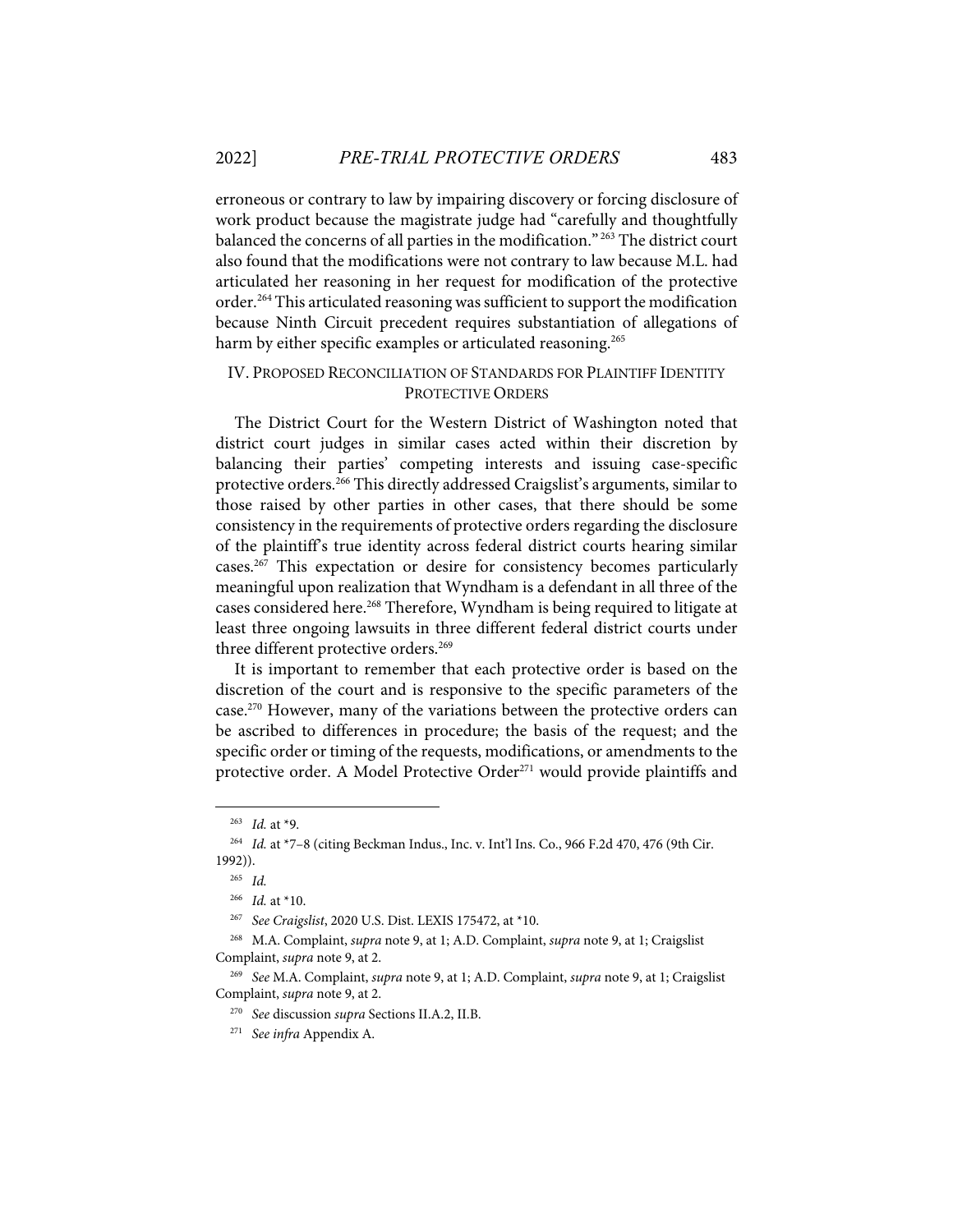erroneous or contrary to law by impairing discovery or forcing disclosure of work product because the magistrate judge had "carefully and thoughtfully balanced the concerns of all parties in the modification." <sup>263</sup> The district court also found that the modifications were not contrary to law because M.L. had articulated her reasoning in her request for modification of the protective order.<sup>264</sup> This articulated reasoning was sufficient to support the modification because Ninth Circuit precedent requires substantiation of allegations of harm by either specific examples or articulated reasoning.<sup>265</sup>

## IV. PROPOSED RECONCILIATION OF STANDARDS FOR PLAINTIFF IDENTITY PROTECTIVE ORDERS

The District Court for the Western District of Washington noted that district court judges in similar cases acted within their discretion by balancing their parties' competing interests and issuing case-specific protective orders.<sup>266</sup> This directly addressed Craigslist's arguments, similar to those raised by other parties in other cases, that there should be some consistency in the requirements of protective orders regarding the disclosure of the plaintiff's true identity across federal district courts hearing similar cases.267 This expectation or desire for consistency becomes particularly meaningful upon realization that Wyndham is a defendant in all three of the cases considered here.<sup>268</sup> Therefore, Wyndham is being required to litigate at least three ongoing lawsuits in three different federal district courts under three different protective orders.<sup>269</sup>

It is important to remember that each protective order is based on the discretion of the court and is responsive to the specific parameters of the case.<sup>270</sup> However, many of the variations between the protective orders can be ascribed to differences in procedure; the basis of the request; and the specific order or timing of the requests, modifications, or amendments to the protective order. A Model Protective Order<sup>271</sup> would provide plaintiffs and

<sup>263</sup> *Id.* at \*9.

<sup>264</sup> *Id.* at \*7–8 (citing Beckman Indus., Inc. v. Int'l Ins. Co., 966 F.2d 470, 476 (9th Cir. 1992)).

<sup>265</sup> *Id.*

<sup>266</sup> *Id.* at \*10.

<sup>267</sup> *See Craigslist*, 2020 U.S. Dist. LEXIS 175472, at \*10.

<sup>268</sup> M.A. Complaint, *supra* note 9, at 1; A.D. Complaint, *supra* note 9, at 1; Craigslist Complaint, *supra* note 9, at 2.

<sup>269</sup> *See* M.A. Complaint, *supra* note 9, at 1; A.D. Complaint, *supra* note 9, at 1; Craigslist Complaint, *supra* note 9, at 2.

<sup>270</sup> *See* discussion *supra* Sections II.A.2, II.B.

<sup>271</sup> *See infra* Appendix A.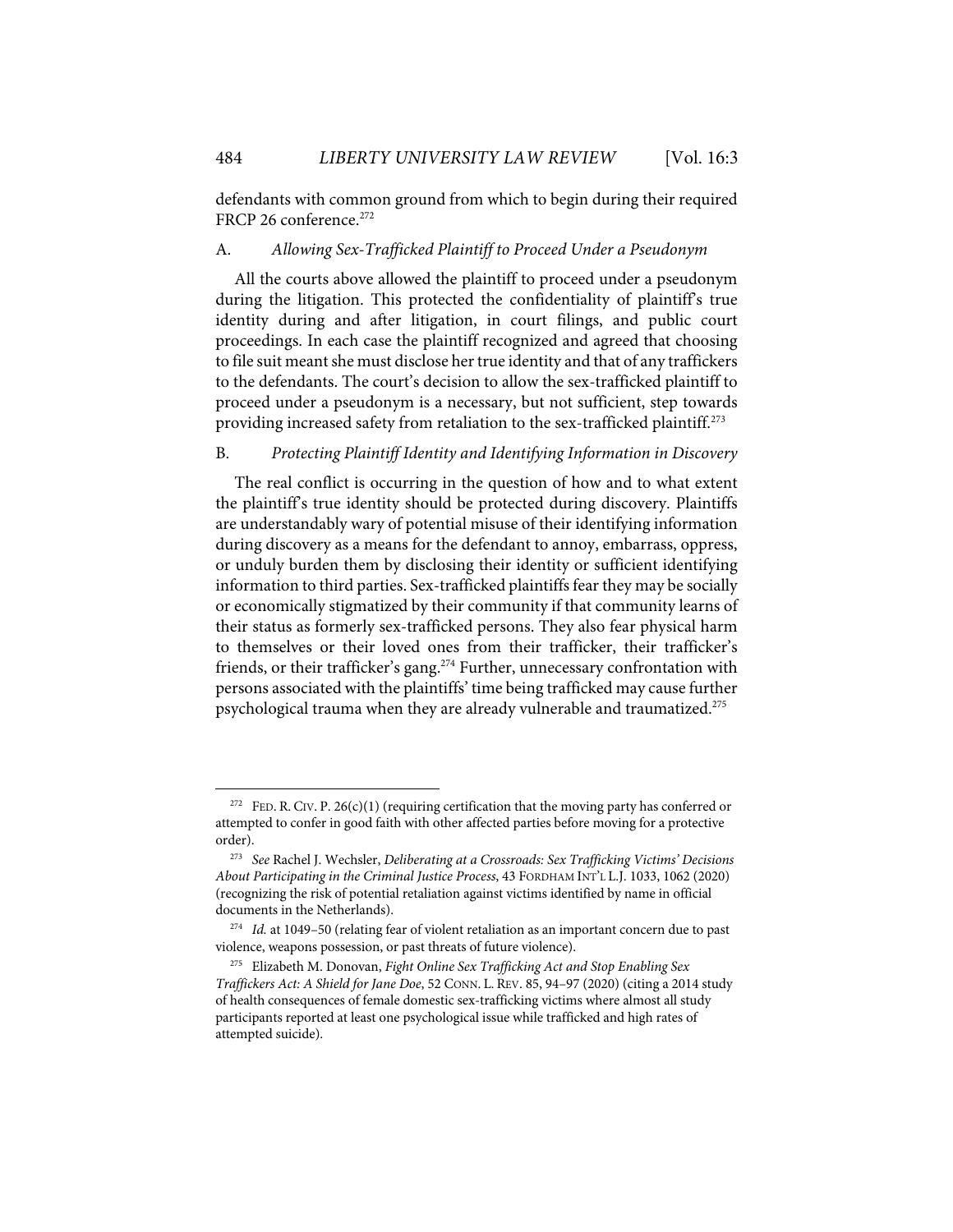defendants with common ground from which to begin during their required FRCP 26 conference.<sup>272</sup>

## A. *Allowing Sex-Trafficked Plaintiff to Proceed Under a Pseudonym*

All the courts above allowed the plaintiff to proceed under a pseudonym during the litigation. This protected the confidentiality of plaintiff's true identity during and after litigation, in court filings, and public court proceedings. In each case the plaintiff recognized and agreed that choosing to file suit meant she must disclose her true identity and that of any traffickers to the defendants. The court's decision to allow the sex-trafficked plaintiff to proceed under a pseudonym is a necessary, but not sufficient, step towards providing increased safety from retaliation to the sex-trafficked plaintiff.<sup>273</sup>

## B. *Protecting Plaintiff Identity and Identifying Information in Discovery*

The real conflict is occurring in the question of how and to what extent the plaintiff's true identity should be protected during discovery. Plaintiffs are understandably wary of potential misuse of their identifying information during discovery as a means for the defendant to annoy, embarrass, oppress, or unduly burden them by disclosing their identity or sufficient identifying information to third parties. Sex-trafficked plaintiffs fear they may be socially or economically stigmatized by their community if that community learns of their status as formerly sex-trafficked persons. They also fear physical harm to themselves or their loved ones from their trafficker, their trafficker's friends, or their trafficker's gang.<sup>274</sup> Further, unnecessary confrontation with persons associated with the plaintiffs' time being trafficked may cause further psychological trauma when they are already vulnerable and traumatized. 275

<sup>&</sup>lt;sup>272</sup> FED. R. CIV. P. 26(c)(1) (requiring certification that the moving party has conferred or attempted to confer in good faith with other affected parties before moving for a protective order).

<sup>273</sup> *See* Rachel J. Wechsler, *Deliberating at a Crossroads: Sex Trafficking Victims' Decisions About Participating in the Criminal Justice Process*, 43 FORDHAM INT'L L.J. 1033, 1062 (2020) (recognizing the risk of potential retaliation against victims identified by name in official documents in the Netherlands).

<sup>274</sup> *Id.* at 1049–50 (relating fear of violent retaliation as an important concern due to past violence, weapons possession, or past threats of future violence).

<sup>275</sup> Elizabeth M. Donovan, *Fight Online Sex Trafficking Act and Stop Enabling Sex Traffickers Act: A Shield for Jane Doe*, 52 CONN. L. REV. 85, 94–97 (2020) (citing a 2014 study of health consequences of female domestic sex-trafficking victims where almost all study participants reported at least one psychological issue while trafficked and high rates of attempted suicide).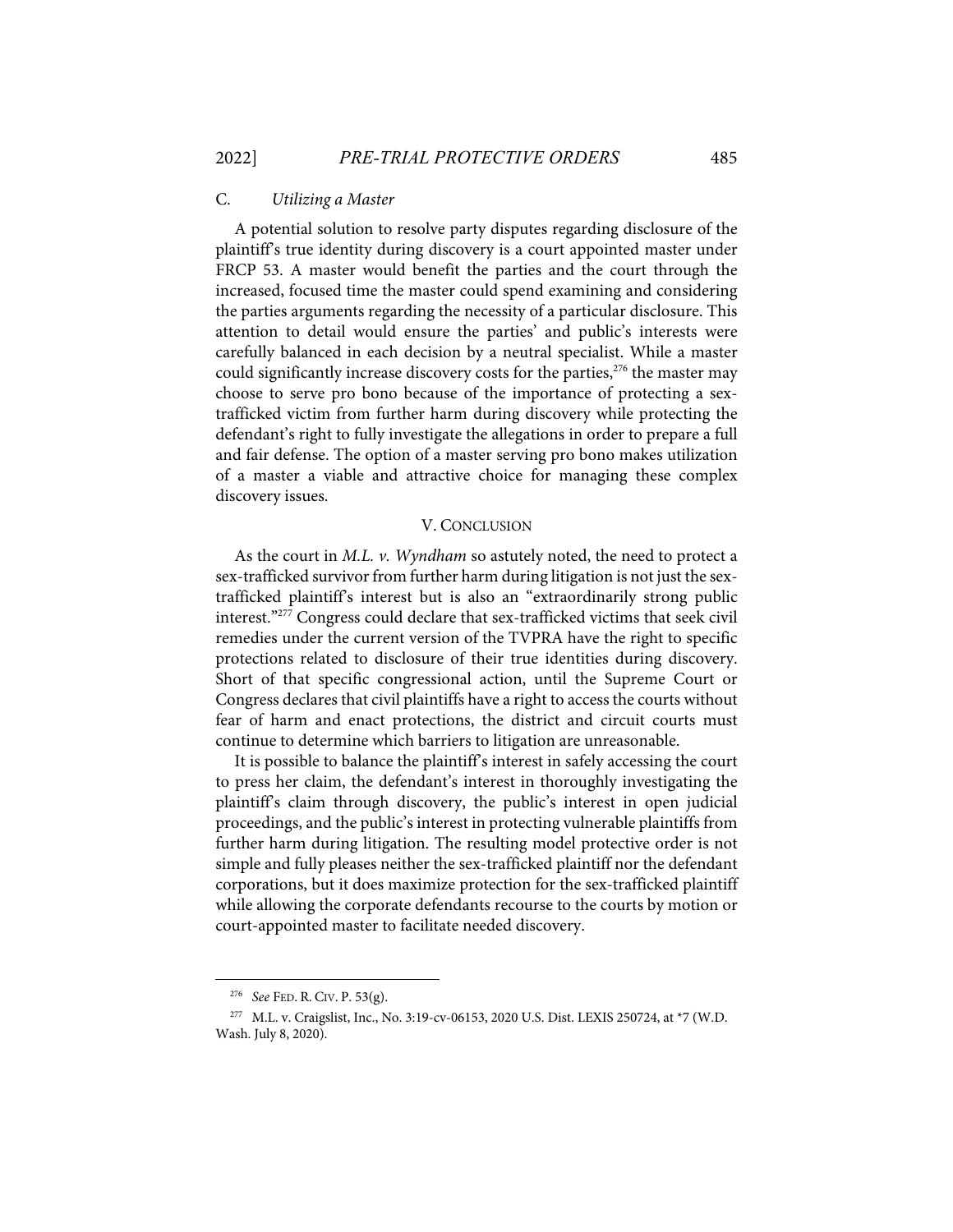## C. *Utilizing a Master*

A potential solution to resolve party disputes regarding disclosure of the plaintiff's true identity during discovery is a court appointed master under FRCP 53. A master would benefit the parties and the court through the increased, focused time the master could spend examining and considering the parties arguments regarding the necessity of a particular disclosure. This attention to detail would ensure the parties' and public's interests were carefully balanced in each decision by a neutral specialist. While a master could significantly increase discovery costs for the parties, <sup>276</sup> the master may choose to serve pro bono because of the importance of protecting a sextrafficked victim from further harm during discovery while protecting the defendant's right to fully investigate the allegations in order to prepare a full and fair defense. The option of a master serving pro bono makes utilization of a master a viable and attractive choice for managing these complex discovery issues.

#### V. CONCLUSION

As the court in *M.L. v. Wyndham* so astutely noted, the need to protect a sex-trafficked survivor from further harm during litigation is not just the sextrafficked plaintiff's interest but is also an "extraordinarily strong public interest."277 Congress could declare that sex-trafficked victims that seek civil remedies under the current version of the TVPRA have the right to specific protections related to disclosure of their true identities during discovery. Short of that specific congressional action, until the Supreme Court or Congress declares that civil plaintiffs have a right to access the courts without fear of harm and enact protections, the district and circuit courts must continue to determine which barriers to litigation are unreasonable.

It is possible to balance the plaintiff's interest in safely accessing the court to press her claim, the defendant's interest in thoroughly investigating the plaintiff's claim through discovery, the public's interest in open judicial proceedings, and the public's interest in protecting vulnerable plaintiffs from further harm during litigation. The resulting model protective order is not simple and fully pleases neither the sex-trafficked plaintiff nor the defendant corporations, but it does maximize protection for the sex-trafficked plaintiff while allowing the corporate defendants recourse to the courts by motion or court-appointed master to facilitate needed discovery.

<sup>276</sup> *See* FED. R. CIV. P. 53(g).

<sup>277</sup> M.L. v. Craigslist, Inc., No. 3:19-cv-06153, 2020 U.S. Dist. LEXIS 250724, at \*7 (W.D. Wash. July 8, 2020).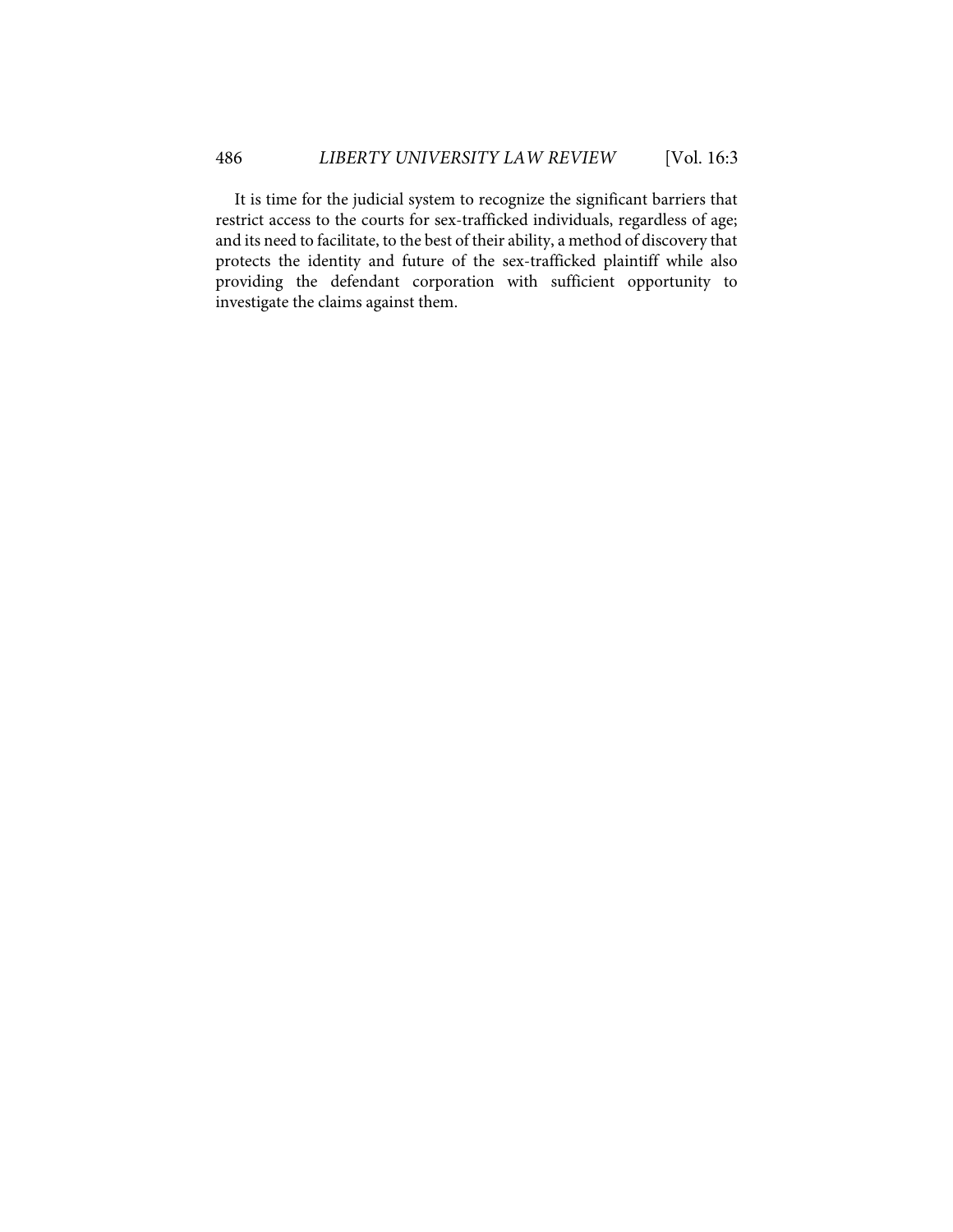It is time for the judicial system to recognize the significant barriers that restrict access to the courts for sex-trafficked individuals, regardless of age; and its need to facilitate, to the best of their ability, a method of discovery that protects the identity and future of the sex-trafficked plaintiff while also providing the defendant corporation with sufficient opportunity to investigate the claims against them.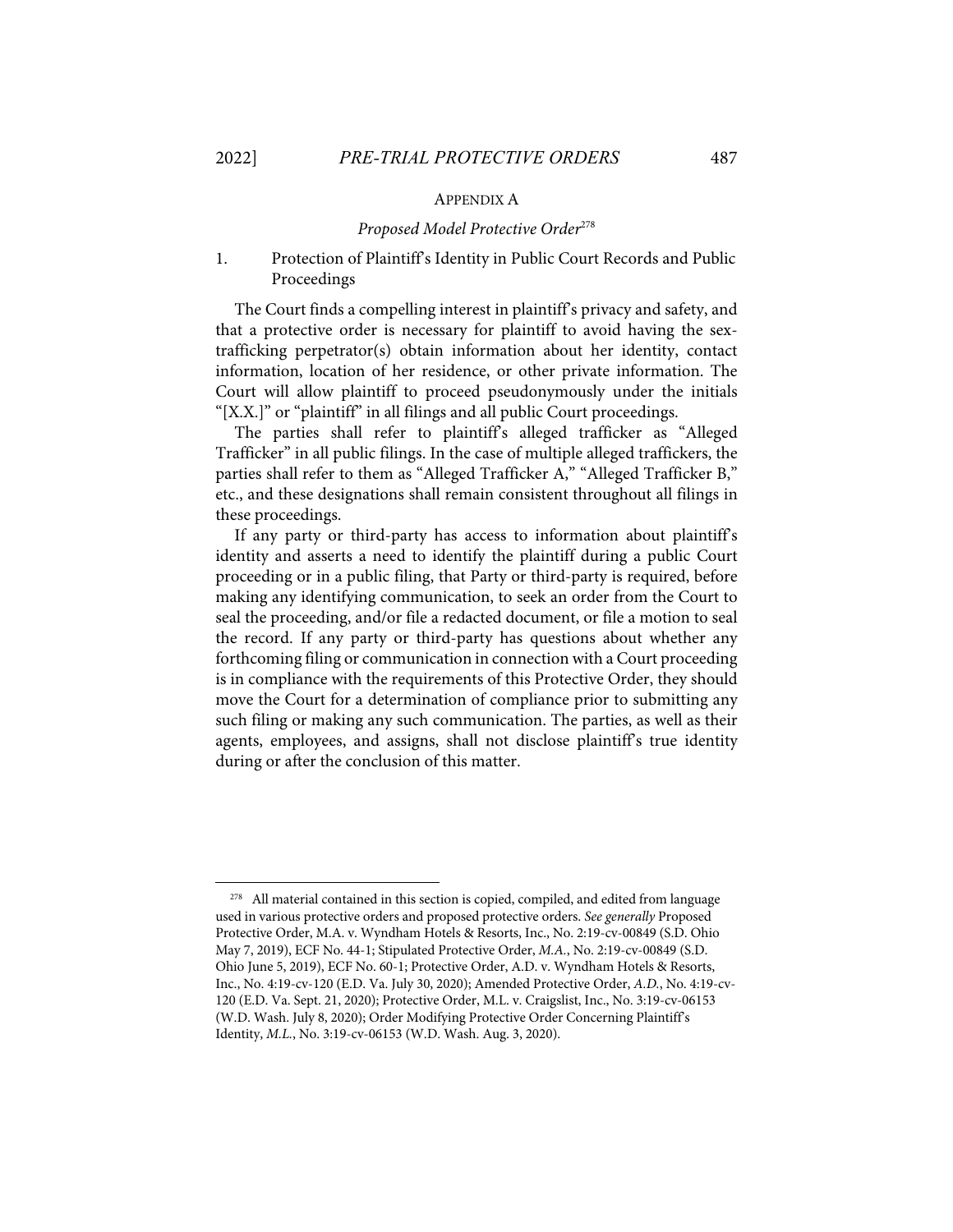#### APPENDIX A

#### *Proposed Model Protective Order*<sup>278</sup>

## 1. Protection of Plaintiff's Identity in Public Court Records and Public Proceedings

The Court finds a compelling interest in plaintiff's privacy and safety, and that a protective order is necessary for plaintiff to avoid having the sextrafficking perpetrator(s) obtain information about her identity, contact information, location of her residence, or other private information. The Court will allow plaintiff to proceed pseudonymously under the initials "[X.X.]" or "plaintiff" in all filings and all public Court proceedings.

The parties shall refer to plaintiff's alleged trafficker as "Alleged Trafficker" in all public filings. In the case of multiple alleged traffickers, the parties shall refer to them as "Alleged Trafficker A," "Alleged Trafficker B," etc., and these designations shall remain consistent throughout all filings in these proceedings.

If any party or third-party has access to information about plaintiff's identity and asserts a need to identify the plaintiff during a public Court proceeding or in a public filing, that Party or third-party is required, before making any identifying communication, to seek an order from the Court to seal the proceeding, and/or file a redacted document, or file a motion to seal the record. If any party or third-party has questions about whether any forthcoming filing or communication in connection with a Court proceeding is in compliance with the requirements of this Protective Order, they should move the Court for a determination of compliance prior to submitting any such filing or making any such communication. The parties, as well as their agents, employees, and assigns, shall not disclose plaintiff's true identity during or after the conclusion of this matter.

<sup>&</sup>lt;sup>278</sup> All material contained in this section is copied, compiled, and edited from language used in various protective orders and proposed protective orders. *See generally* Proposed Protective Order, M.A. v. Wyndham Hotels & Resorts, Inc., No. 2:19-cv-00849 (S.D. Ohio May 7, 2019), ECF No. 44-1; Stipulated Protective Order, *M.A.*, No. 2:19-cv-00849 (S.D. Ohio June 5, 2019), ECF No. 60-1; Protective Order, A.D. v. Wyndham Hotels & Resorts, Inc., No. 4:19-cv-120 (E.D. Va. July 30, 2020); Amended Protective Order, *A.D.*, No. 4:19-cv-120 (E.D. Va. Sept. 21, 2020); Protective Order, M.L. v. Craigslist, Inc., No. 3:19-cv-06153 (W.D. Wash. July 8, 2020); Order Modifying Protective Order Concerning Plaintiff's Identity, *M.L.*, No. 3:19-cv-06153 (W.D. Wash. Aug. 3, 2020).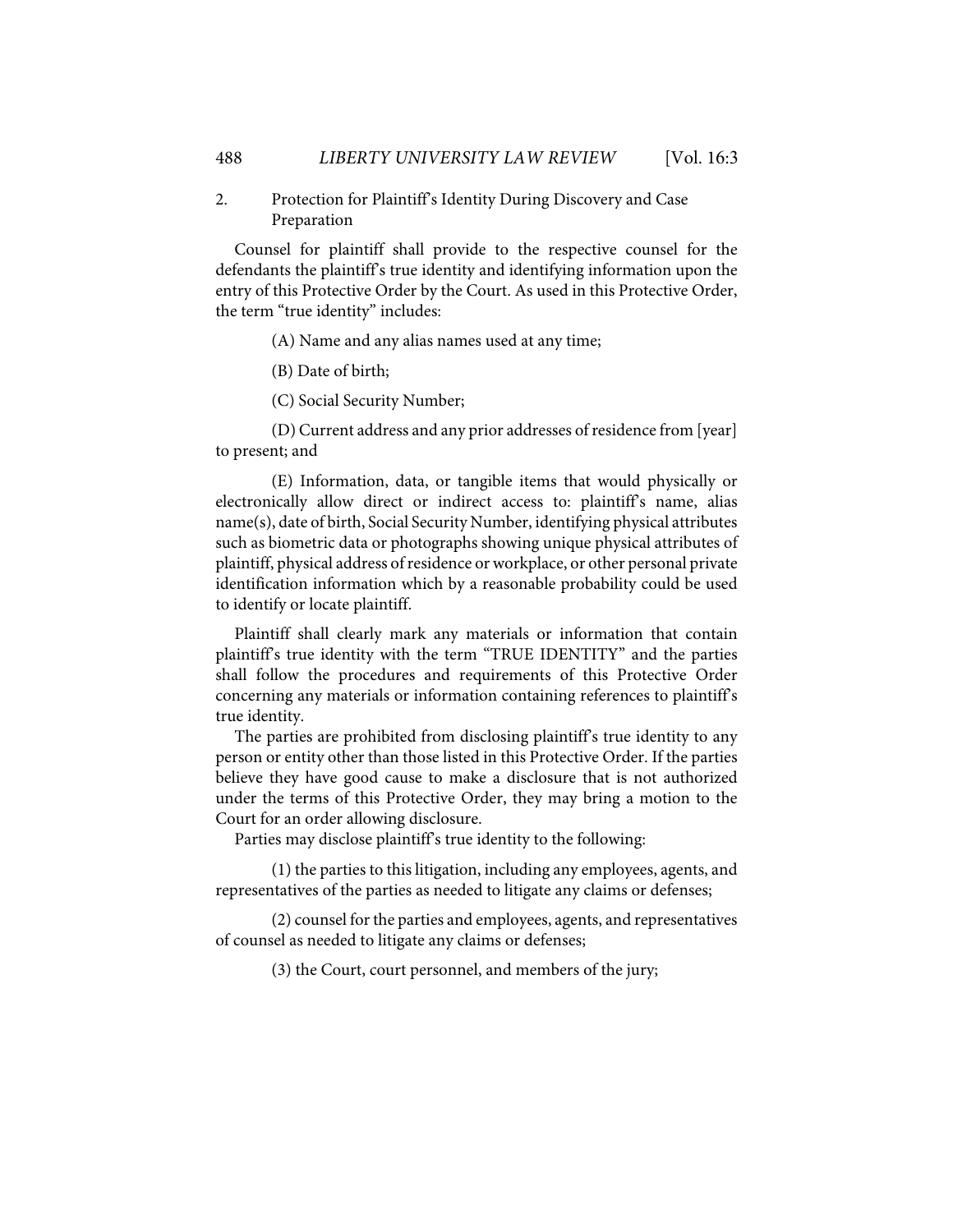## 2. Protection for Plaintiff's Identity During Discovery and Case Preparation

Counsel for plaintiff shall provide to the respective counsel for the defendants the plaintiff's true identity and identifying information upon the entry of this Protective Order by the Court. As used in this Protective Order, the term "true identity" includes:

(A) Name and any alias names used at any time;

(B) Date of birth;

(C) Social Security Number;

(D) Current address and any prior addresses of residence from [year] to present; and

(E) Information, data, or tangible items that would physically or electronically allow direct or indirect access to: plaintiff's name, alias name(s), date of birth, Social Security Number, identifying physical attributes such as biometric data or photographs showing unique physical attributes of plaintiff, physical address of residence or workplace, or other personal private identification information which by a reasonable probability could be used to identify or locate plaintiff.

Plaintiff shall clearly mark any materials or information that contain plaintiff's true identity with the term "TRUE IDENTITY" and the parties shall follow the procedures and requirements of this Protective Order concerning any materials or information containing references to plaintiff's true identity.

The parties are prohibited from disclosing plaintiff's true identity to any person or entity other than those listed in this Protective Order. If the parties believe they have good cause to make a disclosure that is not authorized under the terms of this Protective Order, they may bring a motion to the Court for an order allowing disclosure.

Parties may disclose plaintiff's true identity to the following:

(1) the parties to this litigation, including any employees, agents, and representatives of the parties as needed to litigate any claims or defenses;

(2) counsel for the parties and employees, agents, and representatives of counsel as needed to litigate any claims or defenses;

(3) the Court, court personnel, and members of the jury;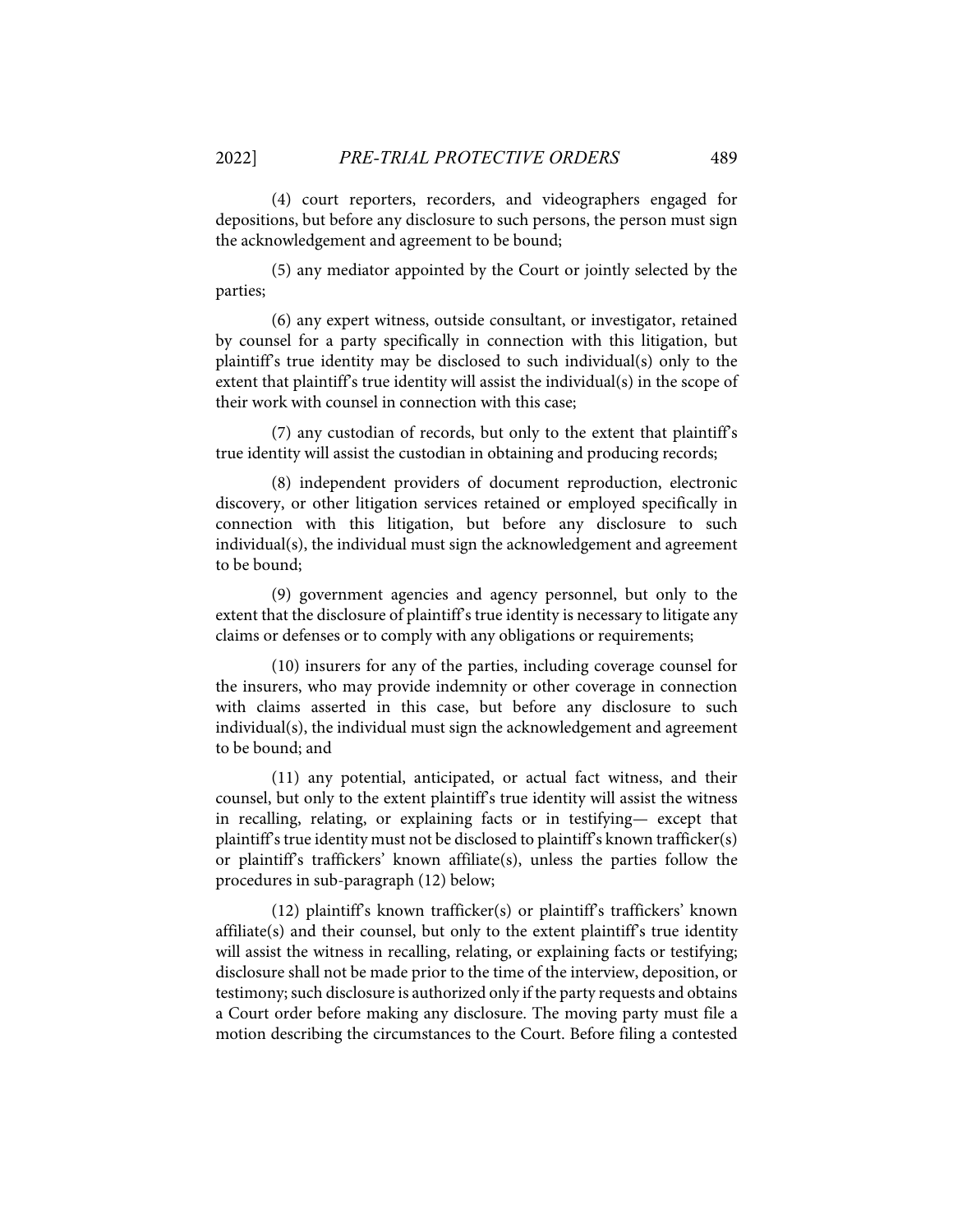(4) court reporters, recorders, and videographers engaged for depositions, but before any disclosure to such persons, the person must sign the acknowledgement and agreement to be bound;

(5) any mediator appointed by the Court or jointly selected by the parties;

(6) any expert witness, outside consultant, or investigator, retained by counsel for a party specifically in connection with this litigation, but plaintiff's true identity may be disclosed to such individual(s) only to the extent that plaintiff's true identity will assist the individual(s) in the scope of their work with counsel in connection with this case;

(7) any custodian of records, but only to the extent that plaintiff's true identity will assist the custodian in obtaining and producing records;

(8) independent providers of document reproduction, electronic discovery, or other litigation services retained or employed specifically in connection with this litigation, but before any disclosure to such individual(s), the individual must sign the acknowledgement and agreement to be bound;

(9) government agencies and agency personnel, but only to the extent that the disclosure of plaintiff's true identity is necessary to litigate any claims or defenses or to comply with any obligations or requirements;

(10) insurers for any of the parties, including coverage counsel for the insurers, who may provide indemnity or other coverage in connection with claims asserted in this case, but before any disclosure to such individual(s), the individual must sign the acknowledgement and agreement to be bound; and

(11) any potential, anticipated, or actual fact witness, and their counsel, but only to the extent plaintiff's true identity will assist the witness in recalling, relating, or explaining facts or in testifying— except that plaintiff's true identity must not be disclosed to plaintiff's known trafficker(s) or plaintiff's traffickers' known affiliate(s), unless the parties follow the procedures in sub-paragraph (12) below;

(12) plaintiff's known trafficker(s) or plaintiff's traffickers' known affiliate(s) and their counsel, but only to the extent plaintiff's true identity will assist the witness in recalling, relating, or explaining facts or testifying; disclosure shall not be made prior to the time of the interview, deposition, or testimony; such disclosure is authorized only if the party requests and obtains a Court order before making any disclosure. The moving party must file a motion describing the circumstances to the Court. Before filing a contested